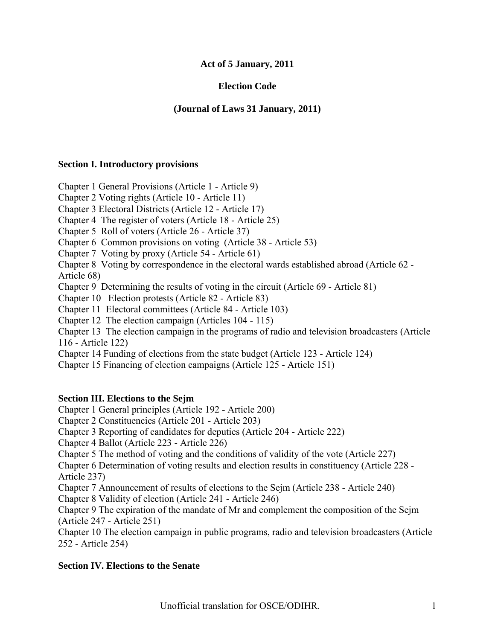## **Act of 5 January, 2011**

# **Election Code**

## **(Journal of Laws 31 January, 2011)**

### **Section I. Introductory provisions**

Chapter 1 General Provisions (Article 1 - Article 9)

Chapter 2 Voting rights (Article 10 - Article 11)

Chapter 3 Electoral Districts (Article 12 - Article 17)

Chapter 4 The register of voters (Article 18 - Article 25)

Chapter 5 Roll of voters (Article 26 - Article 37)

Chapter 6 Common provisions on voting (Article 38 - Article 53)

Chapter 7 Voting by proxy (Article 54 - Article 61)

Chapter 8 Voting by correspondence in the electoral wards established abroad (Article 62 - Article 68)

Chapter 9 Determining the results of voting in the circuit (Article 69 - Article 81)

Chapter 10 Election protests (Article 82 - Article 83)

Chapter 11 Electoral committees (Article 84 - Article 103)

Chapter 12 The election campaign (Articles 104 - 115)

Chapter 13 The election campaign in the programs of radio and television broadcasters (Article 116 - Article 122)

Chapter 14 Funding of elections from the state budget (Article 123 - Article 124)

Chapter 15 Financing of election campaigns (Article 125 - Article 151)

## **Section III. Elections to the Sejm**

Chapter 1 General principles (Article 192 - Article 200)

Chapter 2 Constituencies (Article 201 - Article 203)

Chapter 3 Reporting of candidates for deputies (Article 204 - Article 222)

Chapter 4 Ballot (Article 223 - Article 226)

Chapter 5 The method of voting and the conditions of validity of the vote (Article 227)

Chapter 6 Determination of voting results and election results in constituency (Article 228 - Article 237)

Chapter 7 Announcement of results of elections to the Sejm (Article 238 - Article 240) Chapter 8 Validity of election (Article 241 - Article 246)

Chapter 9 The expiration of the mandate of Mr and complement the composition of the Sejm (Article 247 - Article 251)

Chapter 10 The election campaign in public programs, radio and television broadcasters (Article 252 - Article 254)

## **Section IV. Elections to the Senate**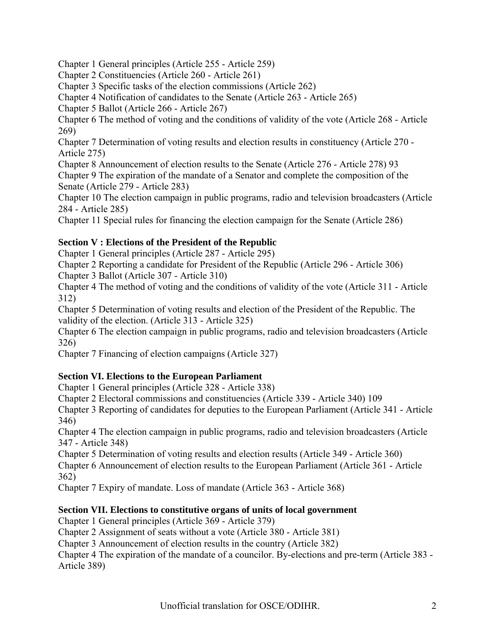Chapter 1 General principles (Article 255 - Article 259)

Chapter 2 Constituencies (Article 260 - Article 261)

Chapter 3 Specific tasks of the election commissions (Article 262)

Chapter 4 Notification of candidates to the Senate (Article 263 - Article 265)

Chapter 5 Ballot (Article 266 - Article 267)

Chapter 6 The method of voting and the conditions of validity of the vote (Article 268 - Article 269)

Chapter 7 Determination of voting results and election results in constituency (Article 270 - Article 275)

Chapter 8 Announcement of election results to the Senate (Article 276 - Article 278) 93

Chapter 9 The expiration of the mandate of a Senator and complete the composition of the Senate (Article 279 - Article 283)

Chapter 10 The election campaign in public programs, radio and television broadcasters (Article 284 - Article 285)

Chapter 11 Special rules for financing the election campaign for the Senate (Article 286)

# **Section V : Elections of the President of the Republic**

Chapter 1 General principles (Article 287 - Article 295)

Chapter 2 Reporting a candidate for President of the Republic (Article 296 - Article 306)

Chapter 3 Ballot (Article 307 - Article 310)

Chapter 4 The method of voting and the conditions of validity of the vote (Article 311 - Article 312)

Chapter 5 Determination of voting results and election of the President of the Republic. The validity of the election. (Article 313 - Article 325)

Chapter 6 The election campaign in public programs, radio and television broadcasters (Article 326)

Chapter 7 Financing of election campaigns (Article 327)

# **Section VI. Elections to the European Parliament**

Chapter 1 General principles (Article 328 - Article 338)

Chapter 2 Electoral commissions and constituencies (Article 339 - Article 340) 109

Chapter 3 Reporting of candidates for deputies to the European Parliament (Article 341 - Article 346)

Chapter 4 The election campaign in public programs, radio and television broadcasters (Article 347 - Article 348)

Chapter 5 Determination of voting results and election results (Article 349 - Article 360) Chapter 6 Announcement of election results to the European Parliament (Article 361 - Article 362)

Chapter 7 Expiry of mandate. Loss of mandate (Article 363 - Article 368)

# **Section VII. Elections to constitutive organs of units of local government**

Chapter 1 General principles (Article 369 - Article 379)

Chapter 2 Assignment of seats without a vote (Article 380 - Article 381)

Chapter 3 Announcement of election results in the country (Article 382)

Chapter 4 The expiration of the mandate of a councilor. By-elections and pre-term (Article 383 - Article 389)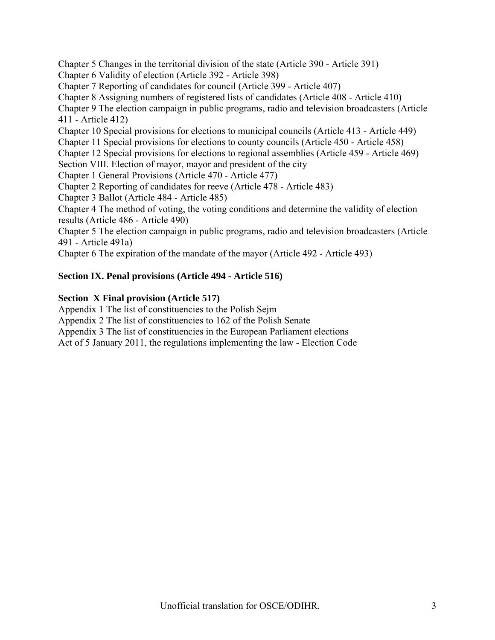Chapter 5 Changes in the territorial division of the state (Article 390 - Article 391) Chapter 6 Validity of election (Article 392 - Article 398) Chapter 7 Reporting of candidates for council (Article 399 - Article 407) Chapter 8 Assigning numbers of registered lists of candidates (Article 408 - Article 410) Chapter 9 The election campaign in public programs, radio and television broadcasters (Article 411 - Article 412) Chapter 10 Special provisions for elections to municipal councils (Article 413 - Article 449) Chapter 11 Special provisions for elections to county councils (Article 450 - Article 458) Chapter 12 Special provisions for elections to regional assemblies (Article 459 - Article 469) Section VIII. Election of mayor, mayor and president of the city Chapter 1 General Provisions (Article 470 - Article 477) Chapter 2 Reporting of candidates for reeve (Article 478 - Article 483) Chapter 3 Ballot (Article 484 - Article 485) Chapter 4 The method of voting, the voting conditions and determine the validity of election results (Article 486 - Article 490) Chapter 5 The election campaign in public programs, radio and television broadcasters (Article 491 - Article 491a)

Chapter 6 The expiration of the mandate of the mayor (Article 492 - Article 493)

## **Section IX. Penal provisions (Article 494 - Article 516)**

### **Section X Final provision (Article 517)**

Appendix 1 The list of constituencies to the Polish Sejm

Appendix 2 The list of constituencies to 162 of the Polish Senate

Appendix 3 The list of constituencies in the European Parliament elections

Act of 5 January 2011, the regulations implementing the law - Election Code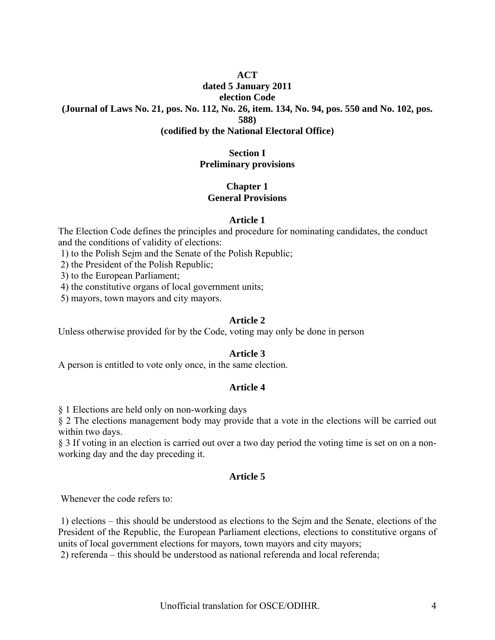### **ACT**

### **dated 5 January 2011**

**election Code** 

**(Journal of Laws No. 21, pos. No. 112, No. 26, item. 134, No. 94, pos. 550 and No. 102, pos.** 

**588)** 

### **(codified by the National Electoral Office)**

### **Section I Preliminary provisions**

#### **Chapter 1 General Provisions**

### **Article 1**

The Election Code defines the principles and procedure for nominating candidates, the conduct and the conditions of validity of elections:

1) to the Polish Sejm and the Senate of the Polish Republic;

2) the President of the Polish Republic;

3) to the European Parliament;

4) the constitutive organs of local government units;

5) mayors, town mayors and city mayors.

### **Article 2**

Unless otherwise provided for by the Code, voting may only be done in person

## **Article 3**

A person is entitled to vote only once, in the same election.

## **Article 4**

§ 1 Elections are held only on non-working days

§ 2 The elections management body may provide that a vote in the elections will be carried out within two days.

§ 3 If voting in an election is carried out over a two day period the voting time is set on on a nonworking day and the day preceding it.

## **Article 5**

Whenever the code refers to:

 1) elections – this should be understood as elections to the Sejm and the Senate, elections of the President of the Republic, the European Parliament elections, elections to constitutive organs of units of local government elections for mayors, town mayors and city mayors;

2) referenda – this should be understood as national referenda and local referenda;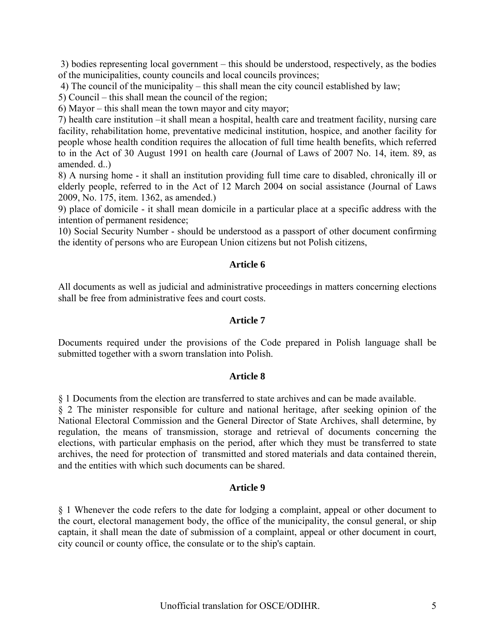3) bodies representing local government – this should be understood, respectively, as the bodies of the municipalities, county councils and local councils provinces;

4) The council of the municipality – this shall mean the city council established by law;

5) Council – this shall mean the council of the region;

6) Mayor – this shall mean the town mayor and city mayor;

7) health care institution –it shall mean a hospital, health care and treatment facility, nursing care facility, rehabilitation home, preventative medicinal institution, hospice, and another facility for people whose health condition requires the allocation of full time health benefits, which referred to in the Act of 30 August 1991 on health care (Journal of Laws of 2007 No. 14, item. 89, as amended. d..)

8) A nursing home - it shall an institution providing full time care to disabled, chronically ill or elderly people, referred to in the Act of 12 March 2004 on social assistance (Journal of Laws 2009, No. 175, item. 1362, as amended.)

9) place of domicile - it shall mean domicile in a particular place at a specific address with the intention of permanent residence;

10) Social Security Number - should be understood as a passport of other document confirming the identity of persons who are European Union citizens but not Polish citizens,

#### **Article 6**

All documents as well as judicial and administrative proceedings in matters concerning elections shall be free from administrative fees and court costs.

#### **Article 7**

Documents required under the provisions of the Code prepared in Polish language shall be submitted together with a sworn translation into Polish.

#### **Article 8**

§ 1 Documents from the election are transferred to state archives and can be made available.

§ 2 The minister responsible for culture and national heritage, after seeking opinion of the National Electoral Commission and the General Director of State Archives, shall determine, by regulation, the means of transmission, storage and retrieval of documents concerning the elections, with particular emphasis on the period, after which they must be transferred to state archives, the need for protection of transmitted and stored materials and data contained therein, and the entities with which such documents can be shared.

#### **Article 9**

§ 1 Whenever the code refers to the date for lodging a complaint, appeal or other document to the court, electoral management body, the office of the municipality, the consul general, or ship captain, it shall mean the date of submission of a complaint, appeal or other document in court, city council or county office, the consulate or to the ship's captain.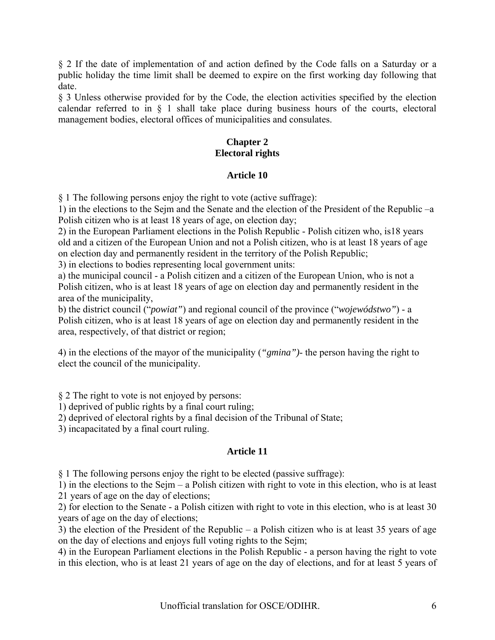§ 2 If the date of implementation of and action defined by the Code falls on a Saturday or a public holiday the time limit shall be deemed to expire on the first working day following that date.

§ 3 Unless otherwise provided for by the Code, the election activities specified by the election calendar referred to in § 1 shall take place during business hours of the courts, electoral management bodies, electoral offices of municipalities and consulates.

## **Chapter 2 Electoral rights**

## **Article 10**

§ 1 The following persons enjoy the right to vote (active suffrage):

1) in the elections to the Sejm and the Senate and the election of the President of the Republic –a Polish citizen who is at least 18 years of age, on election day;

2) in the European Parliament elections in the Polish Republic - Polish citizen who, is18 years old and a citizen of the European Union and not a Polish citizen, who is at least 18 years of age on election day and permanently resident in the territory of the Polish Republic;

3) in elections to bodies representing local government units:

a) the municipal council - a Polish citizen and a citizen of the European Union, who is not a Polish citizen, who is at least 18 years of age on election day and permanently resident in the area of the municipality,

b) the district council ("*powiat"*) and regional council of the province ("*wojewódstwo"*) - a Polish citizen, who is at least 18 years of age on election day and permanently resident in the area, respectively, of that district or region;

4) in the elections of the mayor of the municipality (*"gmina")*- the person having the right to elect the council of the municipality.

§ 2 The right to vote is not enjoyed by persons:

1) deprived of public rights by a final court ruling;

2) deprived of electoral rights by a final decision of the Tribunal of State;

3) incapacitated by a final court ruling.

# **Article 11**

§ 1 The following persons enjoy the right to be elected (passive suffrage):

1) in the elections to the Sejm – a Polish citizen with right to vote in this election, who is at least 21 years of age on the day of elections;

2) for election to the Senate - a Polish citizen with right to vote in this election, who is at least 30 years of age on the day of elections;

3) the election of the President of the Republic – a Polish citizen who is at least 35 years of age on the day of elections and enjoys full voting rights to the Sejm;

4) in the European Parliament elections in the Polish Republic - a person having the right to vote in this election, who is at least 21 years of age on the day of elections, and for at least 5 years of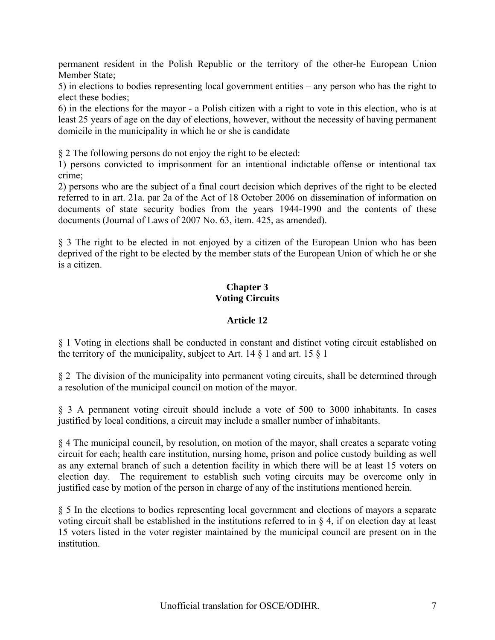permanent resident in the Polish Republic or the territory of the other-he European Union Member State;

5) in elections to bodies representing local government entities – any person who has the right to elect these bodies;

6) in the elections for the mayor - a Polish citizen with a right to vote in this election, who is at least 25 years of age on the day of elections, however, without the necessity of having permanent domicile in the municipality in which he or she is candidate

§ 2 The following persons do not enjoy the right to be elected:

1) persons convicted to imprisonment for an intentional indictable offense or intentional tax crime;

2) persons who are the subject of a final court decision which deprives of the right to be elected referred to in art. 21a. par 2a of the Act of 18 October 2006 on dissemination of information on documents of state security bodies from the years 1944-1990 and the contents of these documents (Journal of Laws of 2007 No. 63, item. 425, as amended).

§ 3 The right to be elected in not enjoyed by a citizen of the European Union who has been deprived of the right to be elected by the member stats of the European Union of which he or she is a citizen.

## **Chapter 3 Voting Circuits**

## **Article 12**

§ 1 Voting in elections shall be conducted in constant and distinct voting circuit established on the territory of the municipality, subject to Art. 14  $\S$  1 and art. 15  $\S$  1

§ 2 The division of the municipality into permanent voting circuits, shall be determined through a resolution of the municipal council on motion of the mayor.

§ 3 A permanent voting circuit should include a vote of 500 to 3000 inhabitants. In cases justified by local conditions, a circuit may include a smaller number of inhabitants.

§ 4 The municipal council, by resolution, on motion of the mayor, shall creates a separate voting circuit for each; health care institution, nursing home, prison and police custody building as well as any external branch of such a detention facility in which there will be at least 15 voters on election day. The requirement to establish such voting circuits may be overcome only in justified case by motion of the person in charge of any of the institutions mentioned herein.

§ 5 In the elections to bodies representing local government and elections of mayors a separate voting circuit shall be established in the institutions referred to in § 4, if on election day at least 15 voters listed in the voter register maintained by the municipal council are present on in the institution.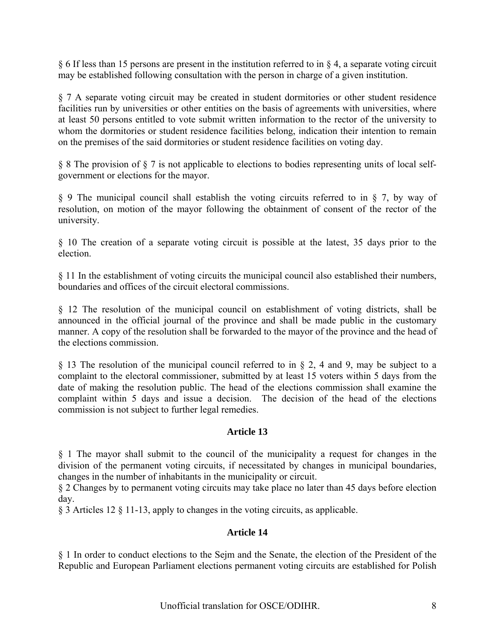§ 6 If less than 15 persons are present in the institution referred to in § 4, a separate voting circuit may be established following consultation with the person in charge of a given institution.

§ 7 A separate voting circuit may be created in student dormitories or other student residence facilities run by universities or other entities on the basis of agreements with universities, where at least 50 persons entitled to vote submit written information to the rector of the university to whom the dormitories or student residence facilities belong, indication their intention to remain on the premises of the said dormitories or student residence facilities on voting day.

§ 8 The provision of § 7 is not applicable to elections to bodies representing units of local selfgovernment or elections for the mayor.

§ 9 The municipal council shall establish the voting circuits referred to in § 7, by way of resolution, on motion of the mayor following the obtainment of consent of the rector of the university.

§ 10 The creation of a separate voting circuit is possible at the latest, 35 days prior to the election.

§ 11 In the establishment of voting circuits the municipal council also established their numbers, boundaries and offices of the circuit electoral commissions.

§ 12 The resolution of the municipal council on establishment of voting districts, shall be announced in the official journal of the province and shall be made public in the customary manner. A copy of the resolution shall be forwarded to the mayor of the province and the head of the elections commission.

§ 13 The resolution of the municipal council referred to in § 2, 4 and 9, may be subject to a complaint to the electoral commissioner, submitted by at least 15 voters within 5 days from the date of making the resolution public. The head of the elections commission shall examine the complaint within 5 days and issue a decision. The decision of the head of the elections commission is not subject to further legal remedies.

## **Article 13**

§ 1 The mayor shall submit to the council of the municipality a request for changes in the division of the permanent voting circuits, if necessitated by changes in municipal boundaries, changes in the number of inhabitants in the municipality or circuit.

§ 2 Changes by to permanent voting circuits may take place no later than 45 days before election day.

§ 3 Articles 12 § 11-13, apply to changes in the voting circuits, as applicable.

#### **Article 14**

§ 1 In order to conduct elections to the Sejm and the Senate, the election of the President of the Republic and European Parliament elections permanent voting circuits are established for Polish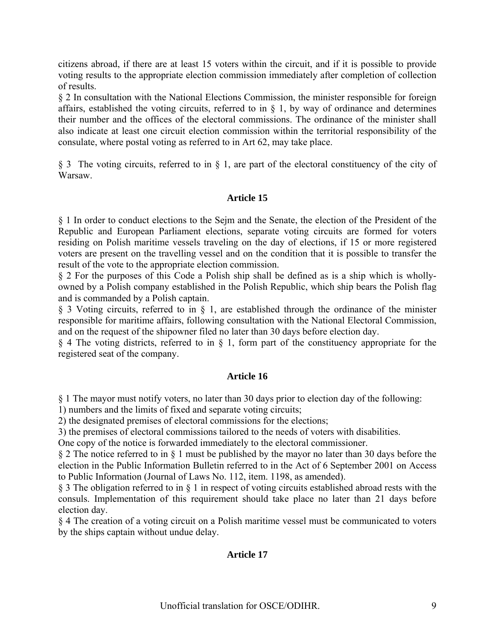citizens abroad, if there are at least 15 voters within the circuit, and if it is possible to provide voting results to the appropriate election commission immediately after completion of collection of results.

§ 2 In consultation with the National Elections Commission, the minister responsible for foreign affairs, established the voting circuits, referred to in  $\S$  1, by way of ordinance and determines their number and the offices of the electoral commissions. The ordinance of the minister shall also indicate at least one circuit election commission within the territorial responsibility of the consulate, where postal voting as referred to in Art 62, may take place.

§ 3 The voting circuits, referred to in § 1, are part of the electoral constituency of the city of Warsaw.

## **Article 15**

§ 1 In order to conduct elections to the Sejm and the Senate, the election of the President of the Republic and European Parliament elections, separate voting circuits are formed for voters residing on Polish maritime vessels traveling on the day of elections, if 15 or more registered voters are present on the travelling vessel and on the condition that it is possible to transfer the result of the vote to the appropriate election commission.

§ 2 For the purposes of this Code a Polish ship shall be defined as is a ship which is whollyowned by a Polish company established in the Polish Republic, which ship bears the Polish flag and is commanded by a Polish captain.

§ 3 Voting circuits, referred to in § 1, are established through the ordinance of the minister responsible for maritime affairs, following consultation with the National Electoral Commission, and on the request of the shipowner filed no later than 30 days before election day.

§ 4 The voting districts, referred to in § 1, form part of the constituency appropriate for the registered seat of the company.

#### **Article 16**

§ 1 The mayor must notify voters, no later than 30 days prior to election day of the following:

1) numbers and the limits of fixed and separate voting circuits;

2) the designated premises of electoral commissions for the elections;

3) the premises of electoral commissions tailored to the needs of voters with disabilities.

One copy of the notice is forwarded immediately to the electoral commissioner.

§ 2 The notice referred to in § 1 must be published by the mayor no later than 30 days before the election in the Public Information Bulletin referred to in the Act of 6 September 2001 on Access to Public Information (Journal of Laws No. 112, item. 1198, as amended).

§ 3 The obligation referred to in § 1 in respect of voting circuits established abroad rests with the consuls. Implementation of this requirement should take place no later than 21 days before election day.

§ 4 The creation of a voting circuit on a Polish maritime vessel must be communicated to voters by the ships captain without undue delay.

## **Article 17**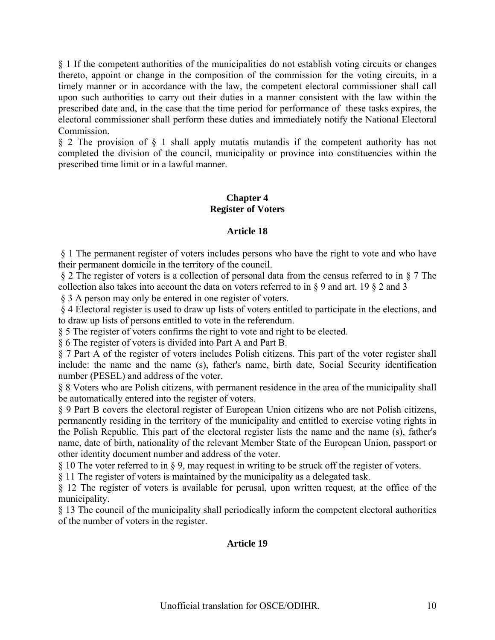§ 1 If the competent authorities of the municipalities do not establish voting circuits or changes thereto, appoint or change in the composition of the commission for the voting circuits, in a timely manner or in accordance with the law, the competent electoral commissioner shall call upon such authorities to carry out their duties in a manner consistent with the law within the prescribed date and, in the case that the time period for performance of these tasks expires, the electoral commissioner shall perform these duties and immediately notify the National Electoral Commission.

§ 2 The provision of § 1 shall apply mutatis mutandis if the competent authority has not completed the division of the council, municipality or province into constituencies within the prescribed time limit or in a lawful manner.

## **Chapter 4 Register of Voters**

## **Article 18**

 § 1 The permanent register of voters includes persons who have the right to vote and who have their permanent domicile in the territory of the council.

 § 2 The register of voters is a collection of personal data from the census referred to in § 7 The collection also takes into account the data on voters referred to in § 9 and art. 19 § 2 and 3

§ 3 A person may only be entered in one register of voters.

 § 4 Electoral register is used to draw up lists of voters entitled to participate in the elections, and to draw up lists of persons entitled to vote in the referendum.

§ 5 The register of voters confirms the right to vote and right to be elected.

§ 6 The register of voters is divided into Part A and Part B.

§ 7 Part A of the register of voters includes Polish citizens. This part of the voter register shall include: the name and the name (s), father's name, birth date, Social Security identification number (PESEL) and address of the voter.

§ 8 Voters who are Polish citizens, with permanent residence in the area of the municipality shall be automatically entered into the register of voters.

§ 9 Part B covers the electoral register of European Union citizens who are not Polish citizens, permanently residing in the territory of the municipality and entitled to exercise voting rights in the Polish Republic. This part of the electoral register lists the name and the name (s), father's name, date of birth, nationality of the relevant Member State of the European Union, passport or other identity document number and address of the voter.

§ 10 The voter referred to in § 9, may request in writing to be struck off the register of voters.

§ 11 The register of voters is maintained by the municipality as a delegated task.

§ 12 The register of voters is available for perusal, upon written request, at the office of the municipality.

§ 13 The council of the municipality shall periodically inform the competent electoral authorities of the number of voters in the register.

## **Article 19**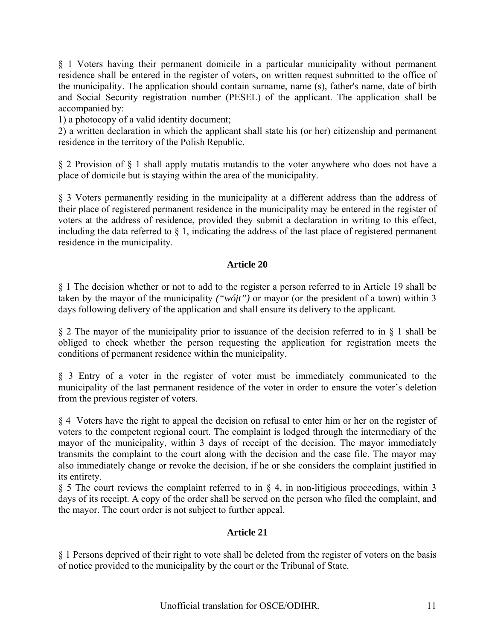§ 1 Voters having their permanent domicile in a particular municipality without permanent residence shall be entered in the register of voters, on written request submitted to the office of the municipality. The application should contain surname, name (s), father's name, date of birth and Social Security registration number (PESEL) of the applicant. The application shall be accompanied by:

1) a photocopy of a valid identity document;

2) a written declaration in which the applicant shall state his (or her) citizenship and permanent residence in the territory of the Polish Republic.

§ 2 Provision of § 1 shall apply mutatis mutandis to the voter anywhere who does not have a place of domicile but is staying within the area of the municipality.

§ 3 Voters permanently residing in the municipality at a different address than the address of their place of registered permanent residence in the municipality may be entered in the register of voters at the address of residence, provided they submit a declaration in writing to this effect, including the data referred to § 1, indicating the address of the last place of registered permanent residence in the municipality.

## **Article 20**

§ 1 The decision whether or not to add to the register a person referred to in Article 19 shall be taken by the mayor of the municipality *("wójt")* or mayor (or the president of a town) within 3 days following delivery of the application and shall ensure its delivery to the applicant.

§ 2 The mayor of the municipality prior to issuance of the decision referred to in § 1 shall be obliged to check whether the person requesting the application for registration meets the conditions of permanent residence within the municipality.

§ 3 Entry of a voter in the register of voter must be immediately communicated to the municipality of the last permanent residence of the voter in order to ensure the voter's deletion from the previous register of voters.

§ 4 Voters have the right to appeal the decision on refusal to enter him or her on the register of voters to the competent regional court. The complaint is lodged through the intermediary of the mayor of the municipality, within 3 days of receipt of the decision. The mayor immediately transmits the complaint to the court along with the decision and the case file. The mayor may also immediately change or revoke the decision, if he or she considers the complaint justified in its entirety.

§ 5 The court reviews the complaint referred to in § 4, in non-litigious proceedings, within 3 days of its receipt. A copy of the order shall be served on the person who filed the complaint, and the mayor. The court order is not subject to further appeal.

## **Article 21**

§ 1 Persons deprived of their right to vote shall be deleted from the register of voters on the basis of notice provided to the municipality by the court or the Tribunal of State.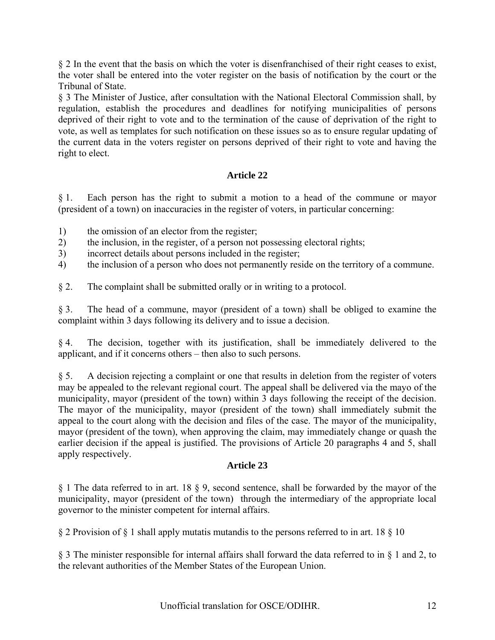§ 2 In the event that the basis on which the voter is disenfranchised of their right ceases to exist, the voter shall be entered into the voter register on the basis of notification by the court or the Tribunal of State.

§ 3 The Minister of Justice, after consultation with the National Electoral Commission shall, by regulation, establish the procedures and deadlines for notifying municipalities of persons deprived of their right to vote and to the termination of the cause of deprivation of the right to vote, as well as templates for such notification on these issues so as to ensure regular updating of the current data in the voters register on persons deprived of their right to vote and having the right to elect.

# **Article 22**

§ 1. Each person has the right to submit a motion to a head of the commune or mayor (president of a town) on inaccuracies in the register of voters, in particular concerning:

- 1) the omission of an elector from the register;
- 2) the inclusion, in the register, of a person not possessing electoral rights;
- 3) incorrect details about persons included in the register;
- 4) the inclusion of a person who does not permanently reside on the territory of a commune.
- § 2. The complaint shall be submitted orally or in writing to a protocol.

§ 3. The head of a commune, mayor (president of a town) shall be obliged to examine the complaint within 3 days following its delivery and to issue a decision.

§ 4. The decision, together with its justification, shall be immediately delivered to the applicant, and if it concerns others – then also to such persons.

§ 5. A decision rejecting a complaint or one that results in deletion from the register of voters may be appealed to the relevant regional court. The appeal shall be delivered via the mayo of the municipality, mayor (president of the town) within 3 days following the receipt of the decision. The mayor of the municipality, mayor (president of the town) shall immediately submit the appeal to the court along with the decision and files of the case. The mayor of the municipality, mayor (president of the town), when approving the claim, may immediately change or quash the earlier decision if the appeal is justified. The provisions of Article 20 paragraphs 4 and 5, shall apply respectively.

## **Article 23**

§ 1 The data referred to in art. 18 § 9, second sentence, shall be forwarded by the mayor of the municipality, mayor (president of the town) through the intermediary of the appropriate local governor to the minister competent for internal affairs.

§ 2 Provision of § 1 shall apply mutatis mutandis to the persons referred to in art. 18 § 10

§ 3 The minister responsible for internal affairs shall forward the data referred to in § 1 and 2, to the relevant authorities of the Member States of the European Union.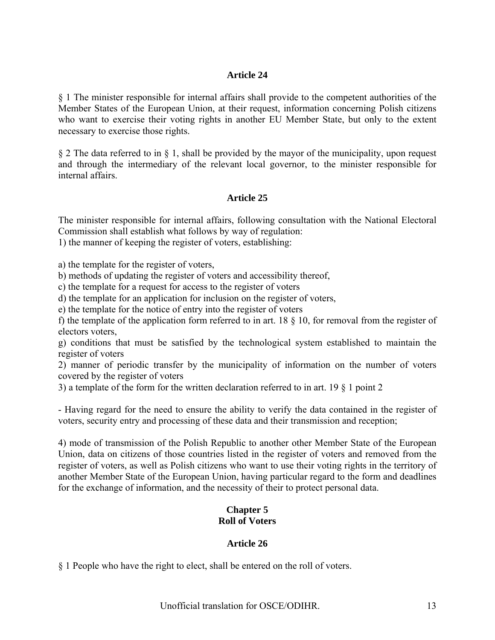### **Article 24**

§ 1 The minister responsible for internal affairs shall provide to the competent authorities of the Member States of the European Union, at their request, information concerning Polish citizens who want to exercise their voting rights in another EU Member State, but only to the extent necessary to exercise those rights.

§ 2 The data referred to in § 1, shall be provided by the mayor of the municipality, upon request and through the intermediary of the relevant local governor, to the minister responsible for internal affairs.

### **Article 25**

The minister responsible for internal affairs, following consultation with the National Electoral Commission shall establish what follows by way of regulation:

1) the manner of keeping the register of voters, establishing:

a) the template for the register of voters,

b) methods of updating the register of voters and accessibility thereof,

c) the template for a request for access to the register of voters

d) the template for an application for inclusion on the register of voters,

e) the template for the notice of entry into the register of voters

f) the template of the application form referred to in art. 18 § 10, for removal from the register of electors voters,

g) conditions that must be satisfied by the technological system established to maintain the register of voters

2) manner of periodic transfer by the municipality of information on the number of voters covered by the register of voters

3) a template of the form for the written declaration referred to in art. 19 § 1 point 2

- Having regard for the need to ensure the ability to verify the data contained in the register of voters, security entry and processing of these data and their transmission and reception;

4) mode of transmission of the Polish Republic to another other Member State of the European Union, data on citizens of those countries listed in the register of voters and removed from the register of voters, as well as Polish citizens who want to use their voting rights in the territory of another Member State of the European Union, having particular regard to the form and deadlines for the exchange of information, and the necessity of their to protect personal data.

## **Chapter 5 Roll of Voters**

#### **Article 26**

§ 1 People who have the right to elect, shall be entered on the roll of voters.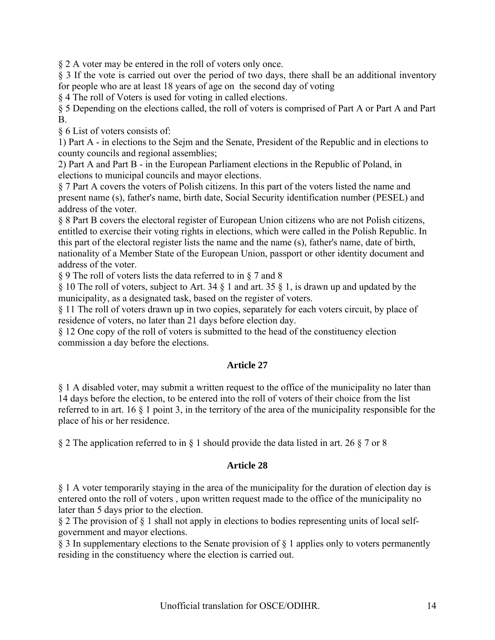§ 2 A voter may be entered in the roll of voters only once.

§ 3 If the vote is carried out over the period of two days, there shall be an additional inventory for people who are at least 18 years of age on the second day of voting

§ 4 The roll of Voters is used for voting in called elections.

§ 5 Depending on the elections called, the roll of voters is comprised of Part A or Part A and Part B.

§ 6 List of voters consists of:

1) Part A - in elections to the Sejm and the Senate, President of the Republic and in elections to county councils and regional assemblies;

2) Part A and Part B - in the European Parliament elections in the Republic of Poland, in elections to municipal councils and mayor elections.

§ 7 Part A covers the voters of Polish citizens. In this part of the voters listed the name and present name (s), father's name, birth date, Social Security identification number (PESEL) and address of the voter.

§ 8 Part B covers the electoral register of European Union citizens who are not Polish citizens, entitled to exercise their voting rights in elections, which were called in the Polish Republic. In this part of the electoral register lists the name and the name (s), father's name, date of birth, nationality of a Member State of the European Union, passport or other identity document and address of the voter.

§ 9 The roll of voters lists the data referred to in § 7 and 8

§ 10 The roll of voters, subject to Art. 34 § 1 and art. 35 § 1, is drawn up and updated by the municipality, as a designated task, based on the register of voters.

§ 11 The roll of voters drawn up in two copies, separately for each voters circuit, by place of residence of voters, no later than 21 days before election day.

§ 12 One copy of the roll of voters is submitted to the head of the constituency election commission a day before the elections.

# **Article 27**

§ 1 A disabled voter, may submit a written request to the office of the municipality no later than 14 days before the election, to be entered into the roll of voters of their choice from the list referred to in art. 16 § 1 point 3, in the territory of the area of the municipality responsible for the place of his or her residence.

§ 2 The application referred to in § 1 should provide the data listed in art. 26 § 7 or 8

# **Article 28**

§ 1 A voter temporarily staying in the area of the municipality for the duration of election day is entered onto the roll of voters , upon written request made to the office of the municipality no later than 5 days prior to the election.

§ 2 The provision of § 1 shall not apply in elections to bodies representing units of local selfgovernment and mayor elections.

§ 3 In supplementary elections to the Senate provision of § 1 applies only to voters permanently residing in the constituency where the election is carried out.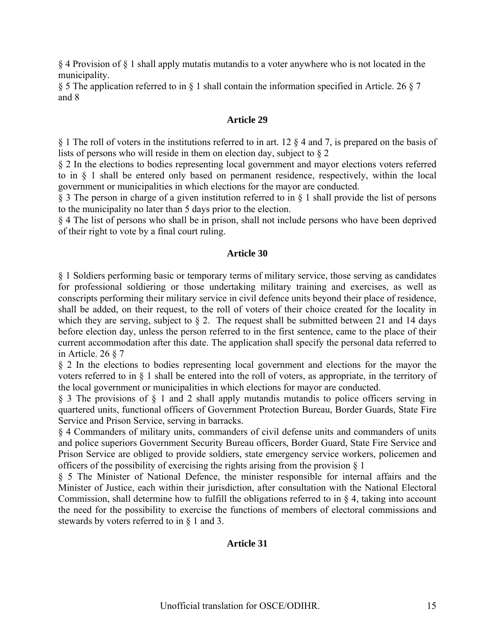§ 4 Provision of § 1 shall apply mutatis mutandis to a voter anywhere who is not located in the municipality.

§ 5 The application referred to in § 1 shall contain the information specified in Article. 26 § 7 and 8

#### **Article 29**

§ 1 The roll of voters in the institutions referred to in art. 12 § 4 and 7, is prepared on the basis of lists of persons who will reside in them on election day, subject to § 2

§ 2 In the elections to bodies representing local government and mayor elections voters referred to in § 1 shall be entered only based on permanent residence, respectively, within the local government or municipalities in which elections for the mayor are conducted.

§ 3 The person in charge of a given institution referred to in § 1 shall provide the list of persons to the municipality no later than 5 days prior to the election.

§ 4 The list of persons who shall be in prison, shall not include persons who have been deprived of their right to vote by a final court ruling.

#### **Article 30**

§ 1 Soldiers performing basic or temporary terms of military service, those serving as candidates for professional soldiering or those undertaking military training and exercises, as well as conscripts performing their military service in civil defence units beyond their place of residence, shall be added, on their request, to the roll of voters of their choice created for the locality in which they are serving, subject to  $\S$  2. The request shall be submitted between 21 and 14 days before election day, unless the person referred to in the first sentence, came to the place of their current accommodation after this date. The application shall specify the personal data referred to in Article. 26 § 7

§ 2 In the elections to bodies representing local government and elections for the mayor the voters referred to in § 1 shall be entered into the roll of voters, as appropriate, in the territory of the local government or municipalities in which elections for mayor are conducted.

§ 3 The provisions of § 1 and 2 shall apply mutandis mutandis to police officers serving in quartered units, functional officers of Government Protection Bureau, Border Guards, State Fire Service and Prison Service, serving in barracks.

§ 4 Commanders of military units, commanders of civil defense units and commanders of units and police superiors Government Security Bureau officers, Border Guard, State Fire Service and Prison Service are obliged to provide soldiers, state emergency service workers, policemen and officers of the possibility of exercising the rights arising from the provision § 1

§ 5 The Minister of National Defence, the minister responsible for internal affairs and the Minister of Justice, each within their jurisdiction, after consultation with the National Electoral Commission, shall determine how to fulfill the obligations referred to in § 4, taking into account the need for the possibility to exercise the functions of members of electoral commissions and stewards by voters referred to in § 1 and 3.

## **Article 31**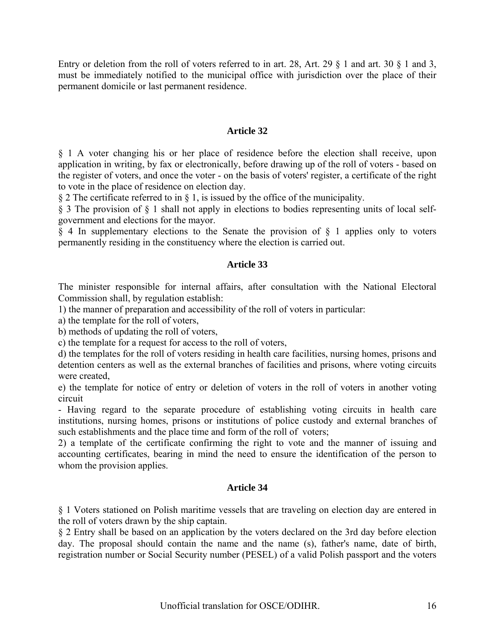Entry or deletion from the roll of voters referred to in art. 28, Art. 29  $\S$  1 and art. 30  $\S$  1 and 3, must be immediately notified to the municipal office with jurisdiction over the place of their permanent domicile or last permanent residence.

### **Article 32**

§ 1 A voter changing his or her place of residence before the election shall receive, upon application in writing, by fax or electronically, before drawing up of the roll of voters - based on the register of voters, and once the voter - on the basis of voters' register, a certificate of the right to vote in the place of residence on election day.

§ 2 The certificate referred to in § 1, is issued by the office of the municipality.

§ 3 The provision of § 1 shall not apply in elections to bodies representing units of local selfgovernment and elections for the mayor.

§ 4 In supplementary elections to the Senate the provision of § 1 applies only to voters permanently residing in the constituency where the election is carried out.

### **Article 33**

The minister responsible for internal affairs, after consultation with the National Electoral Commission shall, by regulation establish:

1) the manner of preparation and accessibility of the roll of voters in particular:

a) the template for the roll of voters,

b) methods of updating the roll of voters,

c) the template for a request for access to the roll of voters,

d) the templates for the roll of voters residing in health care facilities, nursing homes, prisons and detention centers as well as the external branches of facilities and prisons, where voting circuits were created,

e) the template for notice of entry or deletion of voters in the roll of voters in another voting circuit

- Having regard to the separate procedure of establishing voting circuits in health care institutions, nursing homes, prisons or institutions of police custody and external branches of such establishments and the place time and form of the roll of voters;

2) a template of the certificate confirming the right to vote and the manner of issuing and accounting certificates, bearing in mind the need to ensure the identification of the person to whom the provision applies.

## **Article 34**

§ 1 Voters stationed on Polish maritime vessels that are traveling on election day are entered in the roll of voters drawn by the ship captain.

§ 2 Entry shall be based on an application by the voters declared on the 3rd day before election day. The proposal should contain the name and the name (s), father's name, date of birth, registration number or Social Security number (PESEL) of a valid Polish passport and the voters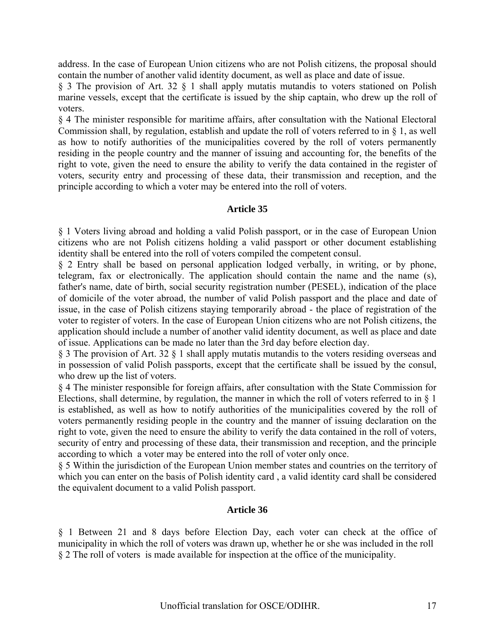address. In the case of European Union citizens who are not Polish citizens, the proposal should contain the number of another valid identity document, as well as place and date of issue.

§ 3 The provision of Art. 32 § 1 shall apply mutatis mutandis to voters stationed on Polish marine vessels, except that the certificate is issued by the ship captain, who drew up the roll of voters.

§ 4 The minister responsible for maritime affairs, after consultation with the National Electoral Commission shall, by regulation, establish and update the roll of voters referred to in § 1, as well as how to notify authorities of the municipalities covered by the roll of voters permanently residing in the people country and the manner of issuing and accounting for, the benefits of the right to vote, given the need to ensure the ability to verify the data contained in the register of voters, security entry and processing of these data, their transmission and reception, and the principle according to which a voter may be entered into the roll of voters.

### **Article 35**

§ 1 Voters living abroad and holding a valid Polish passport, or in the case of European Union citizens who are not Polish citizens holding a valid passport or other document establishing identity shall be entered into the roll of voters compiled the competent consul.

§ 2 Entry shall be based on personal application lodged verbally, in writing, or by phone, telegram, fax or electronically. The application should contain the name and the name (s), father's name, date of birth, social security registration number (PESEL), indication of the place of domicile of the voter abroad, the number of valid Polish passport and the place and date of issue, in the case of Polish citizens staying temporarily abroad - the place of registration of the voter to register of voters. In the case of European Union citizens who are not Polish citizens, the application should include a number of another valid identity document, as well as place and date of issue. Applications can be made no later than the 3rd day before election day.

§ 3 The provision of Art. 32 § 1 shall apply mutatis mutandis to the voters residing overseas and in possession of valid Polish passports, except that the certificate shall be issued by the consul, who drew up the list of voters.

§ 4 The minister responsible for foreign affairs, after consultation with the State Commission for Elections, shall determine, by regulation, the manner in which the roll of voters referred to in § 1 is established, as well as how to notify authorities of the municipalities covered by the roll of voters permanently residing people in the country and the manner of issuing declaration on the right to vote, given the need to ensure the ability to verify the data contained in the roll of voters, security of entry and processing of these data, their transmission and reception, and the principle according to which a voter may be entered into the roll of voter only once.

§ 5 Within the jurisdiction of the European Union member states and countries on the territory of which you can enter on the basis of Polish identity card, a valid identity card shall be considered the equivalent document to a valid Polish passport.

#### **Article 36**

§ 1 Between 21 and 8 days before Election Day, each voter can check at the office of municipality in which the roll of voters was drawn up, whether he or she was included in the roll § 2 The roll of voters is made available for inspection at the office of the municipality.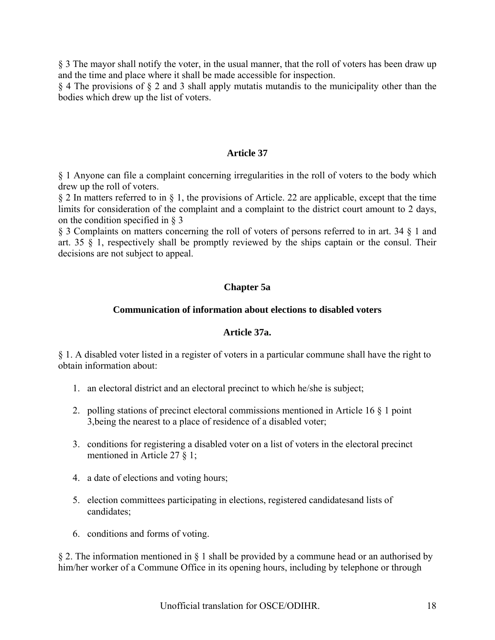§ 3 The mayor shall notify the voter, in the usual manner, that the roll of voters has been draw up and the time and place where it shall be made accessible for inspection.

§ 4 The provisions of § 2 and 3 shall apply mutatis mutandis to the municipality other than the bodies which drew up the list of voters.

### **Article 37**

§ 1 Anyone can file a complaint concerning irregularities in the roll of voters to the body which drew up the roll of voters.

§ 2 In matters referred to in § 1, the provisions of Article. 22 are applicable, except that the time limits for consideration of the complaint and a complaint to the district court amount to 2 days, on the condition specified in § 3

§ 3 Complaints on matters concerning the roll of voters of persons referred to in art. 34 § 1 and art. 35 § 1, respectively shall be promptly reviewed by the ships captain or the consul. Their decisions are not subject to appeal.

## **Chapter 5a**

### **Communication of information about elections to disabled voters**

#### **Article 37a.**

§ 1. A disabled voter listed in a register of voters in a particular commune shall have the right to obtain information about:

- 1. an electoral district and an electoral precinct to which he/she is subject;
- 2. polling stations of precinct electoral commissions mentioned in Article 16 § 1 point 3,being the nearest to a place of residence of a disabled voter;
- 3. conditions for registering a disabled voter on a list of voters in the electoral precinct mentioned in Article 27 § 1;
- 4. a date of elections and voting hours;
- 5. election committees participating in elections, registered candidatesand lists of candidates;
- 6. conditions and forms of voting.

§ 2. The information mentioned in § 1 shall be provided by a commune head or an authorised by him/her worker of a Commune Office in its opening hours, including by telephone or through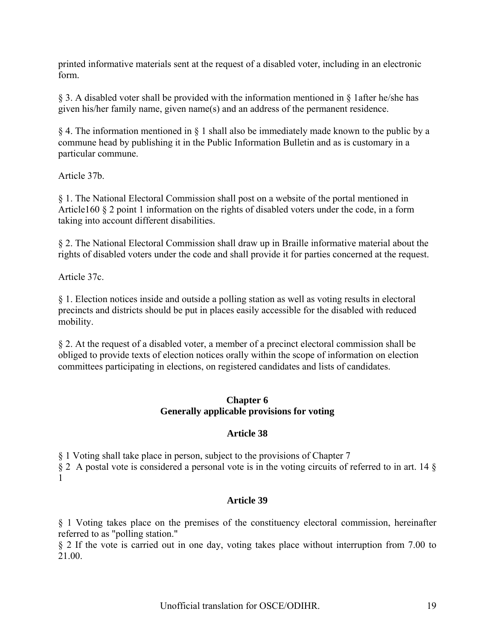printed informative materials sent at the request of a disabled voter, including in an electronic form.

§ 3. A disabled voter shall be provided with the information mentioned in § 1after he/she has given his/her family name, given name(s) and an address of the permanent residence.

§ 4. The information mentioned in § 1 shall also be immediately made known to the public by a commune head by publishing it in the Public Information Bulletin and as is customary in a particular commune.

Article 37b.

§ 1. The National Electoral Commission shall post on a website of the portal mentioned in Article160 § 2 point 1 information on the rights of disabled voters under the code, in a form taking into account different disabilities.

§ 2. The National Electoral Commission shall draw up in Braille informative material about the rights of disabled voters under the code and shall provide it for parties concerned at the request.

Article 37c.

§ 1. Election notices inside and outside a polling station as well as voting results in electoral precincts and districts should be put in places easily accessible for the disabled with reduced mobility.

§ 2. At the request of a disabled voter, a member of a precinct electoral commission shall be obliged to provide texts of election notices orally within the scope of information on election committees participating in elections, on registered candidates and lists of candidates.

### **Chapter 6 Generally applicable provisions for voting**

## **Article 38**

§ 1 Voting shall take place in person, subject to the provisions of Chapter 7

§ 2 A postal vote is considered a personal vote is in the voting circuits of referred to in art. 14 § 1

## **Article 39**

§ 1 Voting takes place on the premises of the constituency electoral commission, hereinafter referred to as "polling station."

§ 2 If the vote is carried out in one day, voting takes place without interruption from 7.00 to 21.00.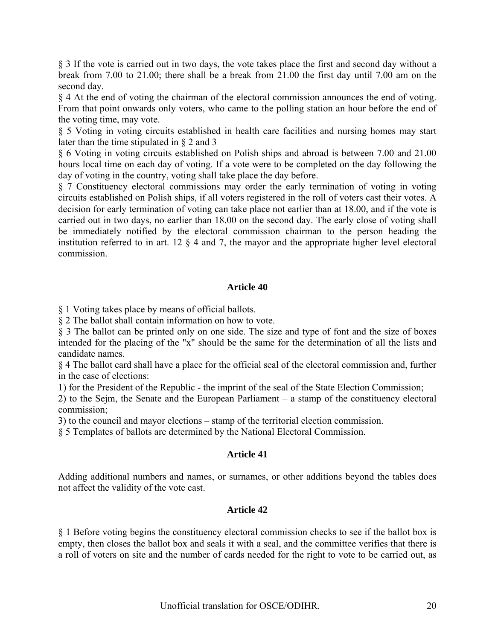§ 3 If the vote is carried out in two days, the vote takes place the first and second day without a break from 7.00 to 21.00; there shall be a break from 21.00 the first day until 7.00 am on the second day.

§ 4 At the end of voting the chairman of the electoral commission announces the end of voting. From that point onwards only voters, who came to the polling station an hour before the end of the voting time, may vote.

§ 5 Voting in voting circuits established in health care facilities and nursing homes may start later than the time stipulated in § 2 and 3

§ 6 Voting in voting circuits established on Polish ships and abroad is between 7.00 and 21.00 hours local time on each day of voting. If a vote were to be completed on the day following the day of voting in the country, voting shall take place the day before.

§ 7 Constituency electoral commissions may order the early termination of voting in voting circuits established on Polish ships, if all voters registered in the roll of voters cast their votes. A decision for early termination of voting can take place not earlier than at 18.00, and if the vote is carried out in two days, no earlier than 18.00 on the second day. The early close of voting shall be immediately notified by the electoral commission chairman to the person heading the institution referred to in art. 12 § 4 and 7, the mayor and the appropriate higher level electoral commission.

### **Article 40**

§ 1 Voting takes place by means of official ballots.

§ 2 The ballot shall contain information on how to vote.

§ 3 The ballot can be printed only on one side. The size and type of font and the size of boxes intended for the placing of the "x" should be the same for the determination of all the lists and candidate names.

§ 4 The ballot card shall have a place for the official seal of the electoral commission and, further in the case of elections:

1) for the President of the Republic - the imprint of the seal of the State Election Commission;

2) to the Sejm, the Senate and the European Parliament – a stamp of the constituency electoral commission;

3) to the council and mayor elections – stamp of the territorial election commission.

§ 5 Templates of ballots are determined by the National Electoral Commission.

## **Article 41**

Adding additional numbers and names, or surnames, or other additions beyond the tables does not affect the validity of the vote cast.

#### **Article 42**

§ 1 Before voting begins the constituency electoral commission checks to see if the ballot box is empty, then closes the ballot box and seals it with a seal, and the committee verifies that there is a roll of voters on site and the number of cards needed for the right to vote to be carried out, as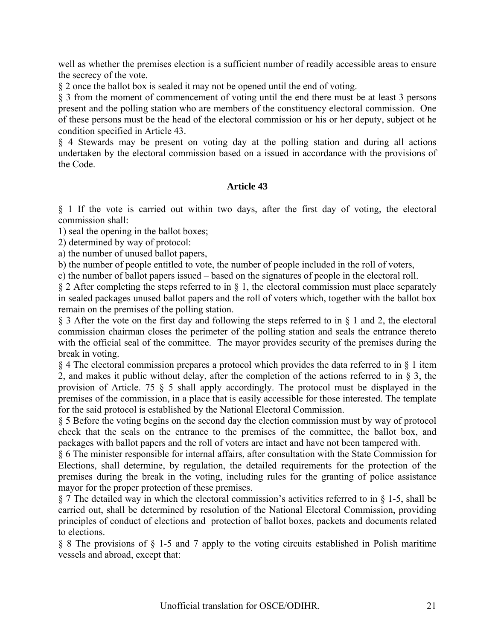well as whether the premises election is a sufficient number of readily accessible areas to ensure the secrecy of the vote.

§ 2 once the ballot box is sealed it may not be opened until the end of voting.

§ 3 from the moment of commencement of voting until the end there must be at least 3 persons present and the polling station who are members of the constituency electoral commission. One of these persons must be the head of the electoral commission or his or her deputy, subject ot he condition specified in Article 43.

§ 4 Stewards may be present on voting day at the polling station and during all actions undertaken by the electoral commission based on a issued in accordance with the provisions of the Code.

### **Article 43**

§ 1 If the vote is carried out within two days, after the first day of voting, the electoral commission shall:

1) seal the opening in the ballot boxes;

2) determined by way of protocol:

a) the number of unused ballot papers,

b) the number of people entitled to vote, the number of people included in the roll of voters,

c) the number of ballot papers issued – based on the signatures of people in the electoral roll.

 $\S 2$  After completing the steps referred to in  $\S 1$ , the electoral commission must place separately in sealed packages unused ballot papers and the roll of voters which, together with the ballot box remain on the premises of the polling station.

§ 3 After the vote on the first day and following the steps referred to in § 1 and 2, the electoral commission chairman closes the perimeter of the polling station and seals the entrance thereto with the official seal of the committee. The mayor provides security of the premises during the break in voting.

§ 4 The electoral commission prepares a protocol which provides the data referred to in § 1 item 2, and makes it public without delay, after the completion of the actions referred to in  $\hat{g}$  3, the provision of Article. 75 § 5 shall apply accordingly. The protocol must be displayed in the premises of the commission, in a place that is easily accessible for those interested. The template for the said protocol is established by the National Electoral Commission.

§ 5 Before the voting begins on the second day the election commission must by way of protocol check that the seals on the entrance to the premises of the committee, the ballot box, and packages with ballot papers and the roll of voters are intact and have not been tampered with.

§ 6 The minister responsible for internal affairs, after consultation with the State Commission for Elections, shall determine, by regulation, the detailed requirements for the protection of the premises during the break in the voting, including rules for the granting of police assistance mayor for the proper protection of these premises.

§ 7 The detailed way in which the electoral commission's activities referred to in § 1-5, shall be carried out, shall be determined by resolution of the National Electoral Commission, providing principles of conduct of elections and protection of ballot boxes, packets and documents related to elections.

§ 8 The provisions of § 1-5 and 7 apply to the voting circuits established in Polish maritime vessels and abroad, except that: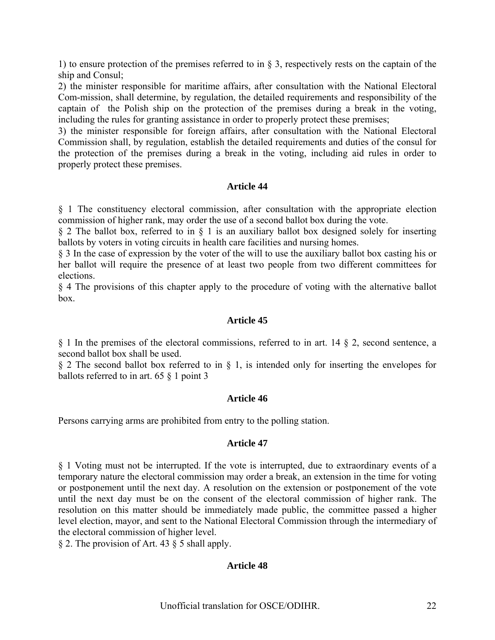1) to ensure protection of the premises referred to in § 3, respectively rests on the captain of the ship and Consul;

2) the minister responsible for maritime affairs, after consultation with the National Electoral Com-mission, shall determine, by regulation, the detailed requirements and responsibility of the captain of the Polish ship on the protection of the premises during a break in the voting, including the rules for granting assistance in order to properly protect these premises;

3) the minister responsible for foreign affairs, after consultation with the National Electoral Commission shall, by regulation, establish the detailed requirements and duties of the consul for the protection of the premises during a break in the voting, including aid rules in order to properly protect these premises.

### **Article 44**

§ 1 The constituency electoral commission, after consultation with the appropriate election commission of higher rank, may order the use of a second ballot box during the vote.

§ 2 The ballot box, referred to in § 1 is an auxiliary ballot box designed solely for inserting ballots by voters in voting circuits in health care facilities and nursing homes.

§ 3 In the case of expression by the voter of the will to use the auxiliary ballot box casting his or her ballot will require the presence of at least two people from two different committees for elections.

§ 4 The provisions of this chapter apply to the procedure of voting with the alternative ballot box.

#### **Article 45**

§ 1 In the premises of the electoral commissions, referred to in art. 14 § 2, second sentence, a second ballot box shall be used.

§ 2 The second ballot box referred to in § 1, is intended only for inserting the envelopes for ballots referred to in art. 65 § 1 point 3

#### **Article 46**

Persons carrying arms are prohibited from entry to the polling station.

#### **Article 47**

§ 1 Voting must not be interrupted. If the vote is interrupted, due to extraordinary events of a temporary nature the electoral commission may order a break, an extension in the time for voting or postponement until the next day. A resolution on the extension or postponement of the vote until the next day must be on the consent of the electoral commission of higher rank. The resolution on this matter should be immediately made public, the committee passed a higher level election, mayor, and sent to the National Electoral Commission through the intermediary of the electoral commission of higher level.

§ 2. The provision of Art. 43 § 5 shall apply.

#### **Article 48**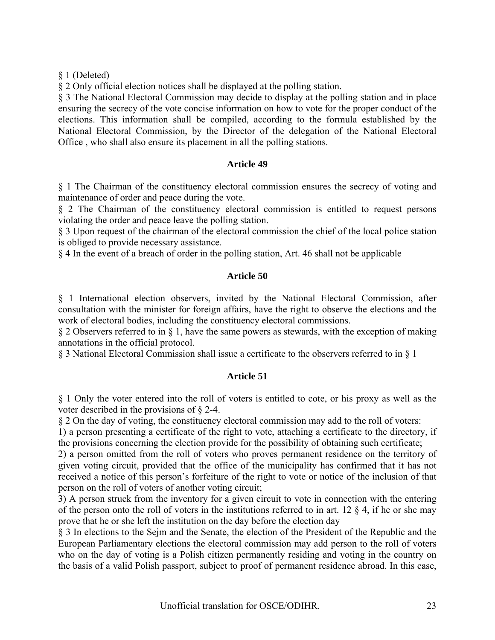§ 1 (Deleted)

§ 2 Only official election notices shall be displayed at the polling station.

§ 3 The National Electoral Commission may decide to display at the polling station and in place ensuring the secrecy of the vote concise information on how to vote for the proper conduct of the elections. This information shall be compiled, according to the formula established by the National Electoral Commission, by the Director of the delegation of the National Electoral Office , who shall also ensure its placement in all the polling stations.

### **Article 49**

§ 1 The Chairman of the constituency electoral commission ensures the secrecy of voting and maintenance of order and peace during the vote.

§ 2 The Chairman of the constituency electoral commission is entitled to request persons violating the order and peace leave the polling station.

§ 3 Upon request of the chairman of the electoral commission the chief of the local police station is obliged to provide necessary assistance.

§ 4 In the event of a breach of order in the polling station, Art. 46 shall not be applicable

### **Article 50**

§ 1 International election observers, invited by the National Electoral Commission, after consultation with the minister for foreign affairs, have the right to observe the elections and the work of electoral bodies, including the constituency electoral commissions.

§ 2 Observers referred to in § 1, have the same powers as stewards, with the exception of making annotations in the official protocol.

§ 3 National Electoral Commission shall issue a certificate to the observers referred to in § 1

## **Article 51**

§ 1 Only the voter entered into the roll of voters is entitled to cote, or his proxy as well as the voter described in the provisions of § 2-4.

§ 2 On the day of voting, the constituency electoral commission may add to the roll of voters:

1) a person presenting a certificate of the right to vote, attaching a certificate to the directory, if the provisions concerning the election provide for the possibility of obtaining such certificate;

2) a person omitted from the roll of voters who proves permanent residence on the territory of given voting circuit, provided that the office of the municipality has confirmed that it has not received a notice of this person's forfeiture of the right to vote or notice of the inclusion of that person on the roll of voters of another voting circuit;

3) A person struck from the inventory for a given circuit to vote in connection with the entering of the person onto the roll of voters in the institutions referred to in art. 12  $\S$  4, if he or she may prove that he or she left the institution on the day before the election day

§ 3 In elections to the Sejm and the Senate, the election of the President of the Republic and the European Parliamentary elections the electoral commission may add person to the roll of voters who on the day of voting is a Polish citizen permanently residing and voting in the country on the basis of a valid Polish passport, subject to proof of permanent residence abroad. In this case,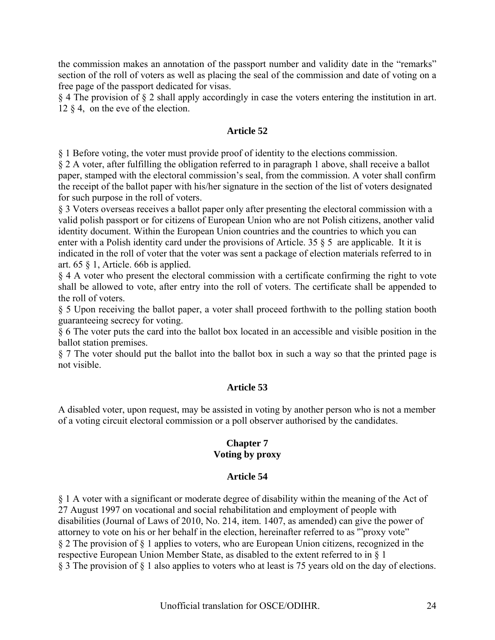the commission makes an annotation of the passport number and validity date in the "remarks" section of the roll of voters as well as placing the seal of the commission and date of voting on a free page of the passport dedicated for visas.

§ 4 The provision of § 2 shall apply accordingly in case the voters entering the institution in art. 12 § 4, on the eve of the election.

### **Article 52**

§ 1 Before voting, the voter must provide proof of identity to the elections commission.

§ 2 A voter, after fulfilling the obligation referred to in paragraph 1 above, shall receive a ballot paper, stamped with the electoral commission's seal, from the commission. A voter shall confirm the receipt of the ballot paper with his/her signature in the section of the list of voters designated for such purpose in the roll of voters.

§ 3 Voters overseas receives a ballot paper only after presenting the electoral commission with a valid polish passport or for citizens of European Union who are not Polish citizens, another valid identity document. Within the European Union countries and the countries to which you can enter with a Polish identity card under the provisions of Article. 35 § 5 are applicable. It it is indicated in the roll of voter that the voter was sent a package of election materials referred to in art. 65 § 1, Article. 66b is applied.

§ 4 A voter who present the electoral commission with a certificate confirming the right to vote shall be allowed to vote, after entry into the roll of voters. The certificate shall be appended to the roll of voters.

§ 5 Upon receiving the ballot paper, a voter shall proceed forthwith to the polling station booth guaranteeing secrecy for voting.

§ 6 The voter puts the card into the ballot box located in an accessible and visible position in the ballot station premises.

§ 7 The voter should put the ballot into the ballot box in such a way so that the printed page is not visible.

## **Article 53**

A disabled voter, upon request, may be assisted in voting by another person who is not a member of a voting circuit electoral commission or a poll observer authorised by the candidates.

### **Chapter 7 Voting by proxy**

#### **Article 54**

§ 1 A voter with a significant or moderate degree of disability within the meaning of the Act of 27 August 1997 on vocational and social rehabilitation and employment of people with disabilities (Journal of Laws of 2010, No. 214, item. 1407, as amended) can give the power of attorney to vote on his or her behalf in the election, hereinafter referred to as '"proxy vote" § 2 The provision of § 1 applies to voters, who are European Union citizens, recognized in the respective European Union Member State, as disabled to the extent referred to in § 1 § 3 The provision of § 1 also applies to voters who at least is 75 years old on the day of elections.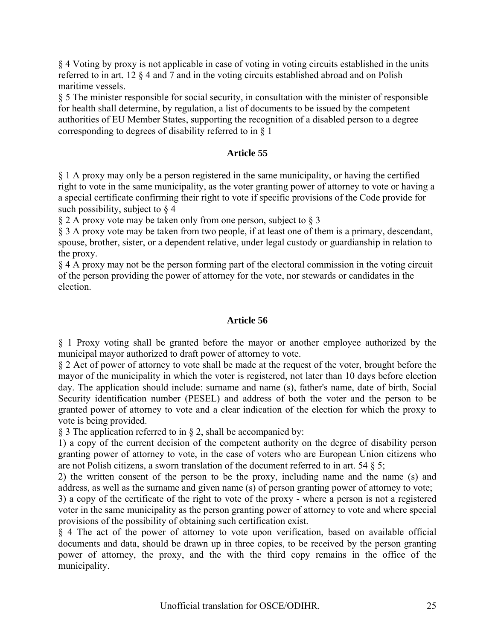§ 4 Voting by proxy is not applicable in case of voting in voting circuits established in the units referred to in art. 12 § 4 and 7 and in the voting circuits established abroad and on Polish maritime vessels.

§ 5 The minister responsible for social security, in consultation with the minister of responsible for health shall determine, by regulation, a list of documents to be issued by the competent authorities of EU Member States, supporting the recognition of a disabled person to a degree corresponding to degrees of disability referred to in § 1

### **Article 55**

§ 1 A proxy may only be a person registered in the same municipality, or having the certified right to vote in the same municipality, as the voter granting power of attorney to vote or having a a special certificate confirming their right to vote if specific provisions of the Code provide for such possibility, subject to  $\S$  4

§ 2 A proxy vote may be taken only from one person, subject to § 3

§ 3 A proxy vote may be taken from two people, if at least one of them is a primary, descendant, spouse, brother, sister, or a dependent relative, under legal custody or guardianship in relation to the proxy.

§ 4 A proxy may not be the person forming part of the electoral commission in the voting circuit of the person providing the power of attorney for the vote, nor stewards or candidates in the election.

### **Article 56**

§ 1 Proxy voting shall be granted before the mayor or another employee authorized by the municipal mayor authorized to draft power of attorney to vote.

§ 2 Act of power of attorney to vote shall be made at the request of the voter, brought before the mayor of the municipality in which the voter is registered, not later than 10 days before election day. The application should include: surname and name (s), father's name, date of birth, Social Security identification number (PESEL) and address of both the voter and the person to be granted power of attorney to vote and a clear indication of the election for which the proxy to vote is being provided.

§ 3 The application referred to in § 2, shall be accompanied by:

1) a copy of the current decision of the competent authority on the degree of disability person granting power of attorney to vote, in the case of voters who are European Union citizens who are not Polish citizens, a sworn translation of the document referred to in art. 54  $\S$  5;

2) the written consent of the person to be the proxy, including name and the name (s) and address, as well as the surname and given name (s) of person granting power of attorney to vote;

3) a copy of the certificate of the right to vote of the proxy - where a person is not a registered voter in the same municipality as the person granting power of attorney to vote and where special provisions of the possibility of obtaining such certification exist.

§ 4 The act of the power of attorney to vote upon verification, based on available official documents and data, should be drawn up in three copies, to be received by the person granting power of attorney, the proxy, and the with the third copy remains in the office of the municipality.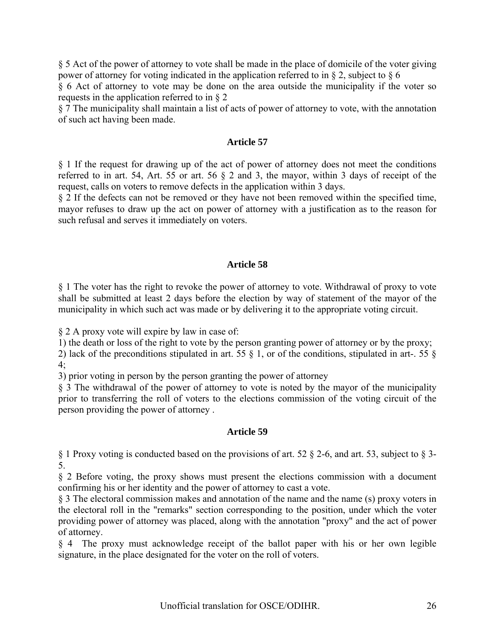§ 5 Act of the power of attorney to vote shall be made in the place of domicile of the voter giving power of attorney for voting indicated in the application referred to in § 2, subject to § 6

§ 6 Act of attorney to vote may be done on the area outside the municipality if the voter so requests in the application referred to in § 2

§ 7 The municipality shall maintain a list of acts of power of attorney to vote, with the annotation of such act having been made.

#### **Article 57**

§ 1 If the request for drawing up of the act of power of attorney does not meet the conditions referred to in art. 54, Art. 55 or art. 56 § 2 and 3, the mayor, within 3 days of receipt of the request, calls on voters to remove defects in the application within 3 days.

§ 2 If the defects can not be removed or they have not been removed within the specified time, mayor refuses to draw up the act on power of attorney with a justification as to the reason for such refusal and serves it immediately on voters.

#### **Article 58**

§ 1 The voter has the right to revoke the power of attorney to vote. Withdrawal of proxy to vote shall be submitted at least 2 days before the election by way of statement of the mayor of the municipality in which such act was made or by delivering it to the appropriate voting circuit.

§ 2 A proxy vote will expire by law in case of:

1) the death or loss of the right to vote by the person granting power of attorney or by the proxy;

2) lack of the preconditions stipulated in art. 55  $\S$  1, or of the conditions, stipulated in art-. 55  $\S$  $4:$ 

3) prior voting in person by the person granting the power of attorney

§ 3 The withdrawal of the power of attorney to vote is noted by the mayor of the municipality prior to transferring the roll of voters to the elections commission of the voting circuit of the person providing the power of attorney .

## **Article 59**

§ 1 Proxy voting is conducted based on the provisions of art. 52 § 2-6, and art. 53, subject to § 3- 5.

§ 2 Before voting, the proxy shows must present the elections commission with a document confirming his or her identity and the power of attorney to cast a vote.

§ 3 The electoral commission makes and annotation of the name and the name (s) proxy voters in the electoral roll in the "remarks" section corresponding to the position, under which the voter providing power of attorney was placed, along with the annotation "proxy" and the act of power of attorney.

§ 4 The proxy must acknowledge receipt of the ballot paper with his or her own legible signature, in the place designated for the voter on the roll of voters.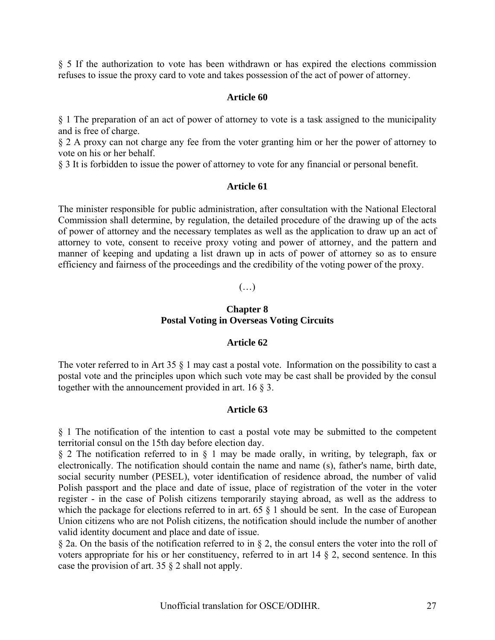§ 5 If the authorization to vote has been withdrawn or has expired the elections commission refuses to issue the proxy card to vote and takes possession of the act of power of attorney.

#### **Article 60**

§ 1 The preparation of an act of power of attorney to vote is a task assigned to the municipality and is free of charge.

§ 2 A proxy can not charge any fee from the voter granting him or her the power of attorney to vote on his or her behalf.

§ 3 It is forbidden to issue the power of attorney to vote for any financial or personal benefit.

#### **Article 61**

The minister responsible for public administration, after consultation with the National Electoral Commission shall determine, by regulation, the detailed procedure of the drawing up of the acts of power of attorney and the necessary templates as well as the application to draw up an act of attorney to vote, consent to receive proxy voting and power of attorney, and the pattern and manner of keeping and updating a list drawn up in acts of power of attorney so as to ensure efficiency and fairness of the proceedings and the credibility of the voting power of the proxy.

#### $(\ldots)$

#### **Chapter 8 Postal Voting in Overseas Voting Circuits**

#### **Article 62**

The voter referred to in Art 35 § 1 may cast a postal vote. Information on the possibility to cast a postal vote and the principles upon which such vote may be cast shall be provided by the consul together with the announcement provided in art. 16  $\S$  3.

#### **Article 63**

§ 1 The notification of the intention to cast a postal vote may be submitted to the competent territorial consul on the 15th day before election day.

§ 2 The notification referred to in § 1 may be made orally, in writing, by telegraph, fax or electronically. The notification should contain the name and name (s), father's name, birth date, social security number (PESEL), voter identification of residence abroad, the number of valid Polish passport and the place and date of issue, place of registration of the voter in the voter register - in the case of Polish citizens temporarily staying abroad, as well as the address to which the package for elections referred to in art. 65  $\S$  1 should be sent. In the case of European Union citizens who are not Polish citizens, the notification should include the number of another valid identity document and place and date of issue.

§ 2a. On the basis of the notification referred to in § 2, the consul enters the voter into the roll of voters appropriate for his or her constituency, referred to in art 14 § 2, second sentence. In this case the provision of art. 35 § 2 shall not apply.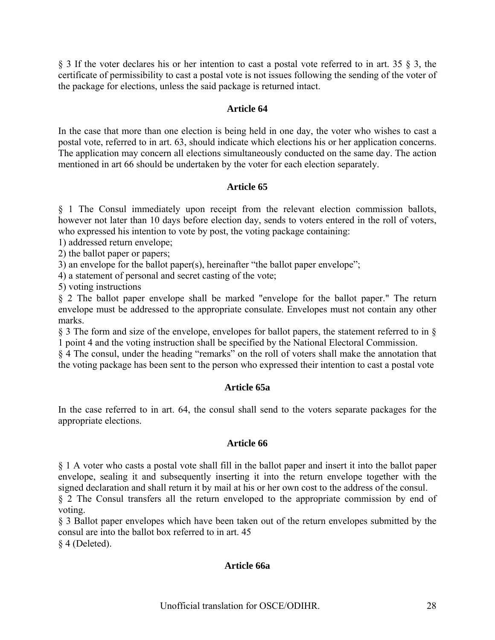§ 3 If the voter declares his or her intention to cast a postal vote referred to in art. 35 § 3, the certificate of permissibility to cast a postal vote is not issues following the sending of the voter of the package for elections, unless the said package is returned intact.

### **Article 64**

In the case that more than one election is being held in one day, the voter who wishes to cast a postal vote, referred to in art. 63, should indicate which elections his or her application concerns. The application may concern all elections simultaneously conducted on the same day. The action mentioned in art 66 should be undertaken by the voter for each election separately.

### **Article 65**

§ 1 The Consul immediately upon receipt from the relevant election commission ballots, however not later than 10 days before election day, sends to voters entered in the roll of voters, who expressed his intention to vote by post, the voting package containing:

1) addressed return envelope;

2) the ballot paper or papers;

3) an envelope for the ballot paper(s), hereinafter "the ballot paper envelope";

4) a statement of personal and secret casting of the vote;

5) voting instructions

§ 2 The ballot paper envelope shall be marked "envelope for the ballot paper." The return envelope must be addressed to the appropriate consulate. Envelopes must not contain any other marks.

§ 3 The form and size of the envelope, envelopes for ballot papers, the statement referred to in § 1 point 4 and the voting instruction shall be specified by the National Electoral Commission.

§ 4 The consul, under the heading "remarks" on the roll of voters shall make the annotation that the voting package has been sent to the person who expressed their intention to cast a postal vote

#### **Article 65a**

In the case referred to in art. 64, the consul shall send to the voters separate packages for the appropriate elections.

#### **Article 66**

§ 1 A voter who casts a postal vote shall fill in the ballot paper and insert it into the ballot paper envelope, sealing it and subsequently inserting it into the return envelope together with the signed declaration and shall return it by mail at his or her own cost to the address of the consul.

§ 2 The Consul transfers all the return enveloped to the appropriate commission by end of voting.

§ 3 Ballot paper envelopes which have been taken out of the return envelopes submitted by the consul are into the ballot box referred to in art. 45

§ 4 (Deleted).

#### **Article 66a**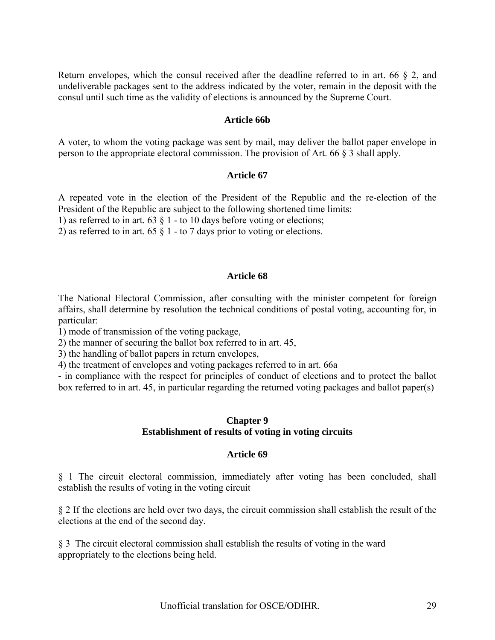Return envelopes, which the consul received after the deadline referred to in art. 66 § 2, and undeliverable packages sent to the address indicated by the voter, remain in the deposit with the consul until such time as the validity of elections is announced by the Supreme Court.

#### **Article 66b**

A voter, to whom the voting package was sent by mail, may deliver the ballot paper envelope in person to the appropriate electoral commission. The provision of Art. 66 § 3 shall apply.

#### **Article 67**

A repeated vote in the election of the President of the Republic and the re-election of the President of the Republic are subject to the following shortened time limits:

1) as referred to in art. 63  $\S$  1 - to 10 days before voting or elections;

2) as referred to in art. 65  $\S$  1 - to 7 days prior to voting or elections.

#### **Article 68**

The National Electoral Commission, after consulting with the minister competent for foreign affairs, shall determine by resolution the technical conditions of postal voting, accounting for, in particular:

1) mode of transmission of the voting package,

2) the manner of securing the ballot box referred to in art. 45,

3) the handling of ballot papers in return envelopes,

4) the treatment of envelopes and voting packages referred to in art. 66a

- in compliance with the respect for principles of conduct of elections and to protect the ballot box referred to in art. 45, in particular regarding the returned voting packages and ballot paper(s)

#### **Chapter 9 Establishment of results of voting in voting circuits**

#### **Article 69**

§ 1 The circuit electoral commission, immediately after voting has been concluded, shall establish the results of voting in the voting circuit

§ 2 If the elections are held over two days, the circuit commission shall establish the result of the elections at the end of the second day.

§ 3 The circuit electoral commission shall establish the results of voting in the ward appropriately to the elections being held.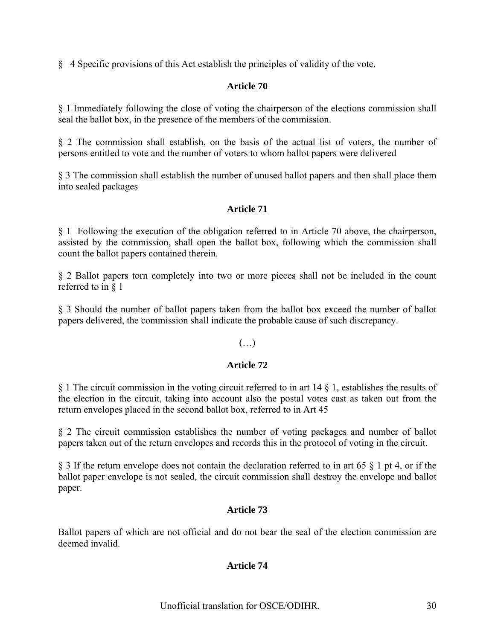§ 4 Specific provisions of this Act establish the principles of validity of the vote.

## **Article 70**

§ 1 Immediately following the close of voting the chairperson of the elections commission shall seal the ballot box, in the presence of the members of the commission.

§ 2 The commission shall establish, on the basis of the actual list of voters, the number of persons entitled to vote and the number of voters to whom ballot papers were delivered

§ 3 The commission shall establish the number of unused ballot papers and then shall place them into sealed packages

## **Article 71**

§ 1 Following the execution of the obligation referred to in Article 70 above, the chairperson, assisted by the commission, shall open the ballot box, following which the commission shall count the ballot papers contained therein.

§ 2 Ballot papers torn completely into two or more pieces shall not be included in the count referred to in § 1

§ 3 Should the number of ballot papers taken from the ballot box exceed the number of ballot papers delivered, the commission shall indicate the probable cause of such discrepancy.

# (…)

## **Article 72**

§ 1 The circuit commission in the voting circuit referred to in art 14 § 1, establishes the results of the election in the circuit, taking into account also the postal votes cast as taken out from the return envelopes placed in the second ballot box, referred to in Art 45

§ 2 The circuit commission establishes the number of voting packages and number of ballot papers taken out of the return envelopes and records this in the protocol of voting in the circuit.

§ 3 If the return envelope does not contain the declaration referred to in art 65 § 1 pt 4, or if the ballot paper envelope is not sealed, the circuit commission shall destroy the envelope and ballot paper.

#### **Article 73**

Ballot papers of which are not official and do not bear the seal of the election commission are deemed invalid.

## **Article 74**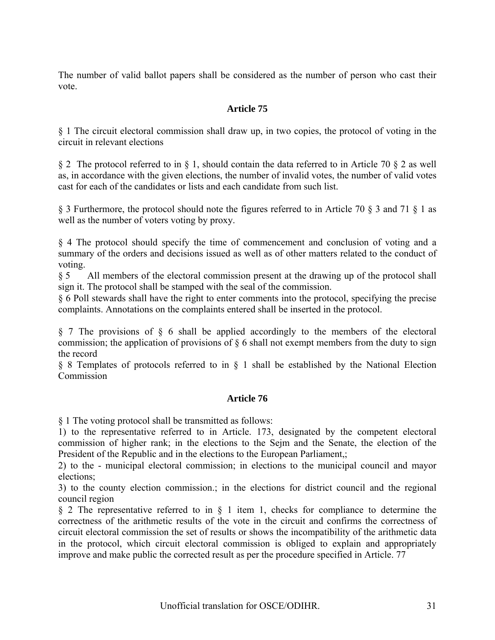The number of valid ballot papers shall be considered as the number of person who cast their vote.

## **Article 75**

§ 1 The circuit electoral commission shall draw up, in two copies, the protocol of voting in the circuit in relevant elections

§ 2 The protocol referred to in § 1, should contain the data referred to in Article 70 § 2 as well as, in accordance with the given elections, the number of invalid votes, the number of valid votes cast for each of the candidates or lists and each candidate from such list.

§ 3 Furthermore, the protocol should note the figures referred to in Article 70 § 3 and 71 § 1 as well as the number of voters voting by proxy.

§ 4 The protocol should specify the time of commencement and conclusion of voting and a summary of the orders and decisions issued as well as of other matters related to the conduct of voting.

§ 5 All members of the electoral commission present at the drawing up of the protocol shall sign it. The protocol shall be stamped with the seal of the commission.

§ 6 Poll stewards shall have the right to enter comments into the protocol, specifying the precise complaints. Annotations on the complaints entered shall be inserted in the protocol.

§ 7 The provisions of § 6 shall be applied accordingly to the members of the electoral commission; the application of provisions of  $\S$  6 shall not exempt members from the duty to sign the record

§ 8 Templates of protocols referred to in § 1 shall be established by the National Election Commission

## **Article 76**

§ 1 The voting protocol shall be transmitted as follows:

1) to the representative referred to in Article. 173, designated by the competent electoral commission of higher rank; in the elections to the Sejm and the Senate, the election of the President of the Republic and in the elections to the European Parliament,;

2) to the - municipal electoral commission; in elections to the municipal council and mayor elections;

3) to the county election commission.; in the elections for district council and the regional council region

§ 2 The representative referred to in § 1 item 1, checks for compliance to determine the correctness of the arithmetic results of the vote in the circuit and confirms the correctness of circuit electoral commission the set of results or shows the incompatibility of the arithmetic data in the protocol, which circuit electoral commission is obliged to explain and appropriately improve and make public the corrected result as per the procedure specified in Article. 77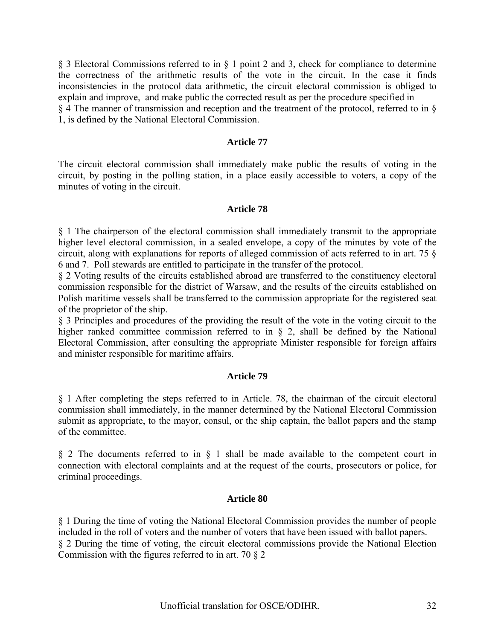§ 3 Electoral Commissions referred to in § 1 point 2 and 3, check for compliance to determine the correctness of the arithmetic results of the vote in the circuit. In the case it finds inconsistencies in the protocol data arithmetic, the circuit electoral commission is obliged to explain and improve, and make public the corrected result as per the procedure specified in § 4 The manner of transmission and reception and the treatment of the protocol, referred to in § 1, is defined by the National Electoral Commission.

#### **Article 77**

The circuit electoral commission shall immediately make public the results of voting in the circuit, by posting in the polling station, in a place easily accessible to voters, a copy of the minutes of voting in the circuit.

### **Article 78**

§ 1 The chairperson of the electoral commission shall immediately transmit to the appropriate higher level electoral commission, in a sealed envelope, a copy of the minutes by vote of the circuit, along with explanations for reports of alleged commission of acts referred to in art. 75 § 6 and 7. Poll stewards are entitled to participate in the transfer of the protocol.

§ 2 Voting results of the circuits established abroad are transferred to the constituency electoral commission responsible for the district of Warsaw, and the results of the circuits established on Polish maritime vessels shall be transferred to the commission appropriate for the registered seat of the proprietor of the ship.

§ 3 Principles and procedures of the providing the result of the vote in the voting circuit to the higher ranked committee commission referred to in  $\S$  2, shall be defined by the National Electoral Commission, after consulting the appropriate Minister responsible for foreign affairs and minister responsible for maritime affairs.

#### **Article 79**

§ 1 After completing the steps referred to in Article. 78, the chairman of the circuit electoral commission shall immediately, in the manner determined by the National Electoral Commission submit as appropriate, to the mayor, consul, or the ship captain, the ballot papers and the stamp of the committee.

§ 2 The documents referred to in § 1 shall be made available to the competent court in connection with electoral complaints and at the request of the courts, prosecutors or police, for criminal proceedings.

#### **Article 80**

§ 1 During the time of voting the National Electoral Commission provides the number of people included in the roll of voters and the number of voters that have been issued with ballot papers. § 2 During the time of voting, the circuit electoral commissions provide the National Election Commission with the figures referred to in art. 70 § 2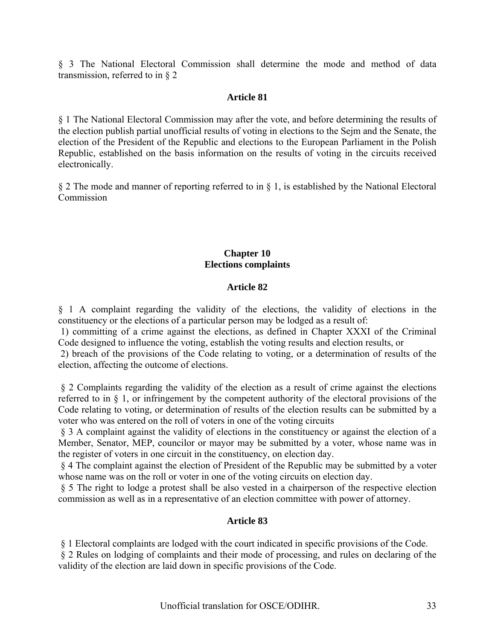§ 3 The National Electoral Commission shall determine the mode and method of data transmission, referred to in § 2

### **Article 81**

§ 1 The National Electoral Commission may after the vote, and before determining the results of the election publish partial unofficial results of voting in elections to the Sejm and the Senate, the election of the President of the Republic and elections to the European Parliament in the Polish Republic, established on the basis information on the results of voting in the circuits received electronically.

§ 2 The mode and manner of reporting referred to in § 1, is established by the National Electoral Commission

### **Chapter 10 Elections complaints**

#### **Article 82**

§ 1 A complaint regarding the validity of the elections, the validity of elections in the constituency or the elections of a particular person may be lodged as a result of:

 1) committing of a crime against the elections, as defined in Chapter XXXI of the Criminal Code designed to influence the voting, establish the voting results and election results, or

 2) breach of the provisions of the Code relating to voting, or a determination of results of the election, affecting the outcome of elections.

 § 2 Complaints regarding the validity of the election as a result of crime against the elections referred to in § 1, or infringement by the competent authority of the electoral provisions of the Code relating to voting, or determination of results of the election results can be submitted by a voter who was entered on the roll of voters in one of the voting circuits

 § 3 A complaint against the validity of elections in the constituency or against the election of a Member, Senator, MEP, councilor or mayor may be submitted by a voter, whose name was in the register of voters in one circuit in the constituency, on election day.

 § 4 The complaint against the election of President of the Republic may be submitted by a voter whose name was on the roll or voter in one of the voting circuits on election day.

 § 5 The right to lodge a protest shall be also vested in a chairperson of the respective election commission as well as in a representative of an election committee with power of attorney.

## **Article 83**

§ 1 Electoral complaints are lodged with the court indicated in specific provisions of the Code.

 § 2 Rules on lodging of complaints and their mode of processing, and rules on declaring of the validity of the election are laid down in specific provisions of the Code.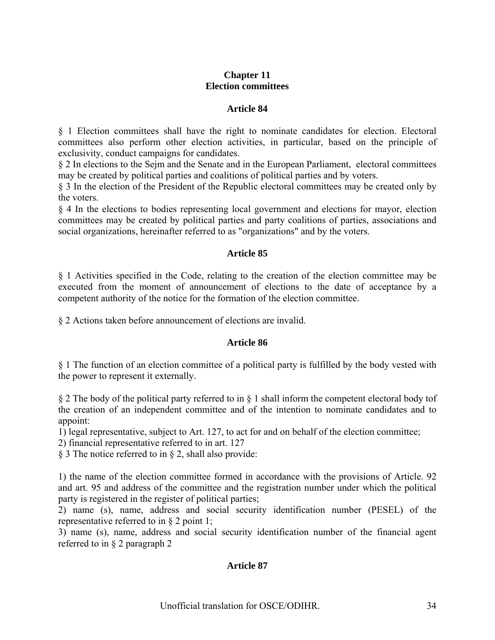## **Chapter 11 Election committees**

### **Article 84**

§ 1 Election committees shall have the right to nominate candidates for election. Electoral committees also perform other election activities, in particular, based on the principle of exclusivity, conduct campaigns for candidates.

§ 2 In elections to the Sejm and the Senate and in the European Parliament, electoral committees may be created by political parties and coalitions of political parties and by voters.

§ 3 In the election of the President of the Republic electoral committees may be created only by the voters.

§ 4 In the elections to bodies representing local government and elections for mayor, election committees may be created by political parties and party coalitions of parties, associations and social organizations, hereinafter referred to as "organizations" and by the voters.

## **Article 85**

§ 1 Activities specified in the Code, relating to the creation of the election committee may be executed from the moment of announcement of elections to the date of acceptance by a competent authority of the notice for the formation of the election committee.

§ 2 Actions taken before announcement of elections are invalid.

#### **Article 86**

§ 1 The function of an election committee of a political party is fulfilled by the body vested with the power to represent it externally.

§ 2 The body of the political party referred to in § 1 shall inform the competent electoral body tof the creation of an independent committee and of the intention to nominate candidates and to appoint:

1) legal representative, subject to Art. 127, to act for and on behalf of the election committee;

2) financial representative referred to in art. 127

§ 3 The notice referred to in § 2, shall also provide:

1) the name of the election committee formed in accordance with the provisions of Article. 92 and art. 95 and address of the committee and the registration number under which the political party is registered in the register of political parties;

2) name (s), name, address and social security identification number (PESEL) of the representative referred to in § 2 point 1;

3) name (s), name, address and social security identification number of the financial agent referred to in § 2 paragraph 2

## **Article 87**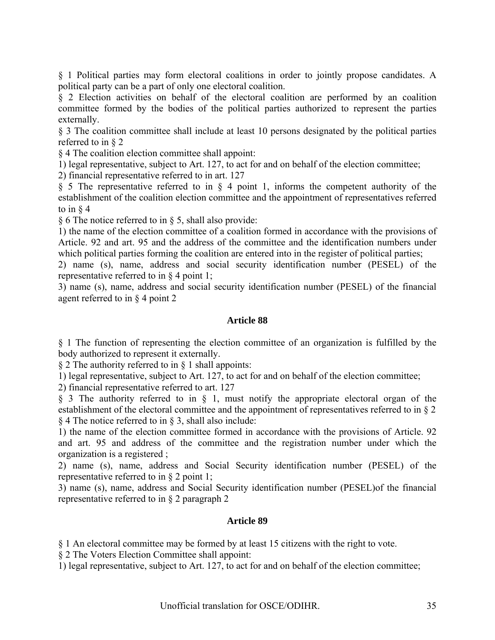§ 1 Political parties may form electoral coalitions in order to jointly propose candidates. A political party can be a part of only one electoral coalition.

§ 2 Election activities on behalf of the electoral coalition are performed by an coalition committee formed by the bodies of the political parties authorized to represent the parties externally.

§ 3 The coalition committee shall include at least 10 persons designated by the political parties referred to in § 2

§ 4 The coalition election committee shall appoint:

1) legal representative, subject to Art. 127, to act for and on behalf of the election committee;

2) financial representative referred to in art. 127

§ 5 The representative referred to in § 4 point 1, informs the competent authority of the establishment of the coalition election committee and the appointment of representatives referred to in  $\delta$  4

§ 6 The notice referred to in § 5, shall also provide:

1) the name of the election committee of a coalition formed in accordance with the provisions of Article. 92 and art. 95 and the address of the committee and the identification numbers under which political parties forming the coalition are entered into in the register of political parties;

2) name (s), name, address and social security identification number (PESEL) of the representative referred to in § 4 point 1;

3) name (s), name, address and social security identification number (PESEL) of the financial agent referred to in § 4 point 2

#### **Article 88**

§ 1 The function of representing the election committee of an organization is fulfilled by the body authorized to represent it externally.

§ 2 The authority referred to in § 1 shall appoints:

1) legal representative, subject to Art. 127, to act for and on behalf of the election committee;

2) financial representative referred to art. 127

§ 3 The authority referred to in § 1, must notify the appropriate electoral organ of the establishment of the electoral committee and the appointment of representatives referred to in § 2 § 4 The notice referred to in § 3, shall also include:

1) the name of the election committee formed in accordance with the provisions of Article. 92 and art. 95 and address of the committee and the registration number under which the organization is a registered ;

2) name (s), name, address and Social Security identification number (PESEL) of the representative referred to in § 2 point 1;

3) name (s), name, address and Social Security identification number (PESEL)of the financial representative referred to in § 2 paragraph 2

#### **Article 89**

§ 1 An electoral committee may be formed by at least 15 citizens with the right to vote.

§ 2 The Voters Election Committee shall appoint:

1) legal representative, subject to Art. 127, to act for and on behalf of the election committee;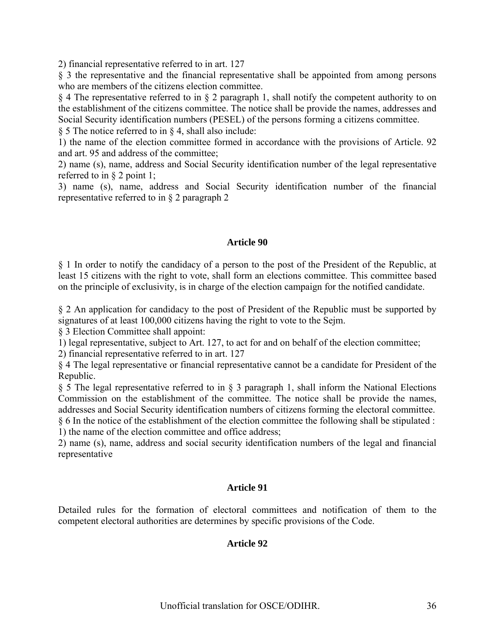2) financial representative referred to in art. 127

§ 3 the representative and the financial representative shall be appointed from among persons who are members of the citizens election committee.

§ 4 The representative referred to in § 2 paragraph 1, shall notify the competent authority to on the establishment of the citizens committee. The notice shall be provide the names, addresses and Social Security identification numbers (PESEL) of the persons forming a citizens committee.

§ 5 The notice referred to in § 4, shall also include:

1) the name of the election committee formed in accordance with the provisions of Article. 92 and art. 95 and address of the committee;

2) name (s), name, address and Social Security identification number of the legal representative referred to in § 2 point 1;

3) name (s), name, address and Social Security identification number of the financial representative referred to in § 2 paragraph 2

### **Article 90**

§ 1 In order to notify the candidacy of a person to the post of the President of the Republic, at least 15 citizens with the right to vote, shall form an elections committee. This committee based on the principle of exclusivity, is in charge of the election campaign for the notified candidate.

§ 2 An application for candidacy to the post of President of the Republic must be supported by signatures of at least 100,000 citizens having the right to vote to the Sejm.

§ 3 Election Committee shall appoint:

1) legal representative, subject to Art. 127, to act for and on behalf of the election committee;

2) financial representative referred to in art. 127

§ 4 The legal representative or financial representative cannot be a candidate for President of the Republic.

§ 5 The legal representative referred to in § 3 paragraph 1, shall inform the National Elections Commission on the establishment of the committee. The notice shall be provide the names, addresses and Social Security identification numbers of citizens forming the electoral committee. § 6 In the notice of the establishment of the election committee the following shall be stipulated :

1) the name of the election committee and office address;

2) name (s), name, address and social security identification numbers of the legal and financial representative

## **Article 91**

Detailed rules for the formation of electoral committees and notification of them to the competent electoral authorities are determines by specific provisions of the Code.

## **Article 92**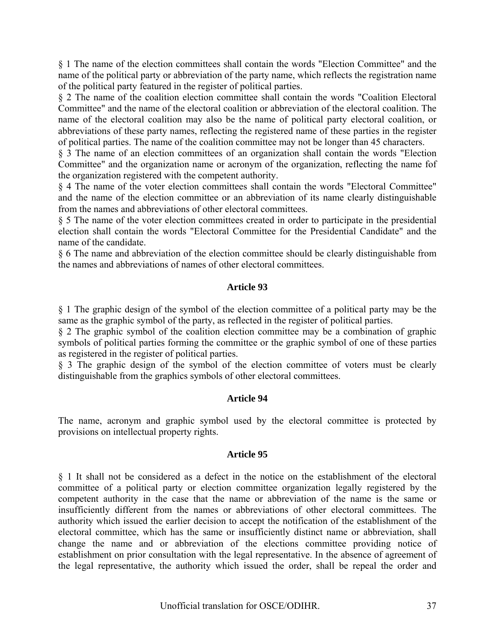§ 1 The name of the election committees shall contain the words "Election Committee" and the name of the political party or abbreviation of the party name, which reflects the registration name of the political party featured in the register of political parties.

§ 2 The name of the coalition election committee shall contain the words "Coalition Electoral Committee" and the name of the electoral coalition or abbreviation of the electoral coalition. The name of the electoral coalition may also be the name of political party electoral coalition, or abbreviations of these party names, reflecting the registered name of these parties in the register of political parties. The name of the coalition committee may not be longer than 45 characters.

§ 3 The name of an election committees of an organization shall contain the words "Election Committee" and the organization name or acronym of the organization, reflecting the name fof the organization registered with the competent authority.

§ 4 The name of the voter election committees shall contain the words "Electoral Committee" and the name of the election committee or an abbreviation of its name clearly distinguishable from the names and abbreviations of other electoral committees.

§ 5 The name of the voter election committees created in order to participate in the presidential election shall contain the words "Electoral Committee for the Presidential Candidate" and the name of the candidate.

§ 6 The name and abbreviation of the election committee should be clearly distinguishable from the names and abbreviations of names of other electoral committees.

### **Article 93**

§ 1 The graphic design of the symbol of the election committee of a political party may be the same as the graphic symbol of the party, as reflected in the register of political parties.

§ 2 The graphic symbol of the coalition election committee may be a combination of graphic symbols of political parties forming the committee or the graphic symbol of one of these parties as registered in the register of political parties.

§ 3 The graphic design of the symbol of the election committee of voters must be clearly distinguishable from the graphics symbols of other electoral committees.

#### **Article 94**

The name, acronym and graphic symbol used by the electoral committee is protected by provisions on intellectual property rights.

#### **Article 95**

§ 1 It shall not be considered as a defect in the notice on the establishment of the electoral committee of a political party or election committee organization legally registered by the competent authority in the case that the name or abbreviation of the name is the same or insufficiently different from the names or abbreviations of other electoral committees. The authority which issued the earlier decision to accept the notification of the establishment of the electoral committee, which has the same or insufficiently distinct name or abbreviation, shall change the name and or abbreviation of the elections committee providing notice of establishment on prior consultation with the legal representative. In the absence of agreement of the legal representative, the authority which issued the order, shall be repeal the order and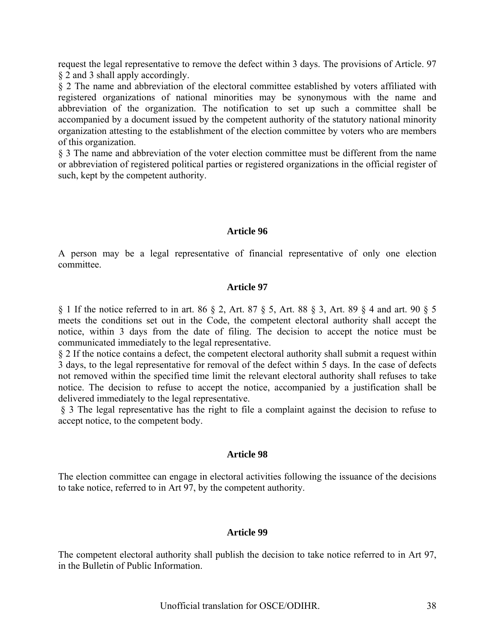request the legal representative to remove the defect within 3 days. The provisions of Article. 97 § 2 and 3 shall apply accordingly.

§ 2 The name and abbreviation of the electoral committee established by voters affiliated with registered organizations of national minorities may be synonymous with the name and abbreviation of the organization. The notification to set up such a committee shall be accompanied by a document issued by the competent authority of the statutory national minority organization attesting to the establishment of the election committee by voters who are members of this organization.

§ 3 The name and abbreviation of the voter election committee must be different from the name or abbreviation of registered political parties or registered organizations in the official register of such, kept by the competent authority.

#### **Article 96**

A person may be a legal representative of financial representative of only one election committee.

#### **Article 97**

§ 1 If the notice referred to in art. 86 § 2, Art. 87 § 5, Art. 88 § 3, Art. 89 § 4 and art. 90 § 5 meets the conditions set out in the Code, the competent electoral authority shall accept the notice, within 3 days from the date of filing. The decision to accept the notice must be communicated immediately to the legal representative.

§ 2 If the notice contains a defect, the competent electoral authority shall submit a request within 3 days, to the legal representative for removal of the defect within 5 days. In the case of defects not removed within the specified time limit the relevant electoral authority shall refuses to take notice. The decision to refuse to accept the notice, accompanied by a justification shall be delivered immediately to the legal representative.

 § 3 The legal representative has the right to file a complaint against the decision to refuse to accept notice, to the competent body.

#### **Article 98**

The election committee can engage in electoral activities following the issuance of the decisions to take notice, referred to in Art 97, by the competent authority.

#### **Article 99**

The competent electoral authority shall publish the decision to take notice referred to in Art 97, in the Bulletin of Public Information.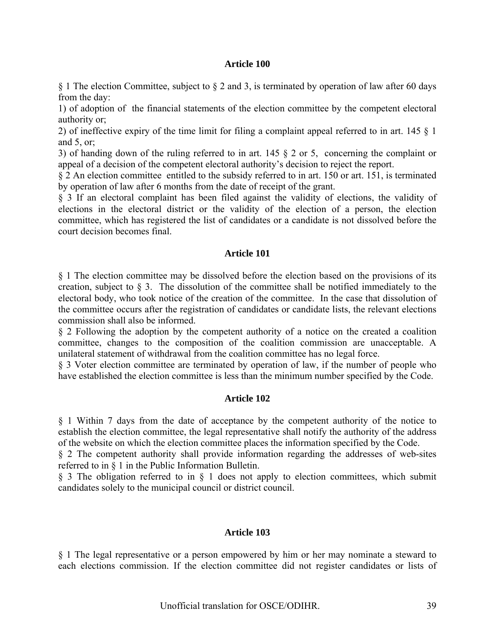#### **Article 100**

§ 1 The election Committee, subject to § 2 and 3, is terminated by operation of law after 60 days from the day:

1) of adoption of the financial statements of the election committee by the competent electoral authority or;

2) of ineffective expiry of the time limit for filing a complaint appeal referred to in art. 145 § 1 and 5, or;

3) of handing down of the ruling referred to in art. 145 § 2 or 5, concerning the complaint or appeal of a decision of the competent electoral authority's decision to reject the report.

§ 2 An election committee entitled to the subsidy referred to in art. 150 or art. 151, is terminated by operation of law after 6 months from the date of receipt of the grant.

§ 3 If an electoral complaint has been filed against the validity of elections, the validity of elections in the electoral district or the validity of the election of a person, the election committee, which has registered the list of candidates or a candidate is not dissolved before the court decision becomes final.

#### **Article 101**

§ 1 The election committee may be dissolved before the election based on the provisions of its creation, subject to § 3. The dissolution of the committee shall be notified immediately to the electoral body, who took notice of the creation of the committee. In the case that dissolution of the committee occurs after the registration of candidates or candidate lists, the relevant elections commission shall also be informed.

§ 2 Following the adoption by the competent authority of a notice on the created a coalition committee, changes to the composition of the coalition commission are unacceptable. A unilateral statement of withdrawal from the coalition committee has no legal force.

§ 3 Voter election committee are terminated by operation of law, if the number of people who have established the election committee is less than the minimum number specified by the Code.

#### **Article 102**

§ 1 Within 7 days from the date of acceptance by the competent authority of the notice to establish the election committee, the legal representative shall notify the authority of the address of the website on which the election committee places the information specified by the Code.

§ 2 The competent authority shall provide information regarding the addresses of web-sites referred to in § 1 in the Public Information Bulletin.

§ 3 The obligation referred to in § 1 does not apply to election committees, which submit candidates solely to the municipal council or district council.

#### **Article 103**

§ 1 The legal representative or a person empowered by him or her may nominate a steward to each elections commission. If the election committee did not register candidates or lists of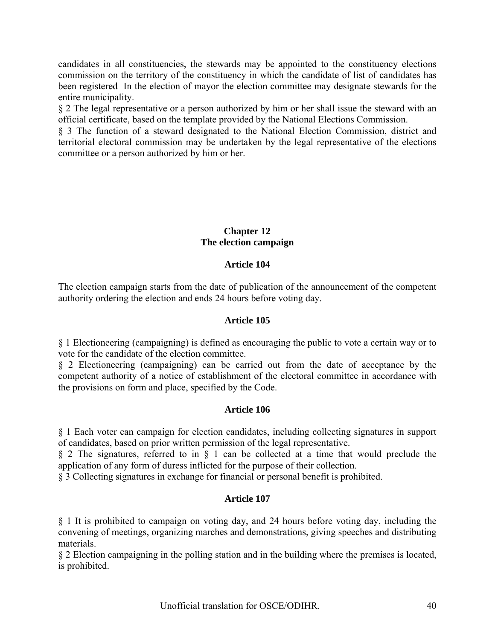candidates in all constituencies, the stewards may be appointed to the constituency elections commission on the territory of the constituency in which the candidate of list of candidates has been registered In the election of mayor the election committee may designate stewards for the entire municipality.

§ 2 The legal representative or a person authorized by him or her shall issue the steward with an official certificate, based on the template provided by the National Elections Commission.

§ 3 The function of a steward designated to the National Election Commission, district and territorial electoral commission may be undertaken by the legal representative of the elections committee or a person authorized by him or her.

### **Chapter 12 The election campaign**

# **Article 104**

The election campaign starts from the date of publication of the announcement of the competent authority ordering the election and ends 24 hours before voting day.

### **Article 105**

§ 1 Electioneering (campaigning) is defined as encouraging the public to vote a certain way or to vote for the candidate of the election committee.

§ 2 Electioneering (campaigning) can be carried out from the date of acceptance by the competent authority of a notice of establishment of the electoral committee in accordance with the provisions on form and place, specified by the Code.

### **Article 106**

§ 1 Each voter can campaign for election candidates, including collecting signatures in support of candidates, based on prior written permission of the legal representative.

§ 2 The signatures, referred to in § 1 can be collected at a time that would preclude the application of any form of duress inflicted for the purpose of their collection.

§ 3 Collecting signatures in exchange for financial or personal benefit is prohibited.

# **Article 107**

§ 1 It is prohibited to campaign on voting day, and 24 hours before voting day, including the convening of meetings, organizing marches and demonstrations, giving speeches and distributing materials.

§ 2 Election campaigning in the polling station and in the building where the premises is located, is prohibited.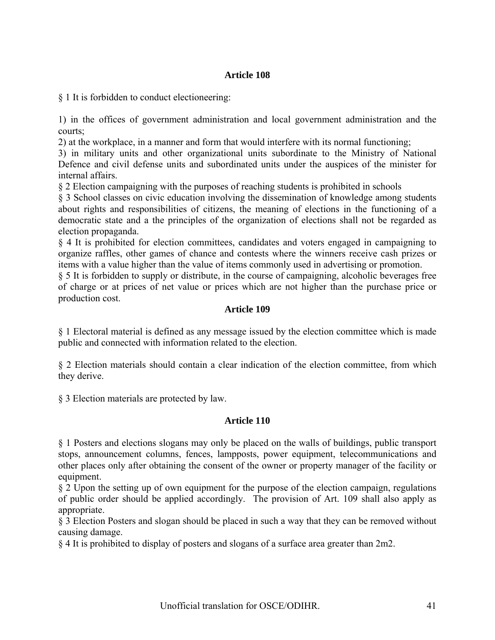# **Article 108**

§ 1 It is forbidden to conduct electioneering:

1) in the offices of government administration and local government administration and the courts;

2) at the workplace, in a manner and form that would interfere with its normal functioning;

3) in military units and other organizational units subordinate to the Ministry of National Defence and civil defense units and subordinated units under the auspices of the minister for internal affairs.

§ 2 Election campaigning with the purposes of reaching students is prohibited in schools

§ 3 School classes on civic education involving the dissemination of knowledge among students about rights and responsibilities of citizens, the meaning of elections in the functioning of a democratic state and a the principles of the organization of elections shall not be regarded as election propaganda.

§ 4 It is prohibited for election committees, candidates and voters engaged in campaigning to organize raffles, other games of chance and contests where the winners receive cash prizes or items with a value higher than the value of items commonly used in advertising or promotion.

§ 5 It is forbidden to supply or distribute, in the course of campaigning, alcoholic beverages free of charge or at prices of net value or prices which are not higher than the purchase price or production cost.

### **Article 109**

§ 1 Electoral material is defined as any message issued by the election committee which is made public and connected with information related to the election.

§ 2 Election materials should contain a clear indication of the election committee, from which they derive.

§ 3 Election materials are protected by law.

### **Article 110**

§ 1 Posters and elections slogans may only be placed on the walls of buildings, public transport stops, announcement columns, fences, lampposts, power equipment, telecommunications and other places only after obtaining the consent of the owner or property manager of the facility or equipment.

§ 2 Upon the setting up of own equipment for the purpose of the election campaign, regulations of public order should be applied accordingly. The provision of Art. 109 shall also apply as appropriate.

§ 3 Election Posters and slogan should be placed in such a way that they can be removed without causing damage.

§ 4 It is prohibited to display of posters and slogans of a surface area greater than 2m2.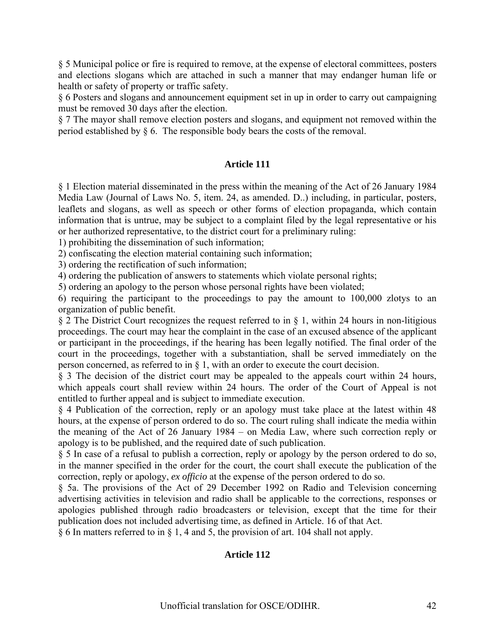§ 5 Municipal police or fire is required to remove, at the expense of electoral committees, posters and elections slogans which are attached in such a manner that may endanger human life or health or safety of property or traffic safety.

§ 6 Posters and slogans and announcement equipment set in up in order to carry out campaigning must be removed 30 days after the election.

§ 7 The mayor shall remove election posters and slogans, and equipment not removed within the period established by § 6. The responsible body bears the costs of the removal.

### **Article 111**

§ 1 Election material disseminated in the press within the meaning of the Act of 26 January 1984 Media Law (Journal of Laws No. 5, item. 24, as amended. D..) including, in particular, posters, leaflets and slogans, as well as speech or other forms of election propaganda, which contain information that is untrue, may be subject to a complaint filed by the legal representative or his or her authorized representative, to the district court for a preliminary ruling:

1) prohibiting the dissemination of such information;

2) confiscating the election material containing such information;

3) ordering the rectification of such information;

4) ordering the publication of answers to statements which violate personal rights;

5) ordering an apology to the person whose personal rights have been violated;

6) requiring the participant to the proceedings to pay the amount to 100,000 zlotys to an organization of public benefit.

§ 2 The District Court recognizes the request referred to in § 1, within 24 hours in non-litigious proceedings. The court may hear the complaint in the case of an excused absence of the applicant or participant in the proceedings, if the hearing has been legally notified. The final order of the court in the proceedings, together with a substantiation, shall be served immediately on the person concerned, as referred to in § 1, with an order to execute the court decision.

§ 3 The decision of the district court may be appealed to the appeals court within 24 hours, which appeals court shall review within 24 hours. The order of the Court of Appeal is not entitled to further appeal and is subject to immediate execution.

§ 4 Publication of the correction, reply or an apology must take place at the latest within 48 hours, at the expense of person ordered to do so. The court ruling shall indicate the media within the meaning of the Act of 26 January 1984 – on Media Law, where such correction reply or apology is to be published, and the required date of such publication.

§ 5 In case of a refusal to publish a correction, reply or apology by the person ordered to do so, in the manner specified in the order for the court, the court shall execute the publication of the correction, reply or apology, *ex officio* at the expense of the person ordered to do so.

§ 5a. The provisions of the Act of 29 December 1992 on Radio and Television concerning advertising activities in television and radio shall be applicable to the corrections, responses or apologies published through radio broadcasters or television, except that the time for their publication does not included advertising time, as defined in Article. 16 of that Act.

§ 6 In matters referred to in § 1, 4 and 5, the provision of art. 104 shall not apply.

# **Article 112**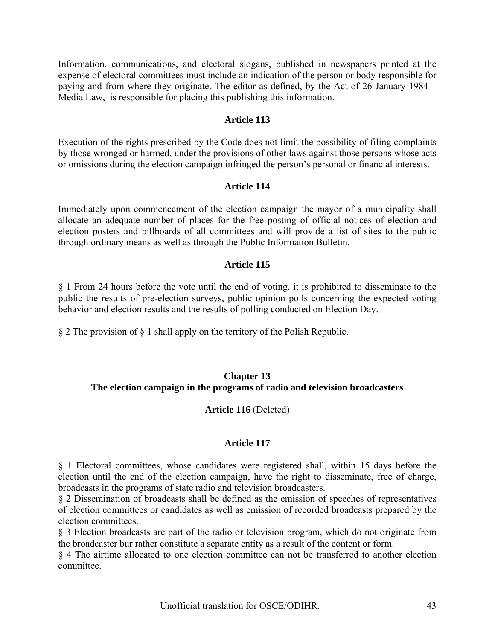Information, communications, and electoral slogans, published in newspapers printed at the expense of electoral committees must include an indication of the person or body responsible for paying and from where they originate. The editor as defined, by the Act of 26 January 1984 – Media Law, is responsible for placing this publishing this information.

### **Article 113**

Execution of the rights prescribed by the Code does not limit the possibility of filing complaints by those wronged or harmed, under the provisions of other laws against those persons whose acts or omissions during the election campaign infringed the person's personal or financial interests.

#### **Article 114**

Immediately upon commencement of the election campaign the mayor of a municipality shall allocate an adequate number of places for the free posting of official notices of election and election posters and billboards of all committees and will provide a list of sites to the public through ordinary means as well as through the Public Information Bulletin.

### **Article 115**

§ 1 From 24 hours before the vote until the end of voting, it is prohibited to disseminate to the public the results of pre-election surveys, public opinion polls concerning the expected voting behavior and election results and the results of polling conducted on Election Day.

§ 2 The provision of § 1 shall apply on the territory of the Polish Republic.

### **Chapter 13 The election campaign in the programs of radio and television broadcasters**

### **Article 116** (Deleted)

### **Article 117**

§ 1 Electoral committees, whose candidates were registered shall, within 15 days before the election until the end of the election campaign, have the right to disseminate, free of charge, broadcasts in the programs of state radio and television broadcasters.

§ 2 Dissemination of broadcasts shall be defined as the emission of speeches of representatives of election committees or candidates as well as emission of recorded broadcasts prepared by the election committees.

§ 3 Election broadcasts are part of the radio or television program, which do not originate from the broadcaster bur rather constitute a separate entity as a result of the content or form.

§ 4 The airtime allocated to one election committee can not be transferred to another election committee.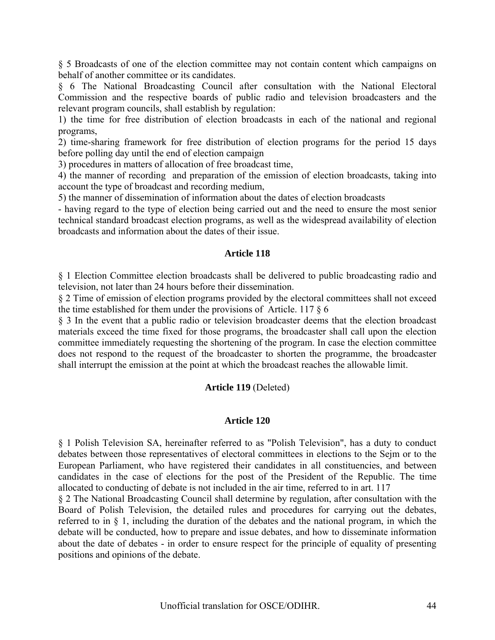§ 5 Broadcasts of one of the election committee may not contain content which campaigns on behalf of another committee or its candidates.

§ 6 The National Broadcasting Council after consultation with the National Electoral Commission and the respective boards of public radio and television broadcasters and the relevant program councils, shall establish by regulation:

1) the time for free distribution of election broadcasts in each of the national and regional programs,

2) time-sharing framework for free distribution of election programs for the period 15 days before polling day until the end of election campaign

3) procedures in matters of allocation of free broadcast time,

4) the manner of recording and preparation of the emission of election broadcasts, taking into account the type of broadcast and recording medium,

5) the manner of dissemination of information about the dates of election broadcasts

- having regard to the type of election being carried out and the need to ensure the most senior technical standard broadcast election programs, as well as the widespread availability of election broadcasts and information about the dates of their issue.

#### **Article 118**

§ 1 Election Committee election broadcasts shall be delivered to public broadcasting radio and television, not later than 24 hours before their dissemination.

§ 2 Time of emission of election programs provided by the electoral committees shall not exceed the time established for them under the provisions of Article. 117  $\S$  6

§ 3 In the event that a public radio or television broadcaster deems that the election broadcast materials exceed the time fixed for those programs, the broadcaster shall call upon the election committee immediately requesting the shortening of the program. In case the election committee does not respond to the request of the broadcaster to shorten the programme, the broadcaster shall interrupt the emission at the point at which the broadcast reaches the allowable limit.

#### **Article 119** (Deleted)

#### **Article 120**

§ 1 Polish Television SA, hereinafter referred to as "Polish Television", has a duty to conduct debates between those representatives of electoral committees in elections to the Sejm or to the European Parliament, who have registered their candidates in all constituencies, and between candidates in the case of elections for the post of the President of the Republic. The time allocated to conducting of debate is not included in the air time, referred to in art. 117

§ 2 The National Broadcasting Council shall determine by regulation, after consultation with the Board of Polish Television, the detailed rules and procedures for carrying out the debates, referred to in § 1, including the duration of the debates and the national program, in which the debate will be conducted, how to prepare and issue debates, and how to disseminate information about the date of debates - in order to ensure respect for the principle of equality of presenting positions and opinions of the debate.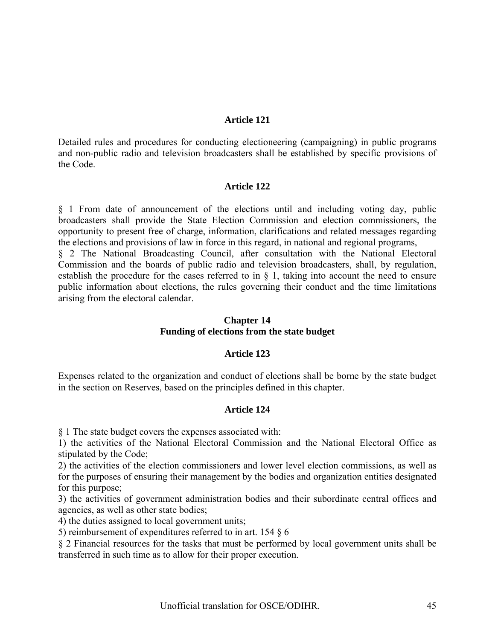#### **Article 121**

Detailed rules and procedures for conducting electioneering (campaigning) in public programs and non-public radio and television broadcasters shall be established by specific provisions of the Code.

#### **Article 122**

§ 1 From date of announcement of the elections until and including voting day, public broadcasters shall provide the State Election Commission and election commissioners, the opportunity to present free of charge, information, clarifications and related messages regarding the elections and provisions of law in force in this regard, in national and regional programs,

§ 2 The National Broadcasting Council, after consultation with the National Electoral Commission and the boards of public radio and television broadcasters, shall, by regulation, establish the procedure for the cases referred to in § 1, taking into account the need to ensure public information about elections, the rules governing their conduct and the time limitations arising from the electoral calendar.

#### **Chapter 14 Funding of elections from the state budget**

#### **Article 123**

Expenses related to the organization and conduct of elections shall be borne by the state budget in the section on Reserves, based on the principles defined in this chapter.

#### **Article 124**

§ 1 The state budget covers the expenses associated with:

1) the activities of the National Electoral Commission and the National Electoral Office as stipulated by the Code;

2) the activities of the election commissioners and lower level election commissions, as well as for the purposes of ensuring their management by the bodies and organization entities designated for this purpose;

3) the activities of government administration bodies and their subordinate central offices and agencies, as well as other state bodies;

4) the duties assigned to local government units;

5) reimbursement of expenditures referred to in art. 154 § 6

§ 2 Financial resources for the tasks that must be performed by local government units shall be transferred in such time as to allow for their proper execution.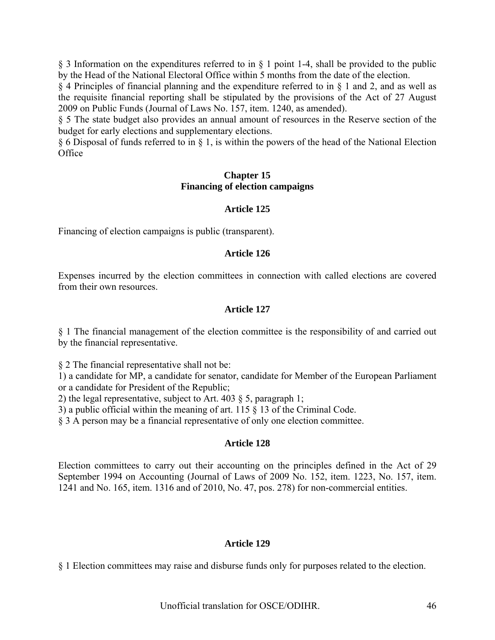§ 3 Information on the expenditures referred to in § 1 point 1-4, shall be provided to the public by the Head of the National Electoral Office within 5 months from the date of the election.

§ 4 Principles of financial planning and the expenditure referred to in § 1 and 2, and as well as the requisite financial reporting shall be stipulated by the provisions of the Act of 27 August 2009 on Public Funds (Journal of Laws No. 157, item. 1240, as amended).

§ 5 The state budget also provides an annual amount of resources in the Reserve section of the budget for early elections and supplementary elections.

§ 6 Disposal of funds referred to in § 1, is within the powers of the head of the National Election **Office** 

#### **Chapter 15 Financing of election campaigns**

### **Article 125**

Financing of election campaigns is public (transparent).

### **Article 126**

Expenses incurred by the election committees in connection with called elections are covered from their own resources.

### **Article 127**

§ 1 The financial management of the election committee is the responsibility of and carried out by the financial representative.

§ 2 The financial representative shall not be:

1) a candidate for MP, a candidate for senator, candidate for Member of the European Parliament or a candidate for President of the Republic;

2) the legal representative, subject to Art. 403 § 5, paragraph 1;

3) a public official within the meaning of art. 115 § 13 of the Criminal Code.

§ 3 A person may be a financial representative of only one election committee.

### **Article 128**

Election committees to carry out their accounting on the principles defined in the Act of 29 September 1994 on Accounting (Journal of Laws of 2009 No. 152, item. 1223, No. 157, item. 1241 and No. 165, item. 1316 and of 2010, No. 47, pos. 278) for non-commercial entities.

### **Article 129**

§ 1 Election committees may raise and disburse funds only for purposes related to the election.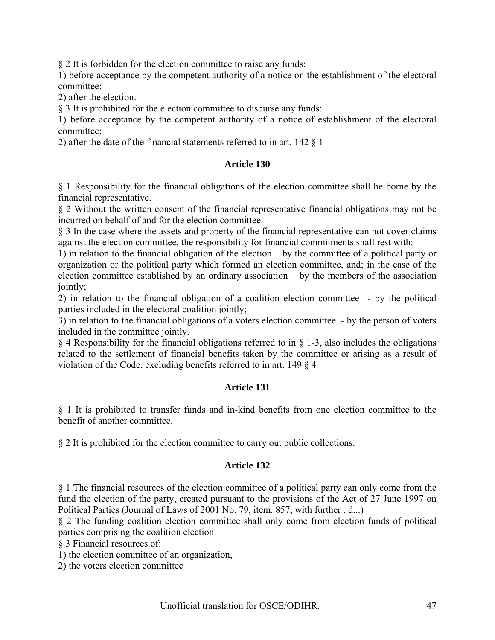§ 2 It is forbidden for the election committee to raise any funds:

1) before acceptance by the competent authority of a notice on the establishment of the electoral committee;

2) after the election.

§ 3 It is prohibited for the election committee to disburse any funds:

1) before acceptance by the competent authority of a notice of establishment of the electoral committee;

2) after the date of the financial statements referred to in art. 142 § 1

### **Article 130**

§ 1 Responsibility for the financial obligations of the election committee shall be borne by the financial representative.

§ 2 Without the written consent of the financial representative financial obligations may not be incurred on behalf of and for the election committee.

§ 3 In the case where the assets and property of the financial representative can not cover claims against the election committee, the responsibility for financial commitments shall rest with:

1) in relation to the financial obligation of the election – by the committee of a political party or organization or the political party which formed an election committee, and; in the case of the election committee established by an ordinary association – by the members of the association jointly;

2) in relation to the financial obligation of a coalition election committee - by the political parties included in the electoral coalition jointly;

3) in relation to the financial obligations of a voters election committee - by the person of voters included in the committee jointly.

§ 4 Responsibility for the financial obligations referred to in § 1-3, also includes the obligations related to the settlement of financial benefits taken by the committee or arising as a result of violation of the Code, excluding benefits referred to in art. 149 § 4

### **Article 131**

§ 1 It is prohibited to transfer funds and in-kind benefits from one election committee to the benefit of another committee.

§ 2 It is prohibited for the election committee to carry out public collections.

### **Article 132**

§ 1 The financial resources of the election committee of a political party can only come from the fund the election of the party, created pursuant to the provisions of the Act of 27 June 1997 on Political Parties (Journal of Laws of 2001 No. 79, item. 857, with further . d...)

§ 2 The funding coalition election committee shall only come from election funds of political parties comprising the coalition election.

§ 3 Financial resources of:

1) the election committee of an organization,

2) the voters election committee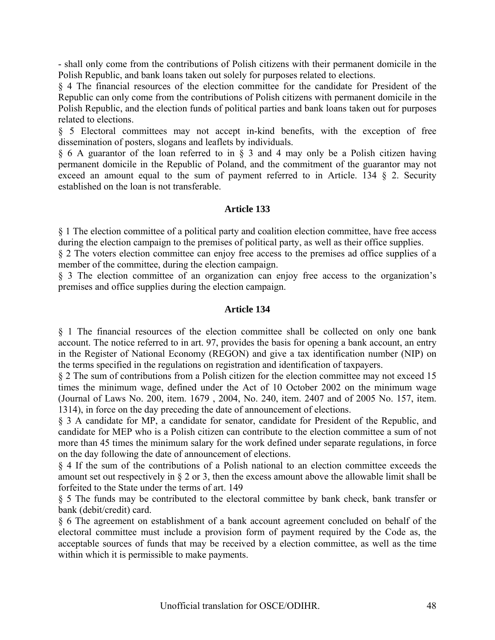- shall only come from the contributions of Polish citizens with their permanent domicile in the Polish Republic, and bank loans taken out solely for purposes related to elections.

§ 4 The financial resources of the election committee for the candidate for President of the Republic can only come from the contributions of Polish citizens with permanent domicile in the Polish Republic, and the election funds of political parties and bank loans taken out for purposes related to elections.

§ 5 Electoral committees may not accept in-kind benefits, with the exception of free dissemination of posters, slogans and leaflets by individuals.

§ 6 A guarantor of the loan referred to in § 3 and 4 may only be a Polish citizen having permanent domicile in the Republic of Poland, and the commitment of the guarantor may not exceed an amount equal to the sum of payment referred to in Article. 134 § 2. Security established on the loan is not transferable.

#### **Article 133**

§ 1 The election committee of a political party and coalition election committee, have free access during the election campaign to the premises of political party, as well as their office supplies.

§ 2 The voters election committee can enjoy free access to the premises ad office supplies of a member of the committee, during the election campaign.

§ 3 The election committee of an organization can enjoy free access to the organization's premises and office supplies during the election campaign.

#### **Article 134**

§ 1 The financial resources of the election committee shall be collected on only one bank account. The notice referred to in art. 97, provides the basis for opening a bank account, an entry in the Register of National Economy (REGON) and give a tax identification number (NIP) on the terms specified in the regulations on registration and identification of taxpayers.

§ 2 The sum of contributions from a Polish citizen for the election committee may not exceed 15 times the minimum wage, defined under the Act of 10 October 2002 on the minimum wage (Journal of Laws No. 200, item. 1679 , 2004, No. 240, item. 2407 and of 2005 No. 157, item. 1314), in force on the day preceding the date of announcement of elections.

§ 3 A candidate for MP, a candidate for senator, candidate for President of the Republic, and candidate for MEP who is a Polish citizen can contribute to the election committee a sum of not more than 45 times the minimum salary for the work defined under separate regulations, in force on the day following the date of announcement of elections.

§ 4 If the sum of the contributions of a Polish national to an election committee exceeds the amount set out respectively in § 2 or 3, then the excess amount above the allowable limit shall be forfeited to the State under the terms of art. 149

§ 5 The funds may be contributed to the electoral committee by bank check, bank transfer or bank (debit/credit) card.

§ 6 The agreement on establishment of a bank account agreement concluded on behalf of the electoral committee must include a provision form of payment required by the Code as, the acceptable sources of funds that may be received by a election committee, as well as the time within which it is permissible to make payments.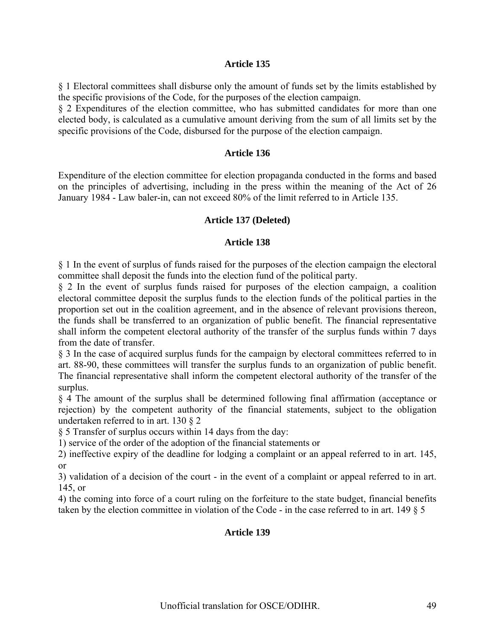#### **Article 135**

§ 1 Electoral committees shall disburse only the amount of funds set by the limits established by the specific provisions of the Code, for the purposes of the election campaign.

§ 2 Expenditures of the election committee, who has submitted candidates for more than one elected body, is calculated as a cumulative amount deriving from the sum of all limits set by the specific provisions of the Code, disbursed for the purpose of the election campaign.

#### **Article 136**

Expenditure of the election committee for election propaganda conducted in the forms and based on the principles of advertising, including in the press within the meaning of the Act of 26 January 1984 - Law baler-in, can not exceed 80% of the limit referred to in Article 135.

#### **Article 137 (Deleted)**

#### **Article 138**

§ 1 In the event of surplus of funds raised for the purposes of the election campaign the electoral committee shall deposit the funds into the election fund of the political party.

§ 2 In the event of surplus funds raised for purposes of the election campaign, a coalition electoral committee deposit the surplus funds to the election funds of the political parties in the proportion set out in the coalition agreement, and in the absence of relevant provisions thereon, the funds shall be transferred to an organization of public benefit. The financial representative shall inform the competent electoral authority of the transfer of the surplus funds within 7 days from the date of transfer.

§ 3 In the case of acquired surplus funds for the campaign by electoral committees referred to in art. 88-90, these committees will transfer the surplus funds to an organization of public benefit. The financial representative shall inform the competent electoral authority of the transfer of the surplus.

§ 4 The amount of the surplus shall be determined following final affirmation (acceptance or rejection) by the competent authority of the financial statements, subject to the obligation undertaken referred to in art. 130 § 2

§ 5 Transfer of surplus occurs within 14 days from the day:

1) service of the order of the adoption of the financial statements or

2) ineffective expiry of the deadline for lodging a complaint or an appeal referred to in art. 145, or

3) validation of a decision of the court - in the event of a complaint or appeal referred to in art. 145, or

4) the coming into force of a court ruling on the forfeiture to the state budget, financial benefits taken by the election committee in violation of the Code - in the case referred to in art. 149 § 5

#### **Article 139**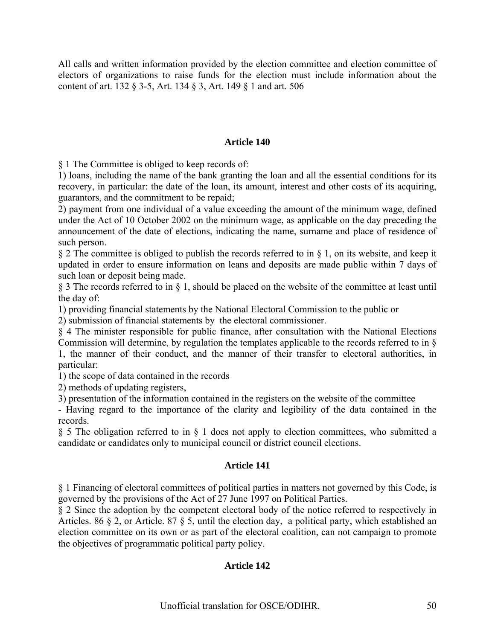All calls and written information provided by the election committee and election committee of electors of organizations to raise funds for the election must include information about the content of art. 132 § 3-5, Art. 134 § 3, Art. 149 § 1 and art. 506

### **Article 140**

§ 1 The Committee is obliged to keep records of:

1) loans, including the name of the bank granting the loan and all the essential conditions for its recovery, in particular: the date of the loan, its amount, interest and other costs of its acquiring, guarantors, and the commitment to be repaid;

2) payment from one individual of a value exceeding the amount of the minimum wage, defined under the Act of 10 October 2002 on the minimum wage, as applicable on the day preceding the announcement of the date of elections, indicating the name, surname and place of residence of such person.

§ 2 The committee is obliged to publish the records referred to in § 1, on its website, and keep it updated in order to ensure information on leans and deposits are made public within 7 days of such loan or deposit being made.

§ 3 The records referred to in § 1, should be placed on the website of the committee at least until the day of:

1) providing financial statements by the National Electoral Commission to the public or

2) submission of financial statements by the electoral commissioner.

§ 4 The minister responsible for public finance, after consultation with the National Elections Commission will determine, by regulation the templates applicable to the records referred to in § 1, the manner of their conduct, and the manner of their transfer to electoral authorities, in particular:

1) the scope of data contained in the records

2) methods of updating registers,

3) presentation of the information contained in the registers on the website of the committee

- Having regard to the importance of the clarity and legibility of the data contained in the records.

§ 5 The obligation referred to in § 1 does not apply to election committees, who submitted a candidate or candidates only to municipal council or district council elections.

### **Article 141**

§ 1 Financing of electoral committees of political parties in matters not governed by this Code, is governed by the provisions of the Act of 27 June 1997 on Political Parties.

§ 2 Since the adoption by the competent electoral body of the notice referred to respectively in Articles. 86 § 2, or Article. 87 § 5, until the election day, a political party, which established an election committee on its own or as part of the electoral coalition, can not campaign to promote the objectives of programmatic political party policy.

### **Article 142**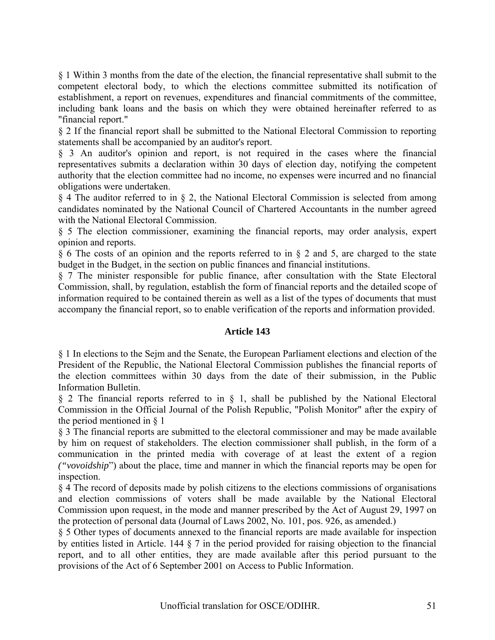§ 1 Within 3 months from the date of the election, the financial representative shall submit to the competent electoral body, to which the elections committee submitted its notification of establishment, a report on revenues, expenditures and financial commitments of the committee, including bank loans and the basis on which they were obtained hereinafter referred to as "financial report."

§ 2 If the financial report shall be submitted to the National Electoral Commission to reporting statements shall be accompanied by an auditor's report.

§ 3 An auditor's opinion and report, is not required in the cases where the financial representatives submits a declaration within 30 days of election day, notifying the competent authority that the election committee had no income, no expenses were incurred and no financial obligations were undertaken.

§ 4 The auditor referred to in § 2, the National Electoral Commission is selected from among candidates nominated by the National Council of Chartered Accountants in the number agreed with the National Electoral Commission.

§ 5 The election commissioner, examining the financial reports, may order analysis, expert opinion and reports.

§ 6 The costs of an opinion and the reports referred to in § 2 and 5, are charged to the state budget in the Budget, in the section on public finances and financial institutions.

§ 7 The minister responsible for public finance, after consultation with the State Electoral Commission, shall, by regulation, establish the form of financial reports and the detailed scope of information required to be contained therein as well as a list of the types of documents that must accompany the financial report, so to enable verification of the reports and information provided.

### **Article 143**

§ 1 In elections to the Sejm and the Senate, the European Parliament elections and election of the President of the Republic, the National Electoral Commission publishes the financial reports of the election committees within 30 days from the date of their submission, in the Public Information Bulletin.

§ 2 The financial reports referred to in § 1, shall be published by the National Electoral Commission in the Official Journal of the Polish Republic, "Polish Monitor" after the expiry of the period mentioned in § 1

§ 3 The financial reports are submitted to the electoral commissioner and may be made available by him on request of stakeholders. The election commissioner shall publish, in the form of a communication in the printed media with coverage of at least the extent of a region *("vovoidship*") about the place, time and manner in which the financial reports may be open for inspection.

§ 4 The record of deposits made by polish citizens to the elections commissions of organisations and election commissions of voters shall be made available by the National Electoral Commission upon request, in the mode and manner prescribed by the Act of August 29, 1997 on the protection of personal data (Journal of Laws 2002, No. 101, pos. 926, as amended.)

§ 5 Other types of documents annexed to the financial reports are made available for inspection by entities listed in Article. 144 § 7 in the period provided for raising objection to the financial report, and to all other entities, they are made available after this period pursuant to the provisions of the Act of 6 September 2001 on Access to Public Information.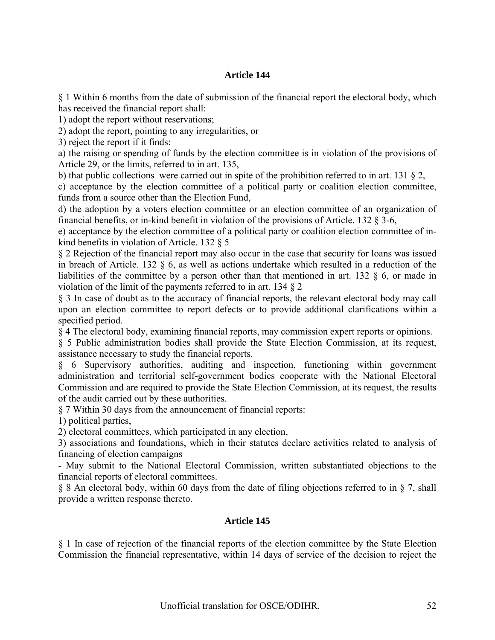### **Article 144**

§ 1 Within 6 months from the date of submission of the financial report the electoral body, which has received the financial report shall:

1) adopt the report without reservations;

2) adopt the report, pointing to any irregularities, or

3) reject the report if it finds:

a) the raising or spending of funds by the election committee is in violation of the provisions of Article 29, or the limits, referred to in art. 135,

b) that public collections were carried out in spite of the prohibition referred to in art. 131 § 2,

c) acceptance by the election committee of a political party or coalition election committee, funds from a source other than the Election Fund,

d) the adoption by a voters election committee or an election committee of an organization of financial benefits, or in-kind benefit in violation of the provisions of Article. 132 § 3-6,

e) acceptance by the election committee of a political party or coalition election committee of inkind benefits in violation of Article. 132 § 5

§ 2 Rejection of the financial report may also occur in the case that security for loans was issued in breach of Article. 132  $\S$  6, as well as actions undertake which resulted in a reduction of the liabilities of the committee by a person other than that mentioned in art. 132 § 6, or made in violation of the limit of the payments referred to in art. 134 § 2

§ 3 In case of doubt as to the accuracy of financial reports, the relevant electoral body may call upon an election committee to report defects or to provide additional clarifications within a specified period.

§ 4 The electoral body, examining financial reports, may commission expert reports or opinions.

§ 5 Public administration bodies shall provide the State Election Commission, at its request, assistance necessary to study the financial reports.

§ 6 Supervisory authorities, auditing and inspection, functioning within government administration and territorial self-government bodies cooperate with the National Electoral Commission and are required to provide the State Election Commission, at its request, the results of the audit carried out by these authorities.

§ 7 Within 30 days from the announcement of financial reports:

1) political parties,

2) electoral committees, which participated in any election,

3) associations and foundations, which in their statutes declare activities related to analysis of financing of election campaigns

- May submit to the National Electoral Commission, written substantiated objections to the financial reports of electoral committees.

§ 8 An electoral body, within 60 days from the date of filing objections referred to in § 7, shall provide a written response thereto.

### **Article 145**

§ 1 In case of rejection of the financial reports of the election committee by the State Election Commission the financial representative, within 14 days of service of the decision to reject the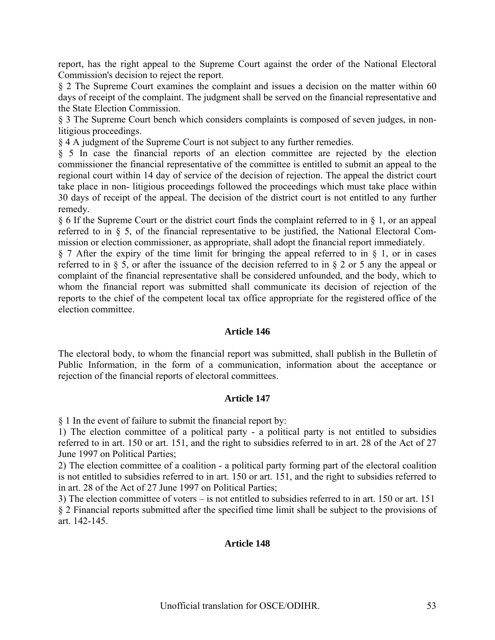report, has the right appeal to the Supreme Court against the order of the National Electoral Commission's decision to reject the report.

§ 2 The Supreme Court examines the complaint and issues a decision on the matter within 60 days of receipt of the complaint. The judgment shall be served on the financial representative and the State Election Commission.

§ 3 The Supreme Court bench which considers complaints is composed of seven judges, in nonlitigious proceedings.

§ 4 A judgment of the Supreme Court is not subject to any further remedies.

§ 5 In case the financial reports of an election committee are rejected by the election commissioner the financial representative of the committee is entitled to submit an appeal to the regional court within 14 day of service of the decision of rejection. The appeal the district court take place in non- litigious proceedings followed the proceedings which must take place within 30 days of receipt of the appeal. The decision of the district court is not entitled to any further remedy.

§ 6 If the Supreme Court or the district court finds the complaint referred to in § 1, or an appeal referred to in § 5, of the financial representative to be justified, the National Electoral Commission or election commissioner, as appropriate, shall adopt the financial report immediately.

§ 7 After the expiry of the time limit for bringing the appeal referred to in § 1, or in cases referred to in § 5, or after the issuance of the decision referred to in § 2 or 5 any the appeal or complaint of the financial representative shall be considered unfounded, and the body, which to whom the financial report was submitted shall communicate its decision of rejection of the reports to the chief of the competent local tax office appropriate for the registered office of the election committee.

#### **Article 146**

The electoral body, to whom the financial report was submitted, shall publish in the Bulletin of Public Information, in the form of a communication, information about the acceptance or rejection of the financial reports of electoral committees.

#### **Article 147**

§ 1 In the event of failure to submit the financial report by:

1) The election committee of a political party - a political party is not entitled to subsidies referred to in art. 150 or art. 151, and the right to subsidies referred to in art. 28 of the Act of 27 June 1997 on Political Parties;

2) The election committee of a coalition - a political party forming part of the electoral coalition is not entitled to subsidies referred to in art. 150 or art. 151, and the right to subsidies referred to in art. 28 of the Act of 27 June 1997 on Political Parties;

3) The election committee of voters – is not entitled to subsidies referred to in art. 150 or art. 151 § 2 Financial reports submitted after the specified time limit shall be subject to the provisions of art. 142-145.

#### **Article 148**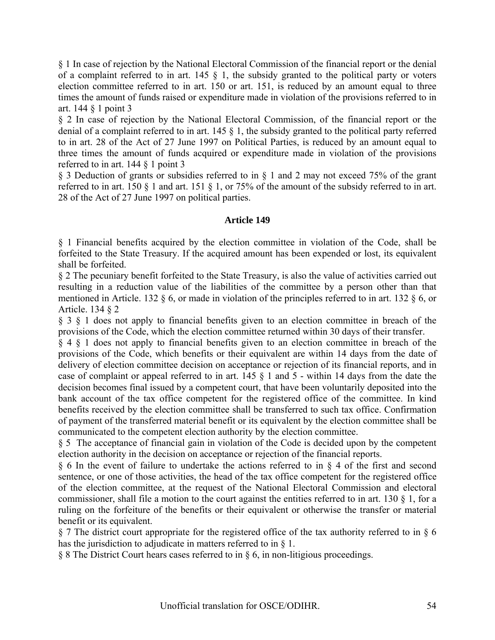§ 1 In case of rejection by the National Electoral Commission of the financial report or the denial of a complaint referred to in art. 145  $\S$  1, the subsidy granted to the political party or voters election committee referred to in art. 150 or art. 151, is reduced by an amount equal to three times the amount of funds raised or expenditure made in violation of the provisions referred to in art. 144 § 1 point 3

§ 2 In case of rejection by the National Electoral Commission, of the financial report or the denial of a complaint referred to in art. 145 § 1, the subsidy granted to the political party referred to in art. 28 of the Act of 27 June 1997 on Political Parties, is reduced by an amount equal to three times the amount of funds acquired or expenditure made in violation of the provisions referred to in art. 144 § 1 point 3

§ 3 Deduction of grants or subsidies referred to in § 1 and 2 may not exceed 75% of the grant referred to in art. 150 § 1 and art. 151 § 1, or 75% of the amount of the subsidy referred to in art. 28 of the Act of 27 June 1997 on political parties.

### **Article 149**

§ 1 Financial benefits acquired by the election committee in violation of the Code, shall be forfeited to the State Treasury. If the acquired amount has been expended or lost, its equivalent shall be forfeited.

§ 2 The pecuniary benefit forfeited to the State Treasury, is also the value of activities carried out resulting in a reduction value of the liabilities of the committee by a person other than that mentioned in Article. 132 § 6, or made in violation of the principles referred to in art. 132 § 6, or Article. 134 § 2

§ 3 § 1 does not apply to financial benefits given to an election committee in breach of the provisions of the Code, which the election committee returned within 30 days of their transfer.

§ 4 § 1 does not apply to financial benefits given to an election committee in breach of the provisions of the Code, which benefits or their equivalent are within 14 days from the date of delivery of election committee decision on acceptance or rejection of its financial reports, and in case of complaint or appeal referred to in art. 145 § 1 and 5 - within 14 days from the date the decision becomes final issued by a competent court, that have been voluntarily deposited into the bank account of the tax office competent for the registered office of the committee. In kind benefits received by the election committee shall be transferred to such tax office. Confirmation of payment of the transferred material benefit or its equivalent by the election committee shall be communicated to the competent election authority by the election committee.

§ 5 The acceptance of financial gain in violation of the Code is decided upon by the competent election authority in the decision on acceptance or rejection of the financial reports.

§ 6 In the event of failure to undertake the actions referred to in § 4 of the first and second sentence, or one of those activities, the head of the tax office competent for the registered office of the election committee, at the request of the National Electoral Commission and electoral commissioner, shall file a motion to the court against the entities referred to in art. 130 § 1, for a ruling on the forfeiture of the benefits or their equivalent or otherwise the transfer or material benefit or its equivalent.

§ 7 The district court appropriate for the registered office of the tax authority referred to in § 6 has the jurisdiction to adjudicate in matters referred to in  $\delta$  1.

§ 8 The District Court hears cases referred to in § 6, in non-litigious proceedings.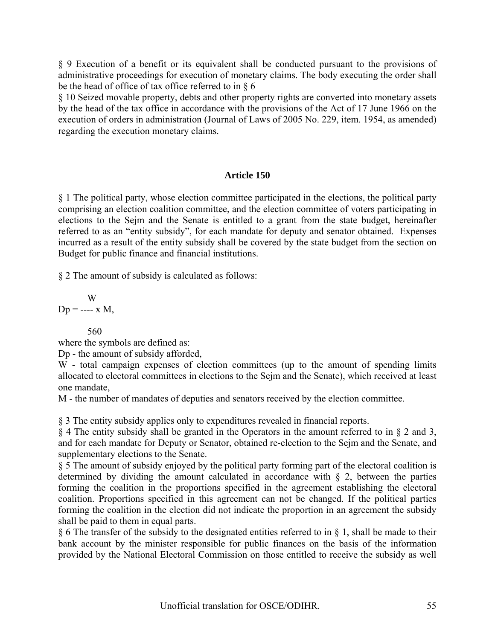§ 9 Execution of a benefit or its equivalent shall be conducted pursuant to the provisions of administrative proceedings for execution of monetary claims. The body executing the order shall be the head of office of tax office referred to in § 6

§ 10 Seized movable property, debts and other property rights are converted into monetary assets by the head of the tax office in accordance with the provisions of the Act of 17 June 1966 on the execution of orders in administration (Journal of Laws of 2005 No. 229, item. 1954, as amended) regarding the execution monetary claims.

### **Article 150**

§ 1 The political party, whose election committee participated in the elections, the political party comprising an election coalition committee, and the election committee of voters participating in elections to the Sejm and the Senate is entitled to a grant from the state budget, hereinafter referred to as an "entity subsidy", for each mandate for deputy and senator obtained. Expenses incurred as a result of the entity subsidy shall be covered by the state budget from the section on Budget for public finance and financial institutions.

§ 2 The amount of subsidy is calculated as follows:

$$
W
$$
  
 
$$
Dp = \text{---} x M,
$$

560

where the symbols are defined as:

Dp - the amount of subsidy afforded,

W - total campaign expenses of election committees (up to the amount of spending limits allocated to electoral committees in elections to the Sejm and the Senate), which received at least one mandate,

M - the number of mandates of deputies and senators received by the election committee.

§ 3 The entity subsidy applies only to expenditures revealed in financial reports.

§ 4 The entity subsidy shall be granted in the Operators in the amount referred to in § 2 and 3, and for each mandate for Deputy or Senator, obtained re-election to the Sejm and the Senate, and supplementary elections to the Senate.

§ 5 The amount of subsidy enjoyed by the political party forming part of the electoral coalition is determined by dividing the amount calculated in accordance with  $\zeta$  2, between the parties forming the coalition in the proportions specified in the agreement establishing the electoral coalition. Proportions specified in this agreement can not be changed. If the political parties forming the coalition in the election did not indicate the proportion in an agreement the subsidy shall be paid to them in equal parts.

§ 6 The transfer of the subsidy to the designated entities referred to in § 1, shall be made to their bank account by the minister responsible for public finances on the basis of the information provided by the National Electoral Commission on those entitled to receive the subsidy as well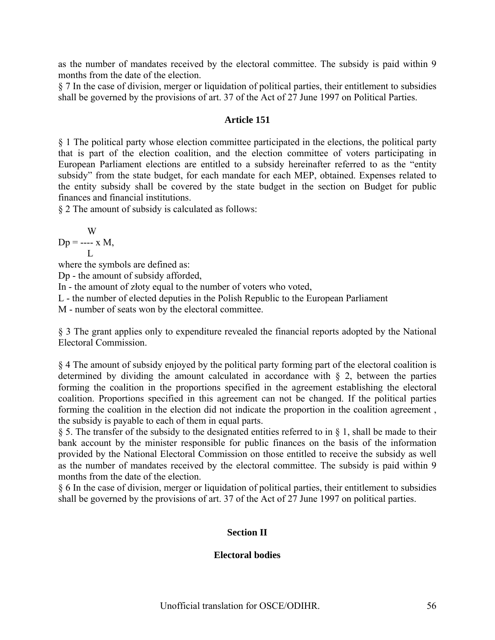as the number of mandates received by the electoral committee. The subsidy is paid within 9 months from the date of the election.

§ 7 In the case of division, merger or liquidation of political parties, their entitlement to subsidies shall be governed by the provisions of art. 37 of the Act of 27 June 1997 on Political Parties.

### **Article 151**

§ 1 The political party whose election committee participated in the elections, the political party that is part of the election coalition, and the election committee of voters participating in European Parliament elections are entitled to a subsidy hereinafter referred to as the "entity subsidy" from the state budget, for each mandate for each MEP, obtained. Expenses related to the entity subsidy shall be covered by the state budget in the section on Budget for public finances and financial institutions.

§ 2 The amount of subsidy is calculated as follows:

W  $Dp =$  ---- x M, L

where the symbols are defined as:

Dp - the amount of subsidy afforded,

In - the amount of złoty equal to the number of voters who voted,

L - the number of elected deputies in the Polish Republic to the European Parliament

M - number of seats won by the electoral committee.

§ 3 The grant applies only to expenditure revealed the financial reports adopted by the National Electoral Commission.

§ 4 The amount of subsidy enjoyed by the political party forming part of the electoral coalition is determined by dividing the amount calculated in accordance with  $\S$  2, between the parties forming the coalition in the proportions specified in the agreement establishing the electoral coalition. Proportions specified in this agreement can not be changed. If the political parties forming the coalition in the election did not indicate the proportion in the coalition agreement , the subsidy is payable to each of them in equal parts.

§ 5. The transfer of the subsidy to the designated entities referred to in § 1, shall be made to their bank account by the minister responsible for public finances on the basis of the information provided by the National Electoral Commission on those entitled to receive the subsidy as well as the number of mandates received by the electoral committee. The subsidy is paid within 9 months from the date of the election.

§ 6 In the case of division, merger or liquidation of political parties, their entitlement to subsidies shall be governed by the provisions of art. 37 of the Act of 27 June 1997 on political parties.

### **Section II**

### **Electoral bodies**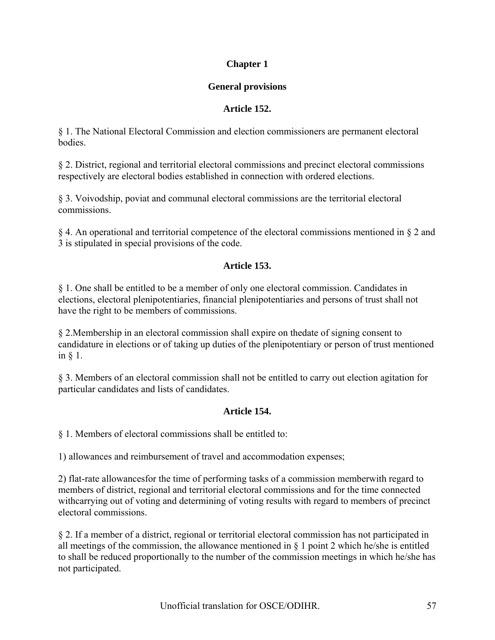# **Chapter 1**

# **General provisions**

# **Article 152.**

§ 1. The National Electoral Commission and election commissioners are permanent electoral **bodies** 

§ 2. District, regional and territorial electoral commissions and precinct electoral commissions respectively are electoral bodies established in connection with ordered elections.

§ 3. Voivodship, poviat and communal electoral commissions are the territorial electoral commissions.

§ 4. An operational and territorial competence of the electoral commissions mentioned in § 2 and 3 is stipulated in special provisions of the code.

# **Article 153.**

§ 1. One shall be entitled to be a member of only one electoral commission. Candidates in elections, electoral plenipotentiaries, financial plenipotentiaries and persons of trust shall not have the right to be members of commissions.

§ 2.Membership in an electoral commission shall expire on thedate of signing consent to candidature in elections or of taking up duties of the plenipotentiary or person of trust mentioned in § 1.

§ 3. Members of an electoral commission shall not be entitled to carry out election agitation for particular candidates and lists of candidates.

# **Article 154.**

§ 1. Members of electoral commissions shall be entitled to:

1) allowances and reimbursement of travel and accommodation expenses;

2) flat-rate allowancesfor the time of performing tasks of a commission memberwith regard to members of district, regional and territorial electoral commissions and for the time connected withcarrying out of voting and determining of voting results with regard to members of precinct electoral commissions.

§ 2. If a member of a district, regional or territorial electoral commission has not participated in all meetings of the commission, the allowance mentioned in  $\S$  1 point 2 which he/she is entitled to shall be reduced proportionally to the number of the commission meetings in which he/she has not participated.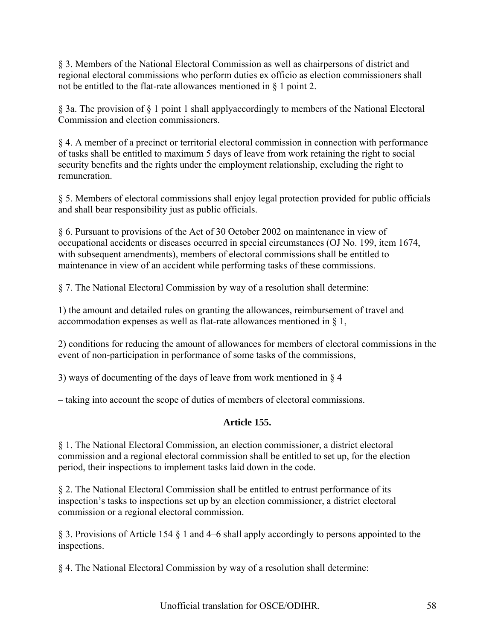§ 3. Members of the National Electoral Commission as well as chairpersons of district and regional electoral commissions who perform duties ex officio as election commissioners shall not be entitled to the flat-rate allowances mentioned in § 1 point 2.

§ 3a. The provision of § 1 point 1 shall applyaccordingly to members of the National Electoral Commission and election commissioners.

§ 4. A member of a precinct or territorial electoral commission in connection with performance of tasks shall be entitled to maximum 5 days of leave from work retaining the right to social security benefits and the rights under the employment relationship, excluding the right to remuneration.

§ 5. Members of electoral commissions shall enjoy legal protection provided for public officials and shall bear responsibility just as public officials.

§ 6. Pursuant to provisions of the Act of 30 October 2002 on maintenance in view of occupational accidents or diseases occurred in special circumstances (OJ No. 199, item 1674, with subsequent amendments), members of electoral commissions shall be entitled to maintenance in view of an accident while performing tasks of these commissions.

§ 7. The National Electoral Commission by way of a resolution shall determine:

1) the amount and detailed rules on granting the allowances, reimbursement of travel and accommodation expenses as well as flat-rate allowances mentioned in § 1,

2) conditions for reducing the amount of allowances for members of electoral commissions in the event of non-participation in performance of some tasks of the commissions,

3) ways of documenting of the days of leave from work mentioned in § 4

– taking into account the scope of duties of members of electoral commissions.

# **Article 155.**

§ 1. The National Electoral Commission, an election commissioner, a district electoral commission and a regional electoral commission shall be entitled to set up, for the election period, their inspections to implement tasks laid down in the code.

§ 2. The National Electoral Commission shall be entitled to entrust performance of its inspection's tasks to inspections set up by an election commissioner, a district electoral commission or a regional electoral commission.

§ 3. Provisions of Article 154 § 1 and 4–6 shall apply accordingly to persons appointed to the inspections.

§ 4. The National Electoral Commission by way of a resolution shall determine: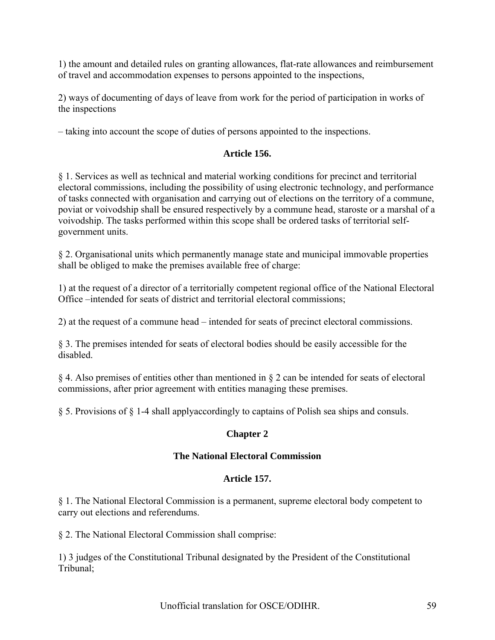1) the amount and detailed rules on granting allowances, flat-rate allowances and reimbursement of travel and accommodation expenses to persons appointed to the inspections,

2) ways of documenting of days of leave from work for the period of participation in works of the inspections

– taking into account the scope of duties of persons appointed to the inspections.

# **Article 156.**

§ 1. Services as well as technical and material working conditions for precinct and territorial electoral commissions, including the possibility of using electronic technology, and performance of tasks connected with organisation and carrying out of elections on the territory of a commune, poviat or voivodship shall be ensured respectively by a commune head, staroste or a marshal of a voivodship. The tasks performed within this scope shall be ordered tasks of territorial selfgovernment units.

§ 2. Organisational units which permanently manage state and municipal immovable properties shall be obliged to make the premises available free of charge:

1) at the request of a director of a territorially competent regional office of the National Electoral Office –intended for seats of district and territorial electoral commissions;

2) at the request of a commune head – intended for seats of precinct electoral commissions.

§ 3. The premises intended for seats of electoral bodies should be easily accessible for the disabled.

§ 4. Also premises of entities other than mentioned in § 2 can be intended for seats of electoral commissions, after prior agreement with entities managing these premises.

§ 5. Provisions of § 1-4 shall applyaccordingly to captains of Polish sea ships and consuls.

# **Chapter 2**

### **The National Electoral Commission**

### **Article 157.**

§ 1. The National Electoral Commission is a permanent, supreme electoral body competent to carry out elections and referendums.

§ 2. The National Electoral Commission shall comprise:

1) 3 judges of the Constitutional Tribunal designated by the President of the Constitutional Tribunal;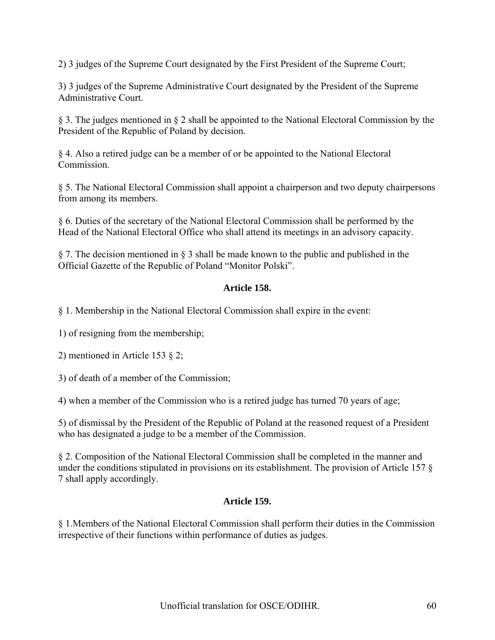2) 3 judges of the Supreme Court designated by the First President of the Supreme Court;

3) 3 judges of the Supreme Administrative Court designated by the President of the Supreme Administrative Court.

§ 3. The judges mentioned in § 2 shall be appointed to the National Electoral Commission by the President of the Republic of Poland by decision.

§ 4. Also a retired judge can be a member of or be appointed to the National Electoral **Commission** 

§ 5. The National Electoral Commission shall appoint a chairperson and two deputy chairpersons from among its members.

§ 6. Duties of the secretary of the National Electoral Commission shall be performed by the Head of the National Electoral Office who shall attend its meetings in an advisory capacity.

§ 7. The decision mentioned in § 3 shall be made known to the public and published in the Official Gazette of the Republic of Poland "Monitor Polski".

# **Article 158.**

§ 1. Membership in the National Electoral Commission shall expire in the event:

1) of resigning from the membership;

2) mentioned in Article 153 § 2;

3) of death of a member of the Commission;

4) when a member of the Commission who is a retired judge has turned 70 years of age;

5) of dismissal by the President of the Republic of Poland at the reasoned request of a President who has designated a judge to be a member of the Commission.

§ 2. Composition of the National Electoral Commission shall be completed in the manner and under the conditions stipulated in provisions on its establishment. The provision of Article 157 § 7 shall apply accordingly.

### **Article 159.**

§ 1.Members of the National Electoral Commission shall perform their duties in the Commission irrespective of their functions within performance of duties as judges.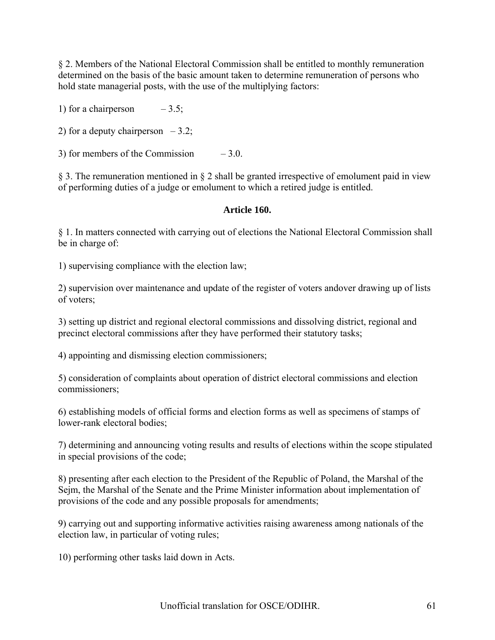§ 2. Members of the National Electoral Commission shall be entitled to monthly remuneration determined on the basis of the basic amount taken to determine remuneration of persons who hold state managerial posts, with the use of the multiplying factors:

1) for a chairperson  $-3.5$ ;

2) for a deputy chairperson  $-3.2$ ;

3) for members of the Commission  $-3.0$ .

§ 3. The remuneration mentioned in § 2 shall be granted irrespective of emolument paid in view of performing duties of a judge or emolument to which a retired judge is entitled.

### **Article 160.**

§ 1. In matters connected with carrying out of elections the National Electoral Commission shall be in charge of:

1) supervising compliance with the election law;

2) supervision over maintenance and update of the register of voters andover drawing up of lists of voters;

3) setting up district and regional electoral commissions and dissolving district, regional and precinct electoral commissions after they have performed their statutory tasks;

4) appointing and dismissing election commissioners;

5) consideration of complaints about operation of district electoral commissions and election commissioners;

6) establishing models of official forms and election forms as well as specimens of stamps of lower-rank electoral bodies;

7) determining and announcing voting results and results of elections within the scope stipulated in special provisions of the code;

8) presenting after each election to the President of the Republic of Poland, the Marshal of the Sejm, the Marshal of the Senate and the Prime Minister information about implementation of provisions of the code and any possible proposals for amendments;

9) carrying out and supporting informative activities raising awareness among nationals of the election law, in particular of voting rules;

10) performing other tasks laid down in Acts.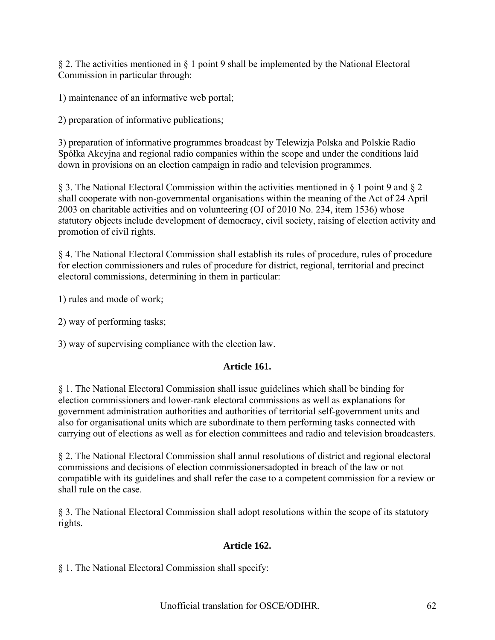§ 2. The activities mentioned in § 1 point 9 shall be implemented by the National Electoral Commission in particular through:

1) maintenance of an informative web portal;

2) preparation of informative publications;

3) preparation of informative programmes broadcast by Telewizja Polska and Polskie Radio Spółka Akcyjna and regional radio companies within the scope and under the conditions laid down in provisions on an election campaign in radio and television programmes.

§ 3. The National Electoral Commission within the activities mentioned in § 1 point 9 and § 2 shall cooperate with non-governmental organisations within the meaning of the Act of 24 April 2003 on charitable activities and on volunteering (OJ of 2010 No. 234, item 1536) whose statutory objects include development of democracy, civil society, raising of election activity and promotion of civil rights.

§ 4. The National Electoral Commission shall establish its rules of procedure, rules of procedure for election commissioners and rules of procedure for district, regional, territorial and precinct electoral commissions, determining in them in particular:

1) rules and mode of work;

2) way of performing tasks;

3) way of supervising compliance with the election law.

# **Article 161.**

§ 1. The National Electoral Commission shall issue guidelines which shall be binding for election commissioners and lower-rank electoral commissions as well as explanations for government administration authorities and authorities of territorial self-government units and also for organisational units which are subordinate to them performing tasks connected with carrying out of elections as well as for election committees and radio and television broadcasters.

§ 2. The National Electoral Commission shall annul resolutions of district and regional electoral commissions and decisions of election commissionersadopted in breach of the law or not compatible with its guidelines and shall refer the case to a competent commission for a review or shall rule on the case.

§ 3. The National Electoral Commission shall adopt resolutions within the scope of its statutory rights.

# **Article 162.**

§ 1. The National Electoral Commission shall specify: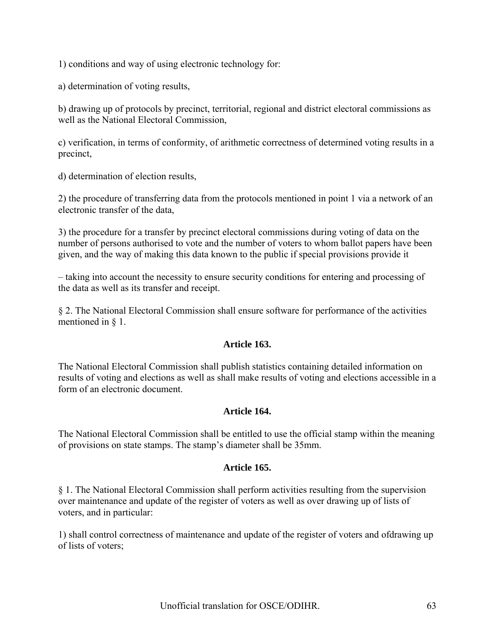1) conditions and way of using electronic technology for:

a) determination of voting results,

b) drawing up of protocols by precinct, territorial, regional and district electoral commissions as well as the National Electoral Commission,

c) verification, in terms of conformity, of arithmetic correctness of determined voting results in a precinct,

d) determination of election results,

2) the procedure of transferring data from the protocols mentioned in point 1 via a network of an electronic transfer of the data,

3) the procedure for a transfer by precinct electoral commissions during voting of data on the number of persons authorised to vote and the number of voters to whom ballot papers have been given, and the way of making this data known to the public if special provisions provide it

– taking into account the necessity to ensure security conditions for entering and processing of the data as well as its transfer and receipt.

§ 2. The National Electoral Commission shall ensure software for performance of the activities mentioned in § 1.

### **Article 163.**

The National Electoral Commission shall publish statistics containing detailed information on results of voting and elections as well as shall make results of voting and elections accessible in a form of an electronic document.

#### **Article 164.**

The National Electoral Commission shall be entitled to use the official stamp within the meaning of provisions on state stamps. The stamp's diameter shall be 35mm.

#### **Article 165.**

§ 1. The National Electoral Commission shall perform activities resulting from the supervision over maintenance and update of the register of voters as well as over drawing up of lists of voters, and in particular:

1) shall control correctness of maintenance and update of the register of voters and ofdrawing up of lists of voters;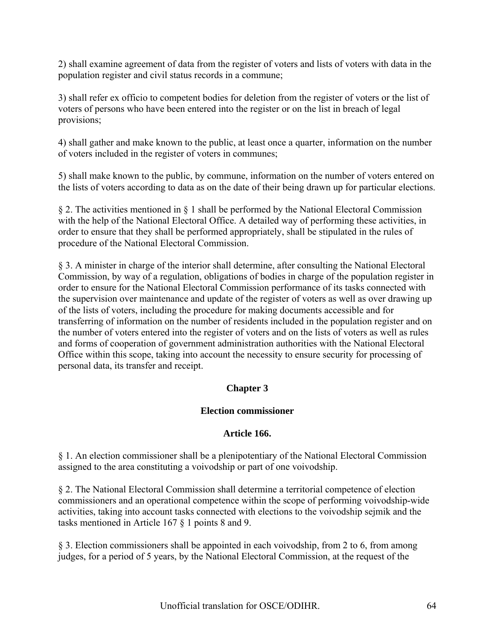2) shall examine agreement of data from the register of voters and lists of voters with data in the population register and civil status records in a commune;

3) shall refer ex officio to competent bodies for deletion from the register of voters or the list of voters of persons who have been entered into the register or on the list in breach of legal provisions;

4) shall gather and make known to the public, at least once a quarter, information on the number of voters included in the register of voters in communes;

5) shall make known to the public, by commune, information on the number of voters entered on the lists of voters according to data as on the date of their being drawn up for particular elections.

§ 2. The activities mentioned in § 1 shall be performed by the National Electoral Commission with the help of the National Electoral Office. A detailed way of performing these activities, in order to ensure that they shall be performed appropriately, shall be stipulated in the rules of procedure of the National Electoral Commission.

§ 3. A minister in charge of the interior shall determine, after consulting the National Electoral Commission, by way of a regulation, obligations of bodies in charge of the population register in order to ensure for the National Electoral Commission performance of its tasks connected with the supervision over maintenance and update of the register of voters as well as over drawing up of the lists of voters, including the procedure for making documents accessible and for transferring of information on the number of residents included in the population register and on the number of voters entered into the register of voters and on the lists of voters as well as rules and forms of cooperation of government administration authorities with the National Electoral Office within this scope, taking into account the necessity to ensure security for processing of personal data, its transfer and receipt.

# **Chapter 3**

# **Election commissioner**

# **Article 166.**

§ 1. An election commissioner shall be a plenipotentiary of the National Electoral Commission assigned to the area constituting a voivodship or part of one voivodship.

§ 2. The National Electoral Commission shall determine a territorial competence of election commissioners and an operational competence within the scope of performing voivodship-wide activities, taking into account tasks connected with elections to the voivodship sejmik and the tasks mentioned in Article 167 § 1 points 8 and 9.

§ 3. Election commissioners shall be appointed in each voivodship, from 2 to 6, from among judges, for a period of 5 years, by the National Electoral Commission, at the request of the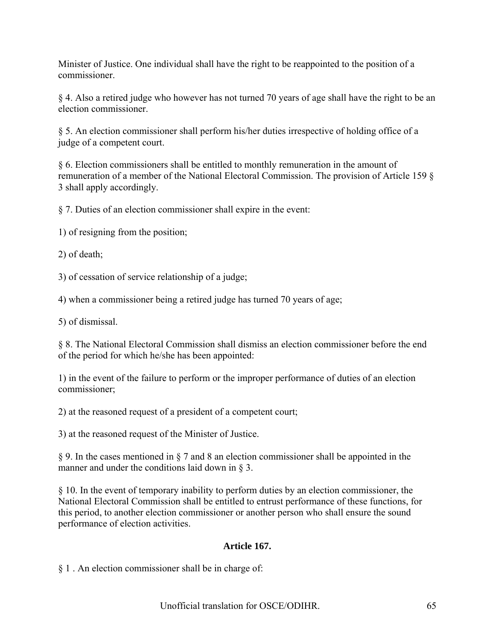Minister of Justice. One individual shall have the right to be reappointed to the position of a commissioner.

§ 4. Also a retired judge who however has not turned 70 years of age shall have the right to be an election commissioner.

§ 5. An election commissioner shall perform his/her duties irrespective of holding office of a judge of a competent court.

§ 6. Election commissioners shall be entitled to monthly remuneration in the amount of remuneration of a member of the National Electoral Commission. The provision of Article 159 § 3 shall apply accordingly.

§ 7. Duties of an election commissioner shall expire in the event:

1) of resigning from the position;

2) of death;

3) of cessation of service relationship of a judge;

4) when a commissioner being a retired judge has turned 70 years of age;

5) of dismissal.

§ 8. The National Electoral Commission shall dismiss an election commissioner before the end of the period for which he/she has been appointed:

1) in the event of the failure to perform or the improper performance of duties of an election commissioner;

2) at the reasoned request of a president of a competent court;

3) at the reasoned request of the Minister of Justice.

§ 9. In the cases mentioned in § 7 and 8 an election commissioner shall be appointed in the manner and under the conditions laid down in § 3.

§ 10. In the event of temporary inability to perform duties by an election commissioner, the National Electoral Commission shall be entitled to entrust performance of these functions, for this period, to another election commissioner or another person who shall ensure the sound performance of election activities.

# **Article 167.**

§ 1 . An election commissioner shall be in charge of: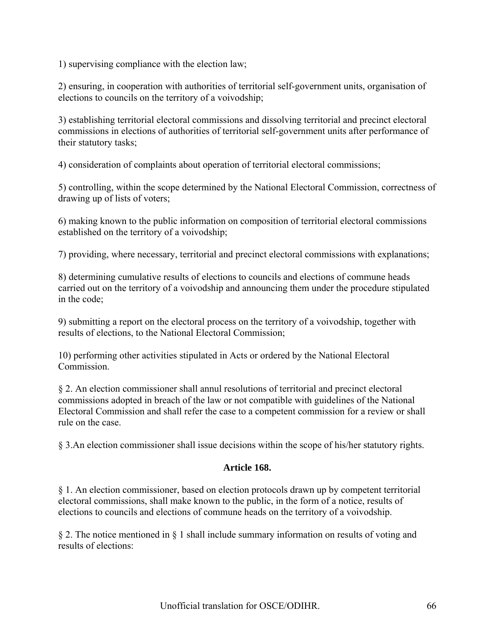1) supervising compliance with the election law;

2) ensuring, in cooperation with authorities of territorial self-government units, organisation of elections to councils on the territory of a voivodship;

3) establishing territorial electoral commissions and dissolving territorial and precinct electoral commissions in elections of authorities of territorial self-government units after performance of their statutory tasks;

4) consideration of complaints about operation of territorial electoral commissions;

5) controlling, within the scope determined by the National Electoral Commission, correctness of drawing up of lists of voters;

6) making known to the public information on composition of territorial electoral commissions established on the territory of a voivodship;

7) providing, where necessary, territorial and precinct electoral commissions with explanations;

8) determining cumulative results of elections to councils and elections of commune heads carried out on the territory of a voivodship and announcing them under the procedure stipulated in the code;

9) submitting a report on the electoral process on the territory of a voivodship, together with results of elections, to the National Electoral Commission;

10) performing other activities stipulated in Acts or ordered by the National Electoral **Commission** 

§ 2. An election commissioner shall annul resolutions of territorial and precinct electoral commissions adopted in breach of the law or not compatible with guidelines of the National Electoral Commission and shall refer the case to a competent commission for a review or shall rule on the case.

§ 3.An election commissioner shall issue decisions within the scope of his/her statutory rights.

### **Article 168.**

§ 1. An election commissioner, based on election protocols drawn up by competent territorial electoral commissions, shall make known to the public, in the form of a notice, results of elections to councils and elections of commune heads on the territory of a voivodship.

§ 2. The notice mentioned in § 1 shall include summary information on results of voting and results of elections: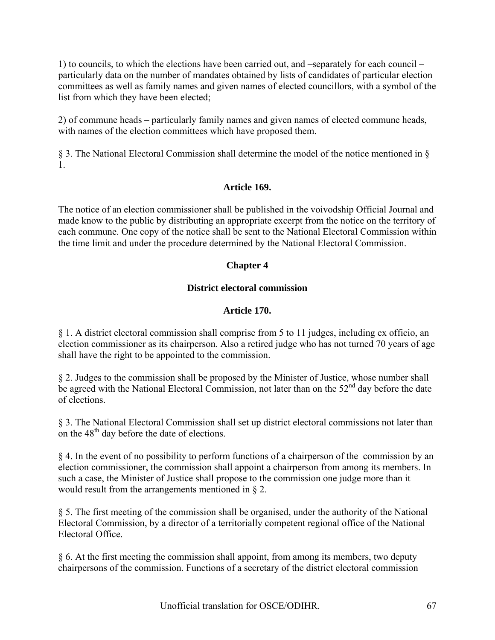1) to councils, to which the elections have been carried out, and –separately for each council – particularly data on the number of mandates obtained by lists of candidates of particular election committees as well as family names and given names of elected councillors, with a symbol of the list from which they have been elected;

2) of commune heads – particularly family names and given names of elected commune heads, with names of the election committees which have proposed them.

§ 3. The National Electoral Commission shall determine the model of the notice mentioned in § 1.

# **Article 169.**

The notice of an election commissioner shall be published in the voivodship Official Journal and made know to the public by distributing an appropriate excerpt from the notice on the territory of each commune. One copy of the notice shall be sent to the National Electoral Commission within the time limit and under the procedure determined by the National Electoral Commission.

# **Chapter 4**

# **District electoral commission**

# **Article 170.**

§ 1. A district electoral commission shall comprise from 5 to 11 judges, including ex officio, an election commissioner as its chairperson. Also a retired judge who has not turned 70 years of age shall have the right to be appointed to the commission.

§ 2. Judges to the commission shall be proposed by the Minister of Justice, whose number shall be agreed with the National Electoral Commission, not later than on the  $52<sup>nd</sup>$  day before the date of elections.

§ 3. The National Electoral Commission shall set up district electoral commissions not later than on the 48<sup>th</sup> day before the date of elections.

§ 4. In the event of no possibility to perform functions of a chairperson of the commission by an election commissioner, the commission shall appoint a chairperson from among its members. In such a case, the Minister of Justice shall propose to the commission one judge more than it would result from the arrangements mentioned in § 2.

§ 5. The first meeting of the commission shall be organised, under the authority of the National Electoral Commission, by a director of a territorially competent regional office of the National Electoral Office.

§ 6. At the first meeting the commission shall appoint, from among its members, two deputy chairpersons of the commission. Functions of a secretary of the district electoral commission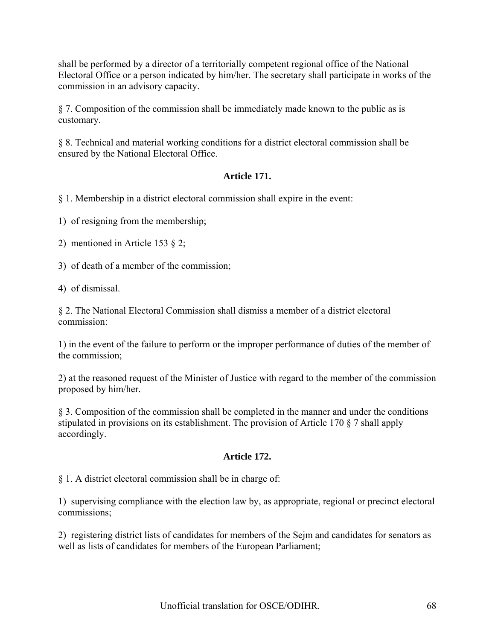shall be performed by a director of a territorially competent regional office of the National Electoral Office or a person indicated by him/her. The secretary shall participate in works of the commission in an advisory capacity.

§ 7. Composition of the commission shall be immediately made known to the public as is customary.

§ 8. Technical and material working conditions for a district electoral commission shall be ensured by the National Electoral Office.

# **Article 171.**

§ 1. Membership in a district electoral commission shall expire in the event:

1) of resigning from the membership;

2) mentioned in Article 153 § 2;

3) of death of a member of the commission;

4) of dismissal.

§ 2. The National Electoral Commission shall dismiss a member of a district electoral commission:

1) in the event of the failure to perform or the improper performance of duties of the member of the commission;

2) at the reasoned request of the Minister of Justice with regard to the member of the commission proposed by him/her.

§ 3. Composition of the commission shall be completed in the manner and under the conditions stipulated in provisions on its establishment. The provision of Article 170 § 7 shall apply accordingly.

# **Article 172.**

§ 1. A district electoral commission shall be in charge of:

1) supervising compliance with the election law by, as appropriate, regional or precinct electoral commissions;

2) registering district lists of candidates for members of the Sejm and candidates for senators as well as lists of candidates for members of the European Parliament;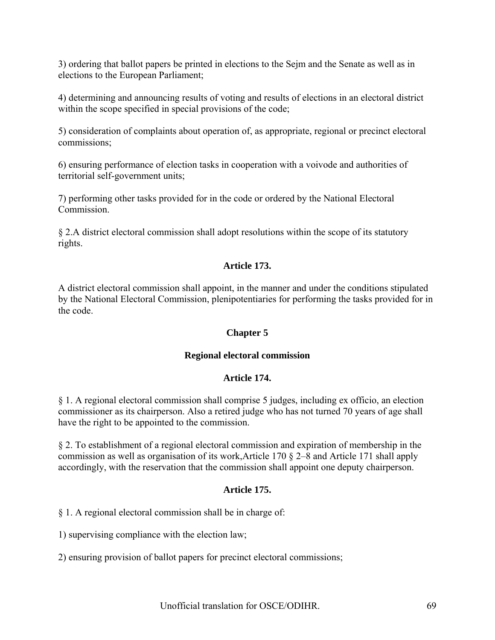3) ordering that ballot papers be printed in elections to the Sejm and the Senate as well as in elections to the European Parliament;

4) determining and announcing results of voting and results of elections in an electoral district within the scope specified in special provisions of the code;

5) consideration of complaints about operation of, as appropriate, regional or precinct electoral commissions;

6) ensuring performance of election tasks in cooperation with a voivode and authorities of territorial self-government units;

7) performing other tasks provided for in the code or ordered by the National Electoral Commission.

§ 2.A district electoral commission shall adopt resolutions within the scope of its statutory rights.

### **Article 173.**

A district electoral commission shall appoint, in the manner and under the conditions stipulated by the National Electoral Commission, plenipotentiaries for performing the tasks provided for in the code.

#### **Chapter 5**

#### **Regional electoral commission**

### **Article 174.**

§ 1. A regional electoral commission shall comprise 5 judges, including ex officio, an election commissioner as its chairperson. Also a retired judge who has not turned 70 years of age shall have the right to be appointed to the commission.

§ 2. To establishment of a regional electoral commission and expiration of membership in the commission as well as organisation of its work,Article 170 § 2–8 and Article 171 shall apply accordingly, with the reservation that the commission shall appoint one deputy chairperson.

#### **Article 175.**

§ 1. A regional electoral commission shall be in charge of:

1) supervising compliance with the election law;

2) ensuring provision of ballot papers for precinct electoral commissions;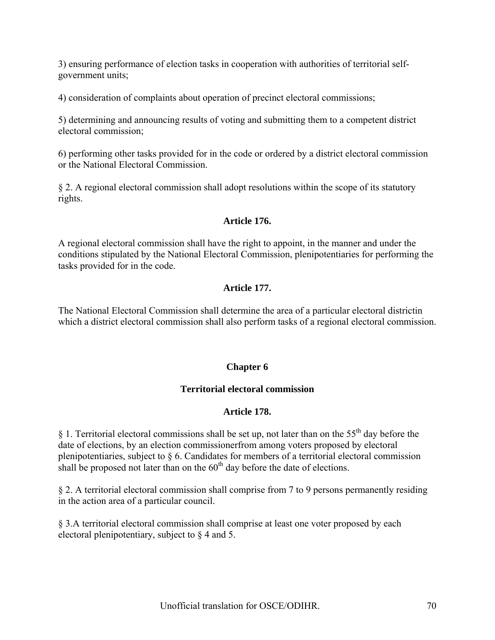3) ensuring performance of election tasks in cooperation with authorities of territorial selfgovernment units;

4) consideration of complaints about operation of precinct electoral commissions;

5) determining and announcing results of voting and submitting them to a competent district electoral commission;

6) performing other tasks provided for in the code or ordered by a district electoral commission or the National Electoral Commission.

§ 2. A regional electoral commission shall adopt resolutions within the scope of its statutory rights.

### **Article 176.**

A regional electoral commission shall have the right to appoint, in the manner and under the conditions stipulated by the National Electoral Commission, plenipotentiaries for performing the tasks provided for in the code.

# **Article 177.**

The National Electoral Commission shall determine the area of a particular electoral districtin which a district electoral commission shall also perform tasks of a regional electoral commission.

### **Chapter 6**

### **Territorial electoral commission**

#### **Article 178.**

§ 1. Territorial electoral commissions shall be set up, not later than on the  $55<sup>th</sup>$  day before the date of elections, by an election commissionerfrom among voters proposed by electoral plenipotentiaries, subject to § 6. Candidates for members of a territorial electoral commission shall be proposed not later than on the  $60<sup>th</sup>$  day before the date of elections.

§ 2. A territorial electoral commission shall comprise from 7 to 9 persons permanently residing in the action area of a particular council.

§ 3.A territorial electoral commission shall comprise at least one voter proposed by each electoral plenipotentiary, subject to § 4 and 5.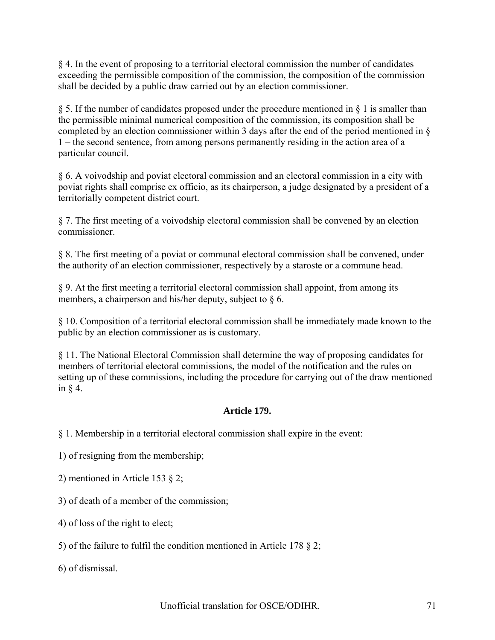§ 4. In the event of proposing to a territorial electoral commission the number of candidates exceeding the permissible composition of the commission, the composition of the commission shall be decided by a public draw carried out by an election commissioner.

§ 5. If the number of candidates proposed under the procedure mentioned in § 1 is smaller than the permissible minimal numerical composition of the commission, its composition shall be completed by an election commissioner within 3 days after the end of the period mentioned in § 1 – the second sentence, from among persons permanently residing in the action area of a particular council.

§ 6. A voivodship and poviat electoral commission and an electoral commission in a city with poviat rights shall comprise ex officio, as its chairperson, a judge designated by a president of a territorially competent district court.

§ 7. The first meeting of a voivodship electoral commission shall be convened by an election commissioner.

§ 8. The first meeting of a poviat or communal electoral commission shall be convened, under the authority of an election commissioner, respectively by a staroste or a commune head.

§ 9. At the first meeting a territorial electoral commission shall appoint, from among its members, a chairperson and his/her deputy, subject to  $\delta$  6.

§ 10. Composition of a territorial electoral commission shall be immediately made known to the public by an election commissioner as is customary.

§ 11. The National Electoral Commission shall determine the way of proposing candidates for members of territorial electoral commissions, the model of the notification and the rules on setting up of these commissions, including the procedure for carrying out of the draw mentioned in  $§$  4.

# **Article 179.**

§ 1. Membership in a territorial electoral commission shall expire in the event:

1) of resigning from the membership;

2) mentioned in Article 153 § 2;

3) of death of a member of the commission;

4) of loss of the right to elect;

5) of the failure to fulfil the condition mentioned in Article 178 § 2;

6) of dismissal.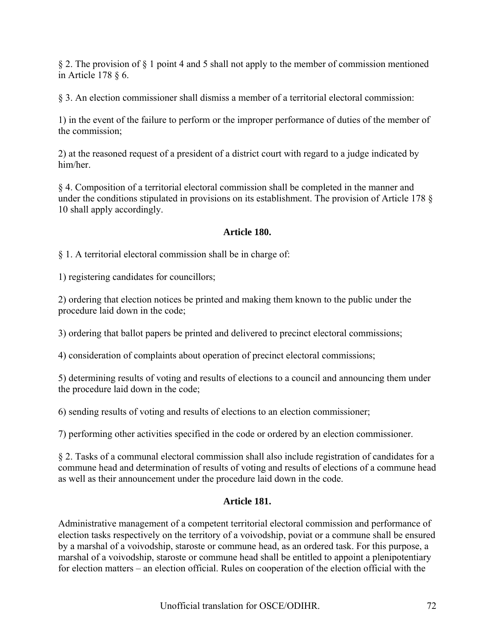§ 2. The provision of § 1 point 4 and 5 shall not apply to the member of commission mentioned in Article 178 § 6.

§ 3. An election commissioner shall dismiss a member of a territorial electoral commission:

1) in the event of the failure to perform or the improper performance of duties of the member of the commission;

2) at the reasoned request of a president of a district court with regard to a judge indicated by him/her.

§ 4. Composition of a territorial electoral commission shall be completed in the manner and under the conditions stipulated in provisions on its establishment. The provision of Article 178 § 10 shall apply accordingly.

# **Article 180.**

§ 1. A territorial electoral commission shall be in charge of:

1) registering candidates for councillors;

2) ordering that election notices be printed and making them known to the public under the procedure laid down in the code;

3) ordering that ballot papers be printed and delivered to precinct electoral commissions;

4) consideration of complaints about operation of precinct electoral commissions;

5) determining results of voting and results of elections to a council and announcing them under the procedure laid down in the code;

6) sending results of voting and results of elections to an election commissioner;

7) performing other activities specified in the code or ordered by an election commissioner.

§ 2. Tasks of a communal electoral commission shall also include registration of candidates for a commune head and determination of results of voting and results of elections of a commune head as well as their announcement under the procedure laid down in the code.

# **Article 181.**

Administrative management of a competent territorial electoral commission and performance of election tasks respectively on the territory of a voivodship, poviat or a commune shall be ensured by a marshal of a voivodship, staroste or commune head, as an ordered task. For this purpose, a marshal of a voivodship, staroste or commune head shall be entitled to appoint a plenipotentiary for election matters – an election official. Rules on cooperation of the election official with the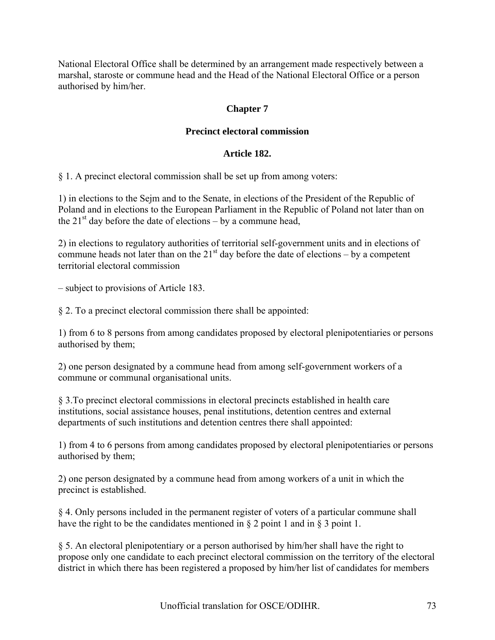National Electoral Office shall be determined by an arrangement made respectively between a marshal, staroste or commune head and the Head of the National Electoral Office or a person authorised by him/her.

# **Chapter 7**

# **Precinct electoral commission**

## **Article 182.**

§ 1. A precinct electoral commission shall be set up from among voters:

1) in elections to the Sejm and to the Senate, in elections of the President of the Republic of Poland and in elections to the European Parliament in the Republic of Poland not later than on the  $21<sup>st</sup>$  day before the date of elections – by a commune head,

2) in elections to regulatory authorities of territorial self-government units and in elections of commune heads not later than on the  $21<sup>st</sup>$  day before the date of elections – by a competent territorial electoral commission

– subject to provisions of Article 183.

§ 2. To a precinct electoral commission there shall be appointed:

1) from 6 to 8 persons from among candidates proposed by electoral plenipotentiaries or persons authorised by them;

2) one person designated by a commune head from among self-government workers of a commune or communal organisational units.

§ 3.To precinct electoral commissions in electoral precincts established in health care institutions, social assistance houses, penal institutions, detention centres and external departments of such institutions and detention centres there shall appointed:

1) from 4 to 6 persons from among candidates proposed by electoral plenipotentiaries or persons authorised by them;

2) one person designated by a commune head from among workers of a unit in which the precinct is established.

§ 4. Only persons included in the permanent register of voters of a particular commune shall have the right to be the candidates mentioned in § 2 point 1 and in § 3 point 1.

§ 5. An electoral plenipotentiary or a person authorised by him/her shall have the right to propose only one candidate to each precinct electoral commission on the territory of the electoral district in which there has been registered a proposed by him/her list of candidates for members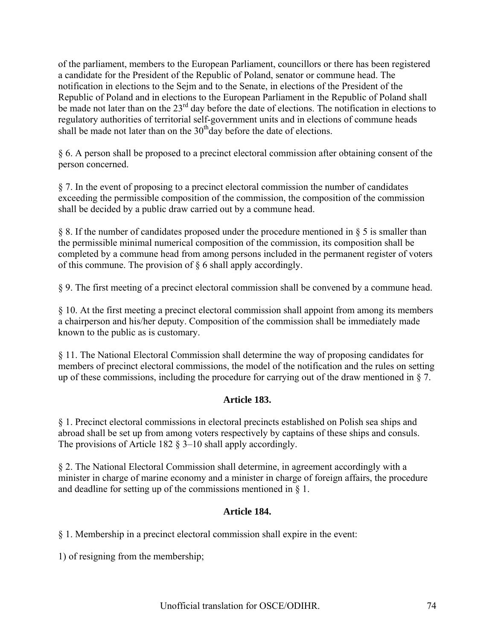of the parliament, members to the European Parliament, councillors or there has been registered a candidate for the President of the Republic of Poland, senator or commune head. The notification in elections to the Sejm and to the Senate, in elections of the President of the Republic of Poland and in elections to the European Parliament in the Republic of Poland shall be made not later than on the 23<sup>rd</sup> day before the date of elections. The notification in elections to regulatory authorities of territorial self-government units and in elections of commune heads shall be made not later than on the  $30<sup>th</sup>$ day before the date of elections.

§ 6. A person shall be proposed to a precinct electoral commission after obtaining consent of the person concerned.

§ 7. In the event of proposing to a precinct electoral commission the number of candidates exceeding the permissible composition of the commission, the composition of the commission shall be decided by a public draw carried out by a commune head.

§ 8. If the number of candidates proposed under the procedure mentioned in § 5 is smaller than the permissible minimal numerical composition of the commission, its composition shall be completed by a commune head from among persons included in the permanent register of voters of this commune. The provision of § 6 shall apply accordingly.

§ 9. The first meeting of a precinct electoral commission shall be convened by a commune head.

§ 10. At the first meeting a precinct electoral commission shall appoint from among its members a chairperson and his/her deputy. Composition of the commission shall be immediately made known to the public as is customary.

§ 11. The National Electoral Commission shall determine the way of proposing candidates for members of precinct electoral commissions, the model of the notification and the rules on setting up of these commissions, including the procedure for carrying out of the draw mentioned in § 7.

# **Article 183.**

§ 1. Precinct electoral commissions in electoral precincts established on Polish sea ships and abroad shall be set up from among voters respectively by captains of these ships and consuls. The provisions of Article 182 § 3–10 shall apply accordingly.

§ 2. The National Electoral Commission shall determine, in agreement accordingly with a minister in charge of marine economy and a minister in charge of foreign affairs, the procedure and deadline for setting up of the commissions mentioned in § 1.

# **Article 184.**

§ 1. Membership in a precinct electoral commission shall expire in the event:

1) of resigning from the membership;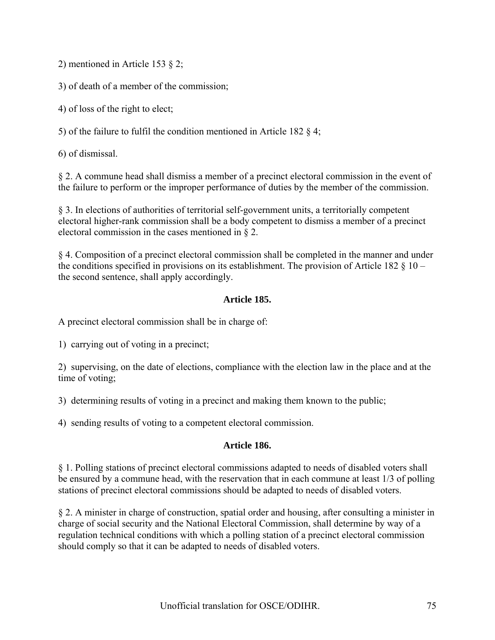2) mentioned in Article 153 § 2;

3) of death of a member of the commission;

4) of loss of the right to elect;

5) of the failure to fulfil the condition mentioned in Article 182 § 4;

6) of dismissal.

§ 2. A commune head shall dismiss a member of a precinct electoral commission in the event of the failure to perform or the improper performance of duties by the member of the commission.

§ 3. In elections of authorities of territorial self-government units, a territorially competent electoral higher-rank commission shall be a body competent to dismiss a member of a precinct electoral commission in the cases mentioned in § 2.

§ 4. Composition of a precinct electoral commission shall be completed in the manner and under the conditions specified in provisions on its establishment. The provision of Article 182  $\S$  10 – the second sentence, shall apply accordingly.

# **Article 185.**

A precinct electoral commission shall be in charge of:

1) carrying out of voting in a precinct;

2) supervising, on the date of elections, compliance with the election law in the place and at the time of voting;

3) determining results of voting in a precinct and making them known to the public;

4) sending results of voting to a competent electoral commission.

# **Article 186.**

§ 1. Polling stations of precinct electoral commissions adapted to needs of disabled voters shall be ensured by a commune head, with the reservation that in each commune at least 1/3 of polling stations of precinct electoral commissions should be adapted to needs of disabled voters.

§ 2. A minister in charge of construction, spatial order and housing, after consulting a minister in charge of social security and the National Electoral Commission, shall determine by way of a regulation technical conditions with which a polling station of a precinct electoral commission should comply so that it can be adapted to needs of disabled voters.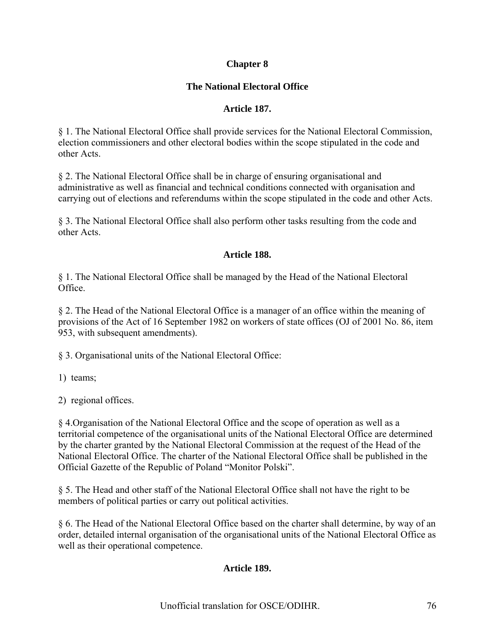# **Chapter 8**

# **The National Electoral Office**

# **Article 187.**

§ 1. The National Electoral Office shall provide services for the National Electoral Commission, election commissioners and other electoral bodies within the scope stipulated in the code and other Acts.

§ 2. The National Electoral Office shall be in charge of ensuring organisational and administrative as well as financial and technical conditions connected with organisation and carrying out of elections and referendums within the scope stipulated in the code and other Acts.

§ 3. The National Electoral Office shall also perform other tasks resulting from the code and other Acts.

# **Article 188.**

§ 1. The National Electoral Office shall be managed by the Head of the National Electoral Office.

§ 2. The Head of the National Electoral Office is a manager of an office within the meaning of provisions of the Act of 16 September 1982 on workers of state offices (OJ of 2001 No. 86, item 953, with subsequent amendments).

§ 3. Organisational units of the National Electoral Office:

1) teams;

2) regional offices.

§ 4.Organisation of the National Electoral Office and the scope of operation as well as a territorial competence of the organisational units of the National Electoral Office are determined by the charter granted by the National Electoral Commission at the request of the Head of the National Electoral Office. The charter of the National Electoral Office shall be published in the Official Gazette of the Republic of Poland "Monitor Polski".

§ 5. The Head and other staff of the National Electoral Office shall not have the right to be members of political parties or carry out political activities.

§ 6. The Head of the National Electoral Office based on the charter shall determine, by way of an order, detailed internal organisation of the organisational units of the National Electoral Office as well as their operational competence.

# **Article 189.**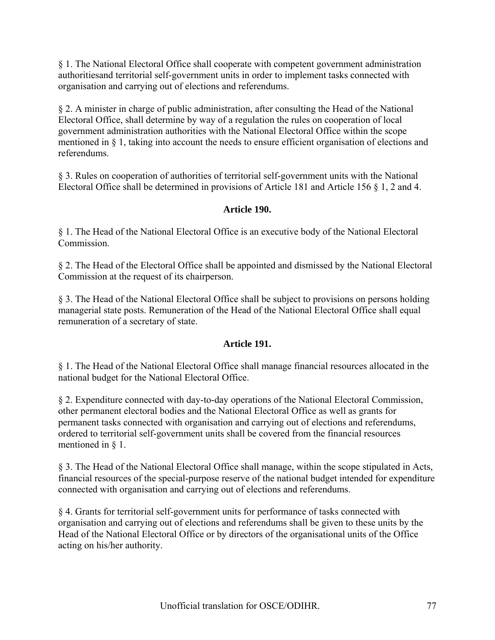§ 1. The National Electoral Office shall cooperate with competent government administration authoritiesand territorial self-government units in order to implement tasks connected with organisation and carrying out of elections and referendums.

§ 2. A minister in charge of public administration, after consulting the Head of the National Electoral Office, shall determine by way of a regulation the rules on cooperation of local government administration authorities with the National Electoral Office within the scope mentioned in § 1, taking into account the needs to ensure efficient organisation of elections and referendums.

§ 3. Rules on cooperation of authorities of territorial self-government units with the National Electoral Office shall be determined in provisions of Article 181 and Article 156 § 1, 2 and 4.

# **Article 190.**

§ 1. The Head of the National Electoral Office is an executive body of the National Electoral Commission.

§ 2. The Head of the Electoral Office shall be appointed and dismissed by the National Electoral Commission at the request of its chairperson.

§ 3. The Head of the National Electoral Office shall be subject to provisions on persons holding managerial state posts. Remuneration of the Head of the National Electoral Office shall equal remuneration of a secretary of state.

# **Article 191.**

§ 1. The Head of the National Electoral Office shall manage financial resources allocated in the national budget for the National Electoral Office.

§ 2. Expenditure connected with day-to-day operations of the National Electoral Commission, other permanent electoral bodies and the National Electoral Office as well as grants for permanent tasks connected with organisation and carrying out of elections and referendums, ordered to territorial self-government units shall be covered from the financial resources mentioned in § 1.

§ 3. The Head of the National Electoral Office shall manage, within the scope stipulated in Acts, financial resources of the special-purpose reserve of the national budget intended for expenditure connected with organisation and carrying out of elections and referendums.

§ 4. Grants for territorial self-government units for performance of tasks connected with organisation and carrying out of elections and referendums shall be given to these units by the Head of the National Electoral Office or by directors of the organisational units of the Office acting on his/her authority.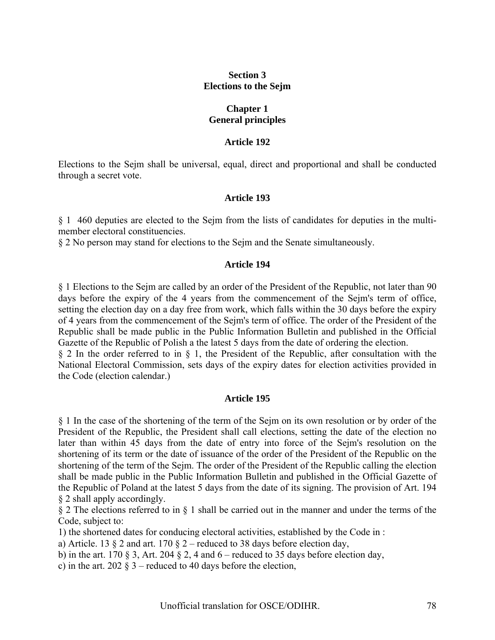# **Section 3 Elections to the Sejm**

#### **Chapter 1 General principles**

#### **Article 192**

Elections to the Sejm shall be universal, equal, direct and proportional and shall be conducted through a secret vote.

#### **Article 193**

§ 1 460 deputies are elected to the Sejm from the lists of candidates for deputies in the multimember electoral constituencies.

§ 2 No person may stand for elections to the Sejm and the Senate simultaneously.

#### **Article 194**

§ 1 Elections to the Sejm are called by an order of the President of the Republic, not later than 90 days before the expiry of the 4 years from the commencement of the Sejm's term of office, setting the election day on a day free from work, which falls within the 30 days before the expiry of 4 years from the commencement of the Sejm's term of office. The order of the President of the Republic shall be made public in the Public Information Bulletin and published in the Official Gazette of the Republic of Polish a the latest 5 days from the date of ordering the election.

§ 2 In the order referred to in § 1, the President of the Republic, after consultation with the National Electoral Commission, sets days of the expiry dates for election activities provided in the Code (election calendar.)

#### **Article 195**

§ 1 In the case of the shortening of the term of the Sejm on its own resolution or by order of the President of the Republic, the President shall call elections, setting the date of the election no later than within 45 days from the date of entry into force of the Sejm's resolution on the shortening of its term or the date of issuance of the order of the President of the Republic on the shortening of the term of the Sejm. The order of the President of the Republic calling the election shall be made public in the Public Information Bulletin and published in the Official Gazette of the Republic of Poland at the latest 5 days from the date of its signing. The provision of Art. 194 § 2 shall apply accordingly.

§ 2 The elections referred to in § 1 shall be carried out in the manner and under the terms of the Code, subject to:

1) the shortened dates for conducing electoral activities, established by the Code in :

a) Article. 13  $\S$  2 and art. 170  $\S$  2 – reduced to 38 days before election day,

b) in the art. 170 § 3, Art. 204 § 2, 4 and  $6$  – reduced to 35 days before election day,

c) in the art. 202  $\S$  3 – reduced to 40 days before the election,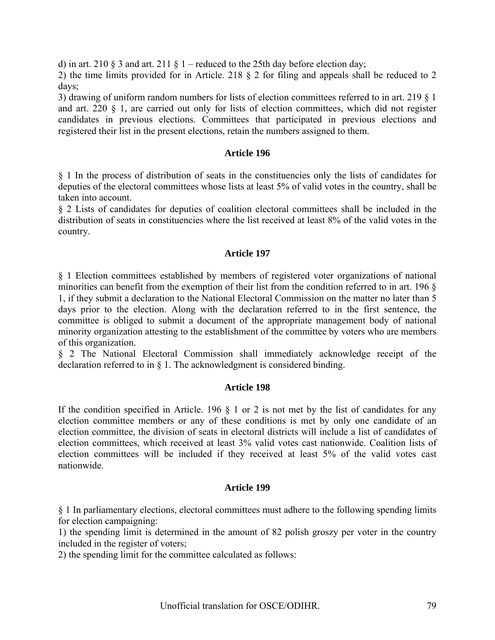d) in art. 210 § 3 and art. 211 § 1 – reduced to the 25th day before election day;

2) the time limits provided for in Article. 218 § 2 for filing and appeals shall be reduced to 2 days;

3) drawing of uniform random numbers for lists of election committees referred to in art. 219 § 1 and art. 220 § 1, are carried out only for lists of election committees, which did not register candidates in previous elections. Committees that participated in previous elections and registered their list in the present elections, retain the numbers assigned to them.

## **Article 196**

§ 1 In the process of distribution of seats in the constituencies only the lists of candidates for deputies of the electoral committees whose lists at least 5% of valid votes in the country, shall be taken into account.

§ 2 Lists of candidates for deputies of coalition electoral committees shall be included in the distribution of seats in constituencies where the list received at least 8% of the valid votes in the country.

## **Article 197**

§ 1 Election committees established by members of registered voter organizations of national minorities can benefit from the exemption of their list from the condition referred to in art. 196 § 1, if they submit a declaration to the National Electoral Commission on the matter no later than 5 days prior to the election. Along with the declaration referred to in the first sentence, the committee is obliged to submit a document of the appropriate management body of national minority organization attesting to the establishment of the committee by voters who are members of this organization.

§ 2 The National Electoral Commission shall immediately acknowledge receipt of the declaration referred to in § 1. The acknowledgment is considered binding.

#### **Article 198**

If the condition specified in Article. 196  $\S$  1 or 2 is not met by the list of candidates for any election committee members or any of these conditions is met by only one candidate of an election committee, the division of seats in electoral districts will include a list of candidates of election committees, which received at least 3% valid votes cast nationwide. Coalition lists of election committees will be included if they received at least 5% of the valid votes cast nationwide.

#### **Article 199**

§ 1 In parliamentary elections, electoral committees must adhere to the following spending limits for election campaigning:

1) the spending limit is determined in the amount of 82 polish groszy per voter in the country included in the register of voters;

2) the spending limit for the committee calculated as follows: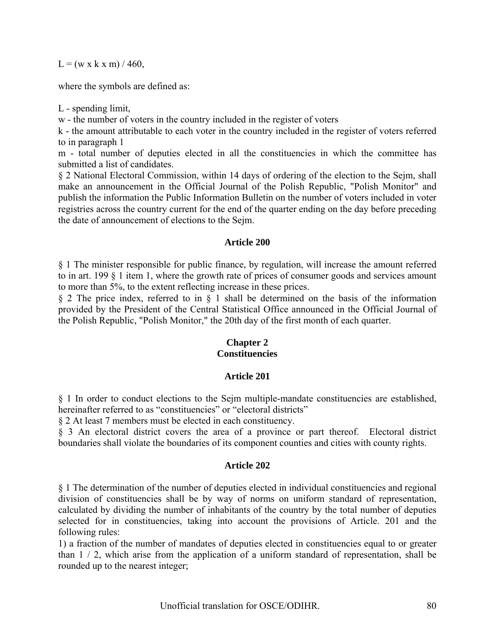$L = (w \times k \times m) / 460$ ,

where the symbols are defined as:

L - spending limit,

w - the number of voters in the country included in the register of voters

k - the amount attributable to each voter in the country included in the register of voters referred to in paragraph 1

m - total number of deputies elected in all the constituencies in which the committee has submitted a list of candidates.

§ 2 National Electoral Commission, within 14 days of ordering of the election to the Sejm, shall make an announcement in the Official Journal of the Polish Republic, "Polish Monitor" and publish the information the Public Information Bulletin on the number of voters included in voter registries across the country current for the end of the quarter ending on the day before preceding the date of announcement of elections to the Sejm.

#### **Article 200**

§ 1 The minister responsible for public finance, by regulation, will increase the amount referred to in art. 199 § 1 item 1, where the growth rate of prices of consumer goods and services amount to more than 5%, to the extent reflecting increase in these prices.

§ 2 The price index, referred to in § 1 shall be determined on the basis of the information provided by the President of the Central Statistical Office announced in the Official Journal of the Polish Republic, "Polish Monitor," the 20th day of the first month of each quarter.

# **Chapter 2 Constituencies**

# **Article 201**

§ 1 In order to conduct elections to the Sejm multiple-mandate constituencies are established, hereinafter referred to as "constituencies" or "electoral districts"

§ 2 At least 7 members must be elected in each constituency.

§ 3 An electoral district covers the area of a province or part thereof. Electoral district boundaries shall violate the boundaries of its component counties and cities with county rights.

#### **Article 202**

§ 1 The determination of the number of deputies elected in individual constituencies and regional division of constituencies shall be by way of norms on uniform standard of representation, calculated by dividing the number of inhabitants of the country by the total number of deputies selected for in constituencies, taking into account the provisions of Article. 201 and the following rules:

1) a fraction of the number of mandates of deputies elected in constituencies equal to or greater than 1 / 2, which arise from the application of a uniform standard of representation, shall be rounded up to the nearest integer;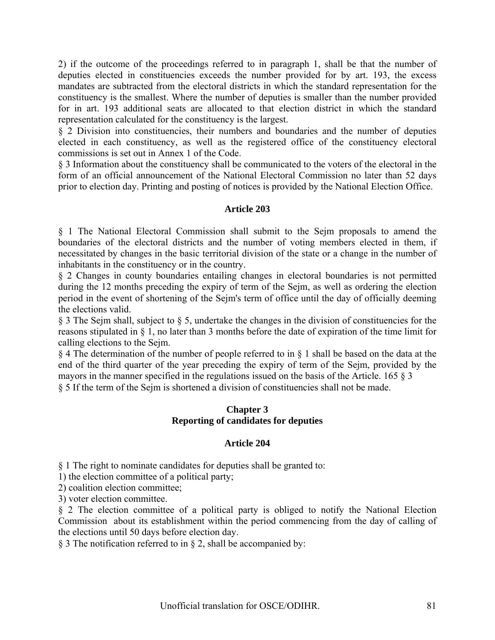2) if the outcome of the proceedings referred to in paragraph 1, shall be that the number of deputies elected in constituencies exceeds the number provided for by art. 193, the excess mandates are subtracted from the electoral districts in which the standard representation for the constituency is the smallest. Where the number of deputies is smaller than the number provided for in art. 193 additional seats are allocated to that election district in which the standard representation calculated for the constituency is the largest.

§ 2 Division into constituencies, their numbers and boundaries and the number of deputies elected in each constituency, as well as the registered office of the constituency electoral commissions is set out in Annex 1 of the Code.

§ 3 Information about the constituency shall be communicated to the voters of the electoral in the form of an official announcement of the National Electoral Commission no later than 52 days prior to election day. Printing and posting of notices is provided by the National Election Office.

# **Article 203**

§ 1 The National Electoral Commission shall submit to the Sejm proposals to amend the boundaries of the electoral districts and the number of voting members elected in them, if necessitated by changes in the basic territorial division of the state or a change in the number of inhabitants in the constituency or in the country.

§ 2 Changes in county boundaries entailing changes in electoral boundaries is not permitted during the 12 months preceding the expiry of term of the Sejm, as well as ordering the election period in the event of shortening of the Sejm's term of office until the day of officially deeming the elections valid.

§ 3 The Sejm shall, subject to § 5, undertake the changes in the division of constituencies for the reasons stipulated in § 1, no later than 3 months before the date of expiration of the time limit for calling elections to the Sejm.

§ 4 The determination of the number of people referred to in § 1 shall be based on the data at the end of the third quarter of the year preceding the expiry of term of the Sejm, provided by the mayors in the manner specified in the regulations issued on the basis of the Article. 165 § 3 § 5 If the term of the Sejm is shortened a division of constituencies shall not be made.

# **Chapter 3 Reporting of candidates for deputies**

# **Article 204**

§ 1 The right to nominate candidates for deputies shall be granted to:

1) the election committee of a political party;

2) coalition election committee;

3) voter election committee.

§ 2 The election committee of a political party is obliged to notify the National Election Commission about its establishment within the period commencing from the day of calling of the elections until 50 days before election day.

§ 3 The notification referred to in § 2, shall be accompanied by: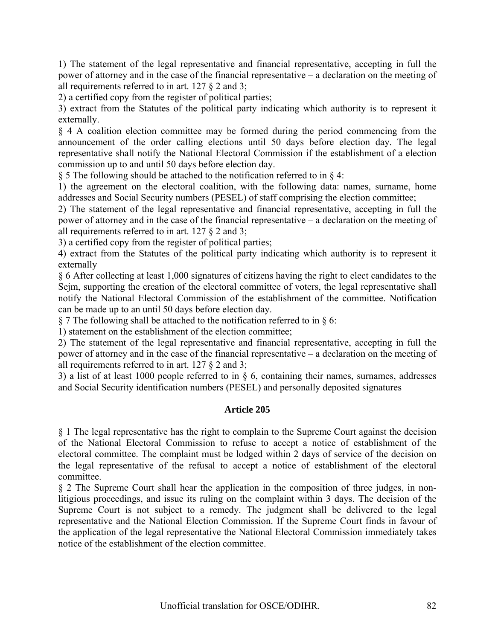1) The statement of the legal representative and financial representative, accepting in full the power of attorney and in the case of the financial representative – a declaration on the meeting of all requirements referred to in art. 127 § 2 and 3;

2) a certified copy from the register of political parties;

3) extract from the Statutes of the political party indicating which authority is to represent it externally.

§ 4 A coalition election committee may be formed during the period commencing from the announcement of the order calling elections until 50 days before election day. The legal representative shall notify the National Electoral Commission if the establishment of a election commission up to and until 50 days before election day.

§ 5 The following should be attached to the notification referred to in § 4:

1) the agreement on the electoral coalition, with the following data: names, surname, home addresses and Social Security numbers (PESEL) of staff comprising the election committee;

2) The statement of the legal representative and financial representative, accepting in full the power of attorney and in the case of the financial representative – a declaration on the meeting of all requirements referred to in art. 127 § 2 and 3;

3) a certified copy from the register of political parties;

4) extract from the Statutes of the political party indicating which authority is to represent it externally

§ 6 After collecting at least 1,000 signatures of citizens having the right to elect candidates to the Sejm, supporting the creation of the electoral committee of voters, the legal representative shall notify the National Electoral Commission of the establishment of the committee. Notification can be made up to an until 50 days before election day.

§ 7 The following shall be attached to the notification referred to in § 6:

1) statement on the establishment of the election committee;

2) The statement of the legal representative and financial representative, accepting in full the power of attorney and in the case of the financial representative – a declaration on the meeting of all requirements referred to in art. 127 § 2 and 3;

3) a list of at least 1000 people referred to in § 6, containing their names, surnames, addresses and Social Security identification numbers (PESEL) and personally deposited signatures

#### **Article 205**

§ 1 The legal representative has the right to complain to the Supreme Court against the decision of the National Electoral Commission to refuse to accept a notice of establishment of the electoral committee. The complaint must be lodged within 2 days of service of the decision on the legal representative of the refusal to accept a notice of establishment of the electoral committee.

§ 2 The Supreme Court shall hear the application in the composition of three judges, in nonlitigious proceedings, and issue its ruling on the complaint within 3 days. The decision of the Supreme Court is not subject to a remedy. The judgment shall be delivered to the legal representative and the National Election Commission. If the Supreme Court finds in favour of the application of the legal representative the National Electoral Commission immediately takes notice of the establishment of the election committee.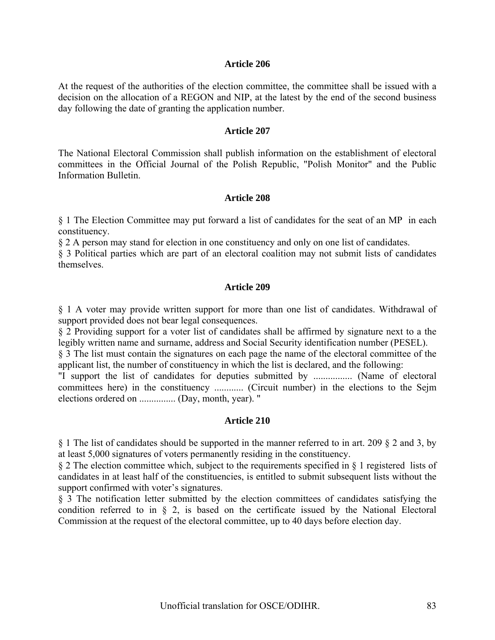At the request of the authorities of the election committee, the committee shall be issued with a decision on the allocation of a REGON and NIP, at the latest by the end of the second business day following the date of granting the application number.

#### **Article 207**

The National Electoral Commission shall publish information on the establishment of electoral committees in the Official Journal of the Polish Republic, "Polish Monitor" and the Public Information Bulletin.

#### **Article 208**

§ 1 The Election Committee may put forward a list of candidates for the seat of an MP in each constituency.

§ 2 A person may stand for election in one constituency and only on one list of candidates.

§ 3 Political parties which are part of an electoral coalition may not submit lists of candidates themselves.

#### **Article 209**

§ 1 A voter may provide written support for more than one list of candidates. Withdrawal of support provided does not bear legal consequences.

§ 2 Providing support for a voter list of candidates shall be affirmed by signature next to a the legibly written name and surname, address and Social Security identification number (PESEL).

§ 3 The list must contain the signatures on each page the name of the electoral committee of the applicant list, the number of constituency in which the list is declared, and the following:

"I support the list of candidates for deputies submitted by ................ (Name of electoral committees here) in the constituency ............ (Circuit number) in the elections to the Sejm elections ordered on ............... (Day, month, year). "

#### **Article 210**

§ 1 The list of candidates should be supported in the manner referred to in art. 209 § 2 and 3, by at least 5,000 signatures of voters permanently residing in the constituency.

§ 2 The election committee which, subject to the requirements specified in § 1 registered lists of candidates in at least half of the constituencies, is entitled to submit subsequent lists without the support confirmed with voter's signatures.

§ 3 The notification letter submitted by the election committees of candidates satisfying the condition referred to in § 2, is based on the certificate issued by the National Electoral Commission at the request of the electoral committee, up to 40 days before election day.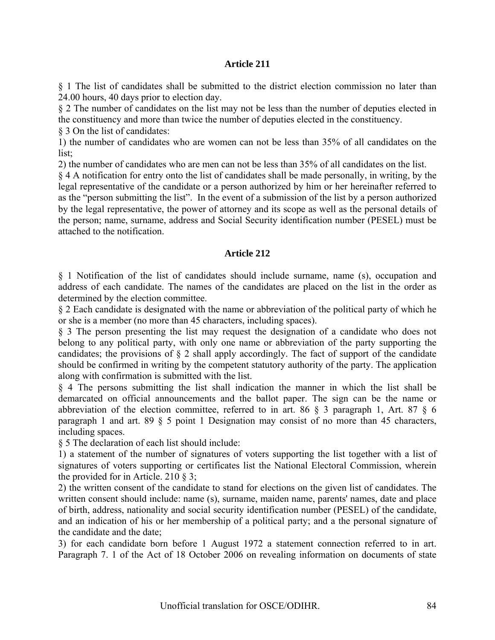§ 1 The list of candidates shall be submitted to the district election commission no later than 24.00 hours, 40 days prior to election day.

§ 2 The number of candidates on the list may not be less than the number of deputies elected in the constituency and more than twice the number of deputies elected in the constituency.

§ 3 On the list of candidates:

1) the number of candidates who are women can not be less than 35% of all candidates on the list;

2) the number of candidates who are men can not be less than 35% of all candidates on the list.

§ 4 A notification for entry onto the list of candidates shall be made personally, in writing, by the legal representative of the candidate or a person authorized by him or her hereinafter referred to as the "person submitting the list". In the event of a submission of the list by a person authorized by the legal representative, the power of attorney and its scope as well as the personal details of the person; name, surname, address and Social Security identification number (PESEL) must be attached to the notification.

#### **Article 212**

§ 1 Notification of the list of candidates should include surname, name (s), occupation and address of each candidate. The names of the candidates are placed on the list in the order as determined by the election committee.

§ 2 Each candidate is designated with the name or abbreviation of the political party of which he or she is a member (no more than 45 characters, including spaces).

§ 3 The person presenting the list may request the designation of a candidate who does not belong to any political party, with only one name or abbreviation of the party supporting the candidates; the provisions of § 2 shall apply accordingly. The fact of support of the candidate should be confirmed in writing by the competent statutory authority of the party. The application along with confirmation is submitted with the list.

§ 4 The persons submitting the list shall indication the manner in which the list shall be demarcated on official announcements and the ballot paper. The sign can be the name or abbreviation of the election committee, referred to in art. 86 § 3 paragraph 1, Art. 87 § 6 paragraph 1 and art. 89 § 5 point 1 Designation may consist of no more than 45 characters, including spaces.

§ 5 The declaration of each list should include:

1) a statement of the number of signatures of voters supporting the list together with a list of signatures of voters supporting or certificates list the National Electoral Commission, wherein the provided for in Article. 210 § 3;

2) the written consent of the candidate to stand for elections on the given list of candidates. The written consent should include: name (s), surname, maiden name, parents' names, date and place of birth, address, nationality and social security identification number (PESEL) of the candidate, and an indication of his or her membership of a political party; and a the personal signature of the candidate and the date;

3) for each candidate born before 1 August 1972 a statement connection referred to in art. Paragraph 7. 1 of the Act of 18 October 2006 on revealing information on documents of state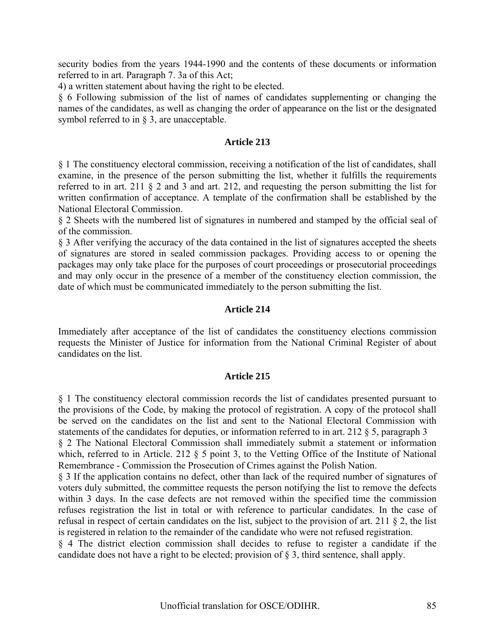security bodies from the years 1944-1990 and the contents of these documents or information referred to in art. Paragraph 7. 3a of this Act;

4) a written statement about having the right to be elected.

§ 6 Following submission of the list of names of candidates supplementing or changing the names of the candidates, as well as changing the order of appearance on the list or the designated symbol referred to in § 3, are unacceptable.

## **Article 213**

§ 1 The constituency electoral commission, receiving a notification of the list of candidates, shall examine, in the presence of the person submitting the list, whether it fulfills the requirements referred to in art. 211 § 2 and 3 and art. 212, and requesting the person submitting the list for written confirmation of acceptance. A template of the confirmation shall be established by the National Electoral Commission.

§ 2 Sheets with the numbered list of signatures in numbered and stamped by the official seal of of the commission.

§ 3 After verifying the accuracy of the data contained in the list of signatures accepted the sheets of signatures are stored in sealed commission packages. Providing access to or opening the packages may only take place for the purposes of court proceedings or prosecutorial proceedings and may only occur in the presence of a member of the constituency election commission, the date of which must be communicated immediately to the person submitting the list.

#### **Article 214**

Immediately after acceptance of the list of candidates the constituency elections commission requests the Minister of Justice for information from the National Criminal Register of about candidates on the list.

#### **Article 215**

§ 1 The constituency electoral commission records the list of candidates presented pursuant to the provisions of the Code, by making the protocol of registration. A copy of the protocol shall be served on the candidates on the list and sent to the National Electoral Commission with statements of the candidates for deputies, or information referred to in art. 212 § 5, paragraph 3 § 2 The National Electoral Commission shall immediately submit a statement or information

which, referred to in Article. 212 § 5 point 3, to the Vetting Office of the Institute of National Remembrance - Commission the Prosecution of Crimes against the Polish Nation.

§ 3 If the application contains no defect, other than lack of the required number of signatures of voters duly submitted, the committee requests the person notifying the list to remove the defects within 3 days. In the case defects are not removed within the specified time the commission refuses registration the list in total or with reference to particular candidates. In the case of refusal in respect of certain candidates on the list, subject to the provision of art. 211 § 2, the list is registered in relation to the remainder of the candidate who were not refused registration.

§ 4 The district election commission shall decides to refuse to register a candidate if the candidate does not have a right to be elected; provision of § 3, third sentence, shall apply.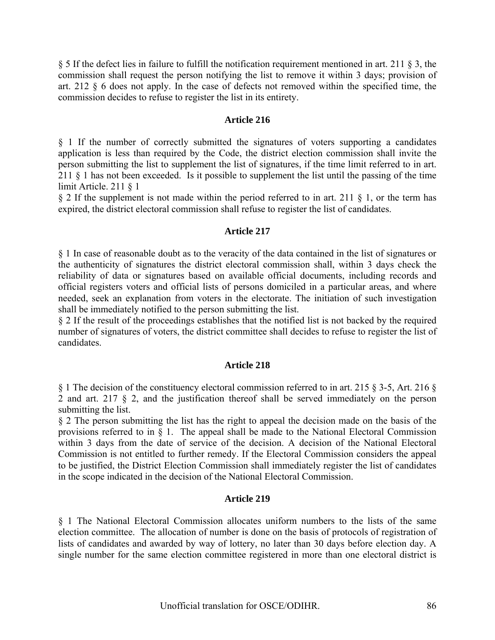§ 5 If the defect lies in failure to fulfill the notification requirement mentioned in art. 211 § 3, the commission shall request the person notifying the list to remove it within 3 days; provision of art. 212 § 6 does not apply. In the case of defects not removed within the specified time, the commission decides to refuse to register the list in its entirety.

## **Article 216**

§ 1 If the number of correctly submitted the signatures of voters supporting a candidates application is less than required by the Code, the district election commission shall invite the person submitting the list to supplement the list of signatures, if the time limit referred to in art. 211 § 1 has not been exceeded. Is it possible to supplement the list until the passing of the time limit Article. 211 § 1

§ 2 If the supplement is not made within the period referred to in art. 211 § 1, or the term has expired, the district electoral commission shall refuse to register the list of candidates.

# **Article 217**

§ 1 In case of reasonable doubt as to the veracity of the data contained in the list of signatures or the authenticity of signatures the district electoral commission shall, within 3 days check the reliability of data or signatures based on available official documents, including records and official registers voters and official lists of persons domiciled in a particular areas, and where needed, seek an explanation from voters in the electorate. The initiation of such investigation shall be immediately notified to the person submitting the list.

§ 2 If the result of the proceedings establishes that the notified list is not backed by the required number of signatures of voters, the district committee shall decides to refuse to register the list of candidates.

#### **Article 218**

§ 1 The decision of the constituency electoral commission referred to in art. 215 § 3-5, Art. 216 § 2 and art. 217 § 2, and the justification thereof shall be served immediately on the person submitting the list.

§ 2 The person submitting the list has the right to appeal the decision made on the basis of the provisions referred to in  $\S$  1. The appeal shall be made to the National Electoral Commission within 3 days from the date of service of the decision. A decision of the National Electoral Commission is not entitled to further remedy. If the Electoral Commission considers the appeal to be justified, the District Election Commission shall immediately register the list of candidates in the scope indicated in the decision of the National Electoral Commission.

# **Article 219**

§ 1 The National Electoral Commission allocates uniform numbers to the lists of the same election committee. The allocation of number is done on the basis of protocols of registration of lists of candidates and awarded by way of lottery, no later than 30 days before election day. A single number for the same election committee registered in more than one electoral district is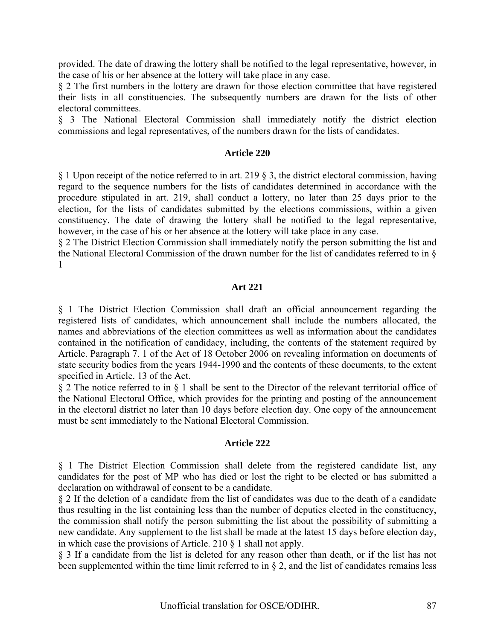provided. The date of drawing the lottery shall be notified to the legal representative, however, in the case of his or her absence at the lottery will take place in any case.

§ 2 The first numbers in the lottery are drawn for those election committee that have registered their lists in all constituencies. The subsequently numbers are drawn for the lists of other electoral committees.

§ 3 The National Electoral Commission shall immediately notify the district election commissions and legal representatives, of the numbers drawn for the lists of candidates.

#### **Article 220**

§ 1 Upon receipt of the notice referred to in art. 219 § 3, the district electoral commission, having regard to the sequence numbers for the lists of candidates determined in accordance with the procedure stipulated in art. 219, shall conduct a lottery, no later than 25 days prior to the election, for the lists of candidates submitted by the elections commissions, within a given constituency. The date of drawing the lottery shall be notified to the legal representative, however, in the case of his or her absence at the lottery will take place in any case.

§ 2 The District Election Commission shall immediately notify the person submitting the list and the National Electoral Commission of the drawn number for the list of candidates referred to in § 1

#### **Art 221**

§ 1 The District Election Commission shall draft an official announcement regarding the registered lists of candidates, which announcement shall include the numbers allocated, the names and abbreviations of the election committees as well as information about the candidates contained in the notification of candidacy, including, the contents of the statement required by Article. Paragraph 7. 1 of the Act of 18 October 2006 on revealing information on documents of state security bodies from the years 1944-1990 and the contents of these documents, to the extent specified in Article. 13 of the Act.

§ 2 The notice referred to in § 1 shall be sent to the Director of the relevant territorial office of the National Electoral Office, which provides for the printing and posting of the announcement in the electoral district no later than 10 days before election day. One copy of the announcement must be sent immediately to the National Electoral Commission.

#### **Article 222**

§ 1 The District Election Commission shall delete from the registered candidate list, any candidates for the post of MP who has died or lost the right to be elected or has submitted a declaration on withdrawal of consent to be a candidate.

§ 2 If the deletion of a candidate from the list of candidates was due to the death of a candidate thus resulting in the list containing less than the number of deputies elected in the constituency, the commission shall notify the person submitting the list about the possibility of submitting a new candidate. Any supplement to the list shall be made at the latest 15 days before election day, in which case the provisions of Article. 210 § 1 shall not apply.

§ 3 If a candidate from the list is deleted for any reason other than death, or if the list has not been supplemented within the time limit referred to in § 2, and the list of candidates remains less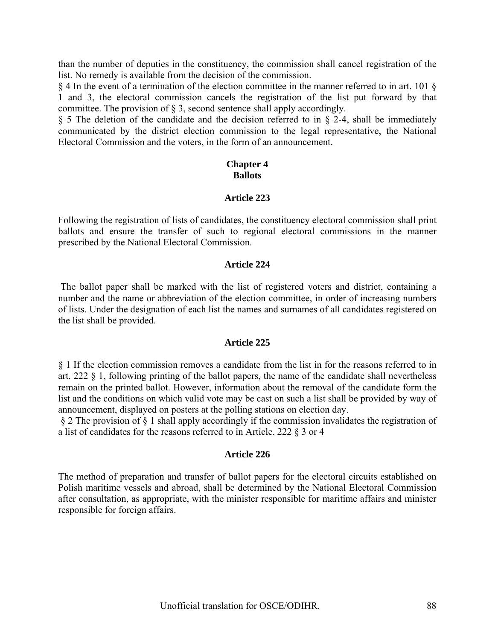than the number of deputies in the constituency, the commission shall cancel registration of the list. No remedy is available from the decision of the commission.

§ 4 In the event of a termination of the election committee in the manner referred to in art. 101 § 1 and 3, the electoral commission cancels the registration of the list put forward by that committee. The provision of § 3, second sentence shall apply accordingly.

 $\S$  5 The deletion of the candidate and the decision referred to in  $\S$  2-4, shall be immediately communicated by the district election commission to the legal representative, the National Electoral Commission and the voters, in the form of an announcement.

## **Chapter 4 Ballots**

#### **Article 223**

Following the registration of lists of candidates, the constituency electoral commission shall print ballots and ensure the transfer of such to regional electoral commissions in the manner prescribed by the National Electoral Commission.

#### **Article 224**

 The ballot paper shall be marked with the list of registered voters and district, containing a number and the name or abbreviation of the election committee, in order of increasing numbers of lists. Under the designation of each list the names and surnames of all candidates registered on the list shall be provided.

#### **Article 225**

§ 1 If the election commission removes a candidate from the list in for the reasons referred to in art. 222 § 1, following printing of the ballot papers, the name of the candidate shall nevertheless remain on the printed ballot. However, information about the removal of the candidate form the list and the conditions on which valid vote may be cast on such a list shall be provided by way of announcement, displayed on posters at the polling stations on election day.

§ 2 The provision of § 1 shall apply accordingly if the commission invalidates the registration of a list of candidates for the reasons referred to in Article. 222 § 3 or 4

#### **Article 226**

The method of preparation and transfer of ballot papers for the electoral circuits established on Polish maritime vessels and abroad, shall be determined by the National Electoral Commission after consultation, as appropriate, with the minister responsible for maritime affairs and minister responsible for foreign affairs.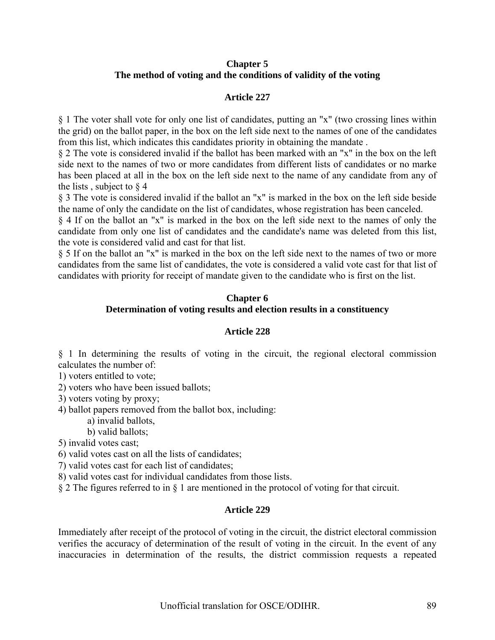## **Chapter 5 The method of voting and the conditions of validity of the voting**

## **Article 227**

§ 1 The voter shall vote for only one list of candidates, putting an "x" (two crossing lines within the grid) on the ballot paper, in the box on the left side next to the names of one of the candidates from this list, which indicates this candidates priority in obtaining the mandate .

§ 2 The vote is considered invalid if the ballot has been marked with an "x" in the box on the left side next to the names of two or more candidates from different lists of candidates or no marke has been placed at all in the box on the left side next to the name of any candidate from any of the lists, subject to  $\S$  4

§ 3 The vote is considered invalid if the ballot an "x" is marked in the box on the left side beside the name of only the candidate on the list of candidates, whose registration has been canceled.

§ 4 If on the ballot an "x" is marked in the box on the left side next to the names of only the candidate from only one list of candidates and the candidate's name was deleted from this list, the vote is considered valid and cast for that list.

§ 5 If on the ballot an "x" is marked in the box on the left side next to the names of two or more candidates from the same list of candidates, the vote is considered a valid vote cast for that list of candidates with priority for receipt of mandate given to the candidate who is first on the list.

## **Chapter 6**

## **Determination of voting results and election results in a constituency**

#### **Article 228**

§ 1 In determining the results of voting in the circuit, the regional electoral commission calculates the number of:

1) voters entitled to vote;

2) voters who have been issued ballots;

3) voters voting by proxy;

4) ballot papers removed from the ballot box, including:

a) invalid ballots,

b) valid ballots;

5) invalid votes cast;

6) valid votes cast on all the lists of candidates;

7) valid votes cast for each list of candidates;

8) valid votes cast for individual candidates from those lists.

§ 2 The figures referred to in § 1 are mentioned in the protocol of voting for that circuit.

#### **Article 229**

Immediately after receipt of the protocol of voting in the circuit, the district electoral commission verifies the accuracy of determination of the result of voting in the circuit. In the event of any inaccuracies in determination of the results, the district commission requests a repeated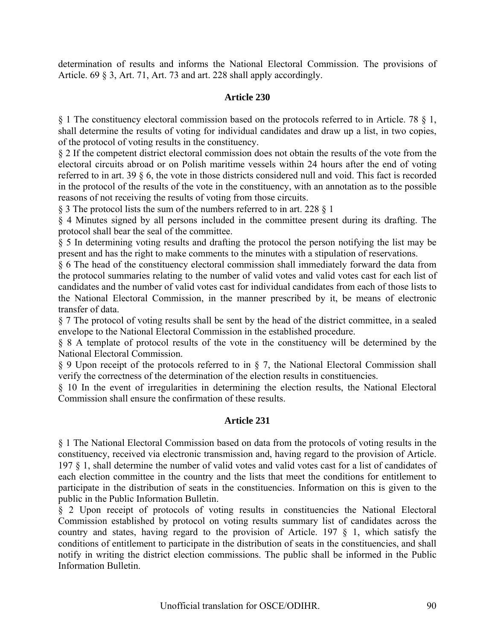determination of results and informs the National Electoral Commission. The provisions of Article. 69 § 3, Art. 71, Art. 73 and art. 228 shall apply accordingly.

# **Article 230**

§ 1 The constituency electoral commission based on the protocols referred to in Article. 78 § 1, shall determine the results of voting for individual candidates and draw up a list, in two copies, of the protocol of voting results in the constituency.

§ 2 If the competent district electoral commission does not obtain the results of the vote from the electoral circuits abroad or on Polish maritime vessels within 24 hours after the end of voting referred to in art. 39 § 6, the vote in those districts considered null and void. This fact is recorded in the protocol of the results of the vote in the constituency, with an annotation as to the possible reasons of not receiving the results of voting from those circuits.

§ 3 The protocol lists the sum of the numbers referred to in art. 228 § 1

§ 4 Minutes signed by all persons included in the committee present during its drafting. The protocol shall bear the seal of the committee.

§ 5 In determining voting results and drafting the protocol the person notifying the list may be present and has the right to make comments to the minutes with a stipulation of reservations.

§ 6 The head of the constituency electoral commission shall immediately forward the data from the protocol summaries relating to the number of valid votes and valid votes cast for each list of candidates and the number of valid votes cast for individual candidates from each of those lists to the National Electoral Commission, in the manner prescribed by it, be means of electronic transfer of data.

§ 7 The protocol of voting results shall be sent by the head of the district committee, in a sealed envelope to the National Electoral Commission in the established procedure.

§ 8 A template of protocol results of the vote in the constituency will be determined by the National Electoral Commission.

§ 9 Upon receipt of the protocols referred to in § 7, the National Electoral Commission shall verify the correctness of the determination of the election results in constituencies.

§ 10 In the event of irregularities in determining the election results, the National Electoral Commission shall ensure the confirmation of these results.

# **Article 231**

§ 1 The National Electoral Commission based on data from the protocols of voting results in the constituency, received via electronic transmission and, having regard to the provision of Article. 197 § 1, shall determine the number of valid votes and valid votes cast for a list of candidates of each election committee in the country and the lists that meet the conditions for entitlement to participate in the distribution of seats in the constituencies. Information on this is given to the public in the Public Information Bulletin.

§ 2 Upon receipt of protocols of voting results in constituencies the National Electoral Commission established by protocol on voting results summary list of candidates across the country and states, having regard to the provision of Article. 197 § 1, which satisfy the conditions of entitlement to participate in the distribution of seats in the constituencies, and shall notify in writing the district election commissions. The public shall be informed in the Public Information Bulletin.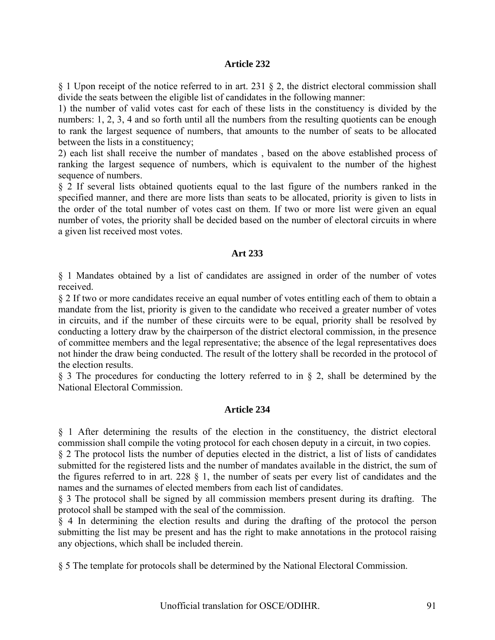§ 1 Upon receipt of the notice referred to in art. 231 § 2, the district electoral commission shall divide the seats between the eligible list of candidates in the following manner:

1) the number of valid votes cast for each of these lists in the constituency is divided by the numbers: 1, 2, 3, 4 and so forth until all the numbers from the resulting quotients can be enough to rank the largest sequence of numbers, that amounts to the number of seats to be allocated between the lists in a constituency;

2) each list shall receive the number of mandates , based on the above established process of ranking the largest sequence of numbers, which is equivalent to the number of the highest sequence of numbers.

§ 2 If several lists obtained quotients equal to the last figure of the numbers ranked in the specified manner, and there are more lists than seats to be allocated, priority is given to lists in the order of the total number of votes cast on them. If two or more list were given an equal number of votes, the priority shall be decided based on the number of electoral circuits in where a given list received most votes.

## **Art 233**

§ 1 Mandates obtained by a list of candidates are assigned in order of the number of votes received.

§ 2 If two or more candidates receive an equal number of votes entitling each of them to obtain a mandate from the list, priority is given to the candidate who received a greater number of votes in circuits, and if the number of these circuits were to be equal, priority shall be resolved by conducting a lottery draw by the chairperson of the district electoral commission, in the presence of committee members and the legal representative; the absence of the legal representatives does not hinder the draw being conducted. The result of the lottery shall be recorded in the protocol of the election results.

§ 3 The procedures for conducting the lottery referred to in § 2, shall be determined by the National Electoral Commission.

## **Article 234**

§ 1 After determining the results of the election in the constituency, the district electoral commission shall compile the voting protocol for each chosen deputy in a circuit, in two copies.

§ 2 The protocol lists the number of deputies elected in the district, a list of lists of candidates submitted for the registered lists and the number of mandates available in the district, the sum of the figures referred to in art. 228 § 1, the number of seats per every list of candidates and the names and the surnames of elected members from each list of candidates.

§ 3 The protocol shall be signed by all commission members present during its drafting. The protocol shall be stamped with the seal of the commission.

§ 4 In determining the election results and during the drafting of the protocol the person submitting the list may be present and has the right to make annotations in the protocol raising any objections, which shall be included therein.

§ 5 The template for protocols shall be determined by the National Electoral Commission.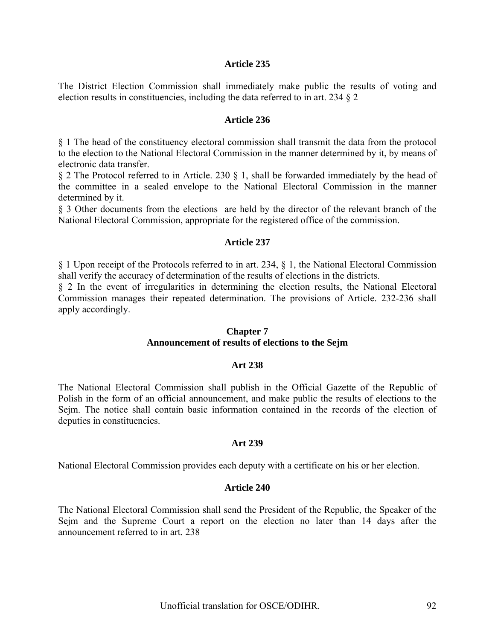The District Election Commission shall immediately make public the results of voting and election results in constituencies, including the data referred to in art. 234 § 2

#### **Article 236**

§ 1 The head of the constituency electoral commission shall transmit the data from the protocol to the election to the National Electoral Commission in the manner determined by it, by means of electronic data transfer.

§ 2 The Protocol referred to in Article. 230 § 1, shall be forwarded immediately by the head of the committee in a sealed envelope to the National Electoral Commission in the manner determined by it.

§ 3 Other documents from the elections are held by the director of the relevant branch of the National Electoral Commission, appropriate for the registered office of the commission.

#### **Article 237**

§ 1 Upon receipt of the Protocols referred to in art. 234, § 1, the National Electoral Commission shall verify the accuracy of determination of the results of elections in the districts.

§ 2 In the event of irregularities in determining the election results, the National Electoral Commission manages their repeated determination. The provisions of Article. 232-236 shall apply accordingly.

#### **Chapter 7**

#### **Announcement of results of elections to the Sejm**

#### **Art 238**

The National Electoral Commission shall publish in the Official Gazette of the Republic of Polish in the form of an official announcement, and make public the results of elections to the Seim. The notice shall contain basic information contained in the records of the election of deputies in constituencies.

#### **Art 239**

National Electoral Commission provides each deputy with a certificate on his or her election.

#### **Article 240**

The National Electoral Commission shall send the President of the Republic, the Speaker of the Sejm and the Supreme Court a report on the election no later than 14 days after the announcement referred to in art. 238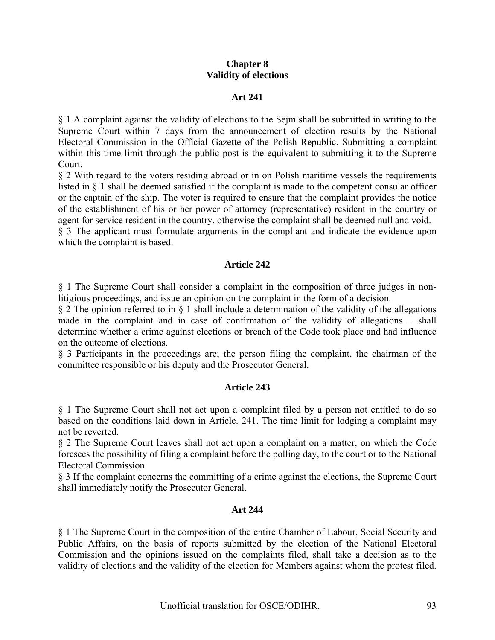## **Chapter 8 Validity of elections**

#### **Art 241**

§ 1 A complaint against the validity of elections to the Sejm shall be submitted in writing to the Supreme Court within 7 days from the announcement of election results by the National Electoral Commission in the Official Gazette of the Polish Republic. Submitting a complaint within this time limit through the public post is the equivalent to submitting it to the Supreme Court.

§ 2 With regard to the voters residing abroad or in on Polish maritime vessels the requirements listed in § 1 shall be deemed satisfied if the complaint is made to the competent consular officer or the captain of the ship. The voter is required to ensure that the complaint provides the notice of the establishment of his or her power of attorney (representative) resident in the country or agent for service resident in the country, otherwise the complaint shall be deemed null and void.

§ 3 The applicant must formulate arguments in the compliant and indicate the evidence upon which the complaint is based.

## **Article 242**

§ 1 The Supreme Court shall consider a complaint in the composition of three judges in nonlitigious proceedings, and issue an opinion on the complaint in the form of a decision.

§ 2 The opinion referred to in § 1 shall include a determination of the validity of the allegations made in the complaint and in case of confirmation of the validity of allegations – shall determine whether a crime against elections or breach of the Code took place and had influence on the outcome of elections.

§ 3 Participants in the proceedings are; the person filing the complaint, the chairman of the committee responsible or his deputy and the Prosecutor General.

#### **Article 243**

§ 1 The Supreme Court shall not act upon a complaint filed by a person not entitled to do so based on the conditions laid down in Article. 241. The time limit for lodging a complaint may not be reverted.

§ 2 The Supreme Court leaves shall not act upon a complaint on a matter, on which the Code foresees the possibility of filing a complaint before the polling day, to the court or to the National Electoral Commission.

§ 3 If the complaint concerns the committing of a crime against the elections, the Supreme Court shall immediately notify the Prosecutor General.

#### **Art 244**

§ 1 The Supreme Court in the composition of the entire Chamber of Labour, Social Security and Public Affairs, on the basis of reports submitted by the election of the National Electoral Commission and the opinions issued on the complaints filed, shall take a decision as to the validity of elections and the validity of the election for Members against whom the protest filed.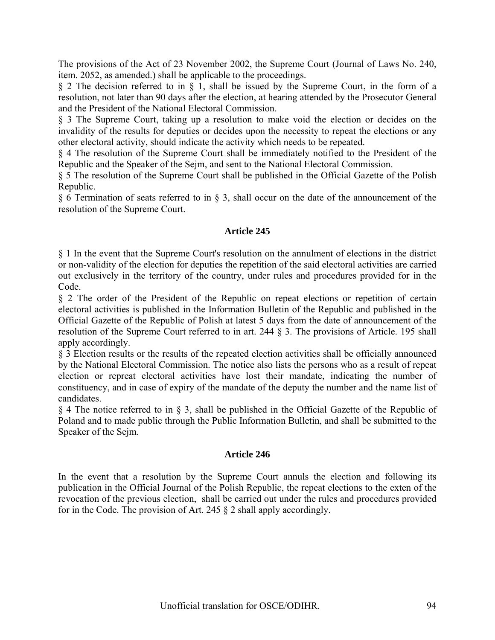The provisions of the Act of 23 November 2002, the Supreme Court (Journal of Laws No. 240, item. 2052, as amended.) shall be applicable to the proceedings.

§ 2 The decision referred to in § 1, shall be issued by the Supreme Court, in the form of a resolution, not later than 90 days after the election, at hearing attended by the Prosecutor General and the President of the National Electoral Commission.

§ 3 The Supreme Court, taking up a resolution to make void the election or decides on the invalidity of the results for deputies or decides upon the necessity to repeat the elections or any other electoral activity, should indicate the activity which needs to be repeated.

§ 4 The resolution of the Supreme Court shall be immediately notified to the President of the Republic and the Speaker of the Sejm, and sent to the National Electoral Commission.

§ 5 The resolution of the Supreme Court shall be published in the Official Gazette of the Polish Republic.

§ 6 Termination of seats referred to in § 3, shall occur on the date of the announcement of the resolution of the Supreme Court.

# **Article 245**

§ 1 In the event that the Supreme Court's resolution on the annulment of elections in the district or non-validity of the election for deputies the repetition of the said electoral activities are carried out exclusively in the territory of the country, under rules and procedures provided for in the Code.

§ 2 The order of the President of the Republic on repeat elections or repetition of certain electoral activities is published in the Information Bulletin of the Republic and published in the Official Gazette of the Republic of Polish at latest 5 days from the date of announcement of the resolution of the Supreme Court referred to in art. 244 § 3. The provisions of Article. 195 shall apply accordingly.

§ 3 Election results or the results of the repeated election activities shall be officially announced by the National Electoral Commission. The notice also lists the persons who as a result of repeat election or repreat electoral activities have lost their mandate, indicating the number of constituency, and in case of expiry of the mandate of the deputy the number and the name list of candidates.

§ 4 The notice referred to in § 3, shall be published in the Official Gazette of the Republic of Poland and to made public through the Public Information Bulletin, and shall be submitted to the Speaker of the Sejm.

#### **Article 246**

In the event that a resolution by the Supreme Court annuls the election and following its publication in the Official Journal of the Polish Republic, the repeat elections to the exten of the revocation of the previous election, shall be carried out under the rules and procedures provided for in the Code. The provision of Art. 245 § 2 shall apply accordingly.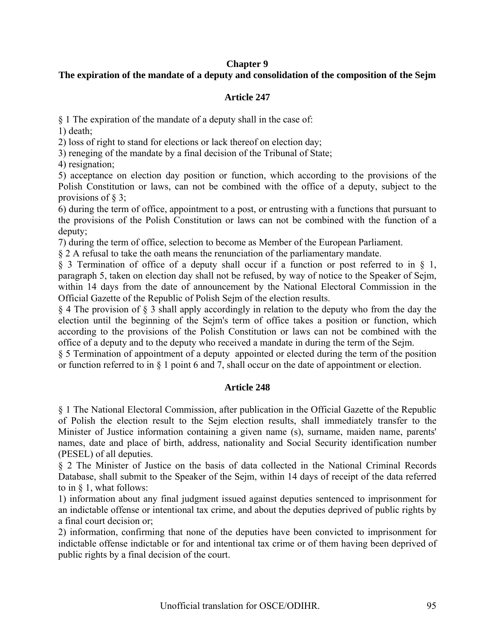## **Chapter 9**

# **The expiration of the mandate of a deputy and consolidation of the composition of the Sejm**

## **Article 247**

§ 1 The expiration of the mandate of a deputy shall in the case of: 1) death;

2) loss of right to stand for elections or lack thereof on election day;

3) reneging of the mandate by a final decision of the Tribunal of State;

4) resignation;

5) acceptance on election day position or function, which according to the provisions of the Polish Constitution or laws, can not be combined with the office of a deputy, subject to the provisions of  $\S$  3;

6) during the term of office, appointment to a post, or entrusting with a functions that pursuant to the provisions of the Polish Constitution or laws can not be combined with the function of a deputy;

7) during the term of office, selection to become as Member of the European Parliament.

§ 2 A refusal to take the oath means the renunciation of the parliamentary mandate.

§ 3 Termination of office of a deputy shall occur if a function or post referred to in § 1, paragraph 5, taken on election day shall not be refused, by way of notice to the Speaker of Sejm, within 14 days from the date of announcement by the National Electoral Commission in the Official Gazette of the Republic of Polish Sejm of the election results.

§ 4 The provision of § 3 shall apply accordingly in relation to the deputy who from the day the election until the beginning of the Sejm's term of office takes a position or function, which according to the provisions of the Polish Constitution or laws can not be combined with the office of a deputy and to the deputy who received a mandate in during the term of the Sejm.

§ 5 Termination of appointment of a deputy appointed or elected during the term of the position or function referred to in § 1 point 6 and 7, shall occur on the date of appointment or election.

## **Article 248**

§ 1 The National Electoral Commission, after publication in the Official Gazette of the Republic of Polish the election result to the Sejm election results, shall immediately transfer to the Minister of Justice information containing a given name (s), surname, maiden name, parents' names, date and place of birth, address, nationality and Social Security identification number (PESEL) of all deputies.

§ 2 The Minister of Justice on the basis of data collected in the National Criminal Records Database, shall submit to the Speaker of the Sejm, within 14 days of receipt of the data referred to in § 1, what follows:

1) information about any final judgment issued against deputies sentenced to imprisonment for an indictable offense or intentional tax crime, and about the deputies deprived of public rights by a final court decision or;

2) information, confirming that none of the deputies have been convicted to imprisonment for indictable offense indictable or for and intentional tax crime or of them having been deprived of public rights by a final decision of the court.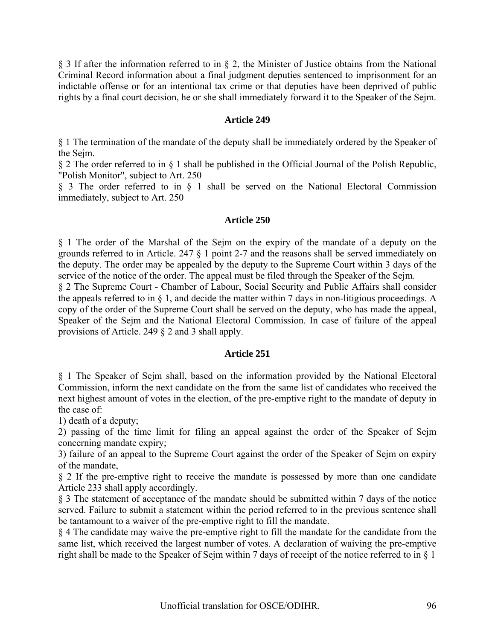§ 3 If after the information referred to in § 2, the Minister of Justice obtains from the National Criminal Record information about a final judgment deputies sentenced to imprisonment for an indictable offense or for an intentional tax crime or that deputies have been deprived of public rights by a final court decision, he or she shall immediately forward it to the Speaker of the Sejm.

## **Article 249**

§ 1 The termination of the mandate of the deputy shall be immediately ordered by the Speaker of the Sejm.

§ 2 The order referred to in § 1 shall be published in the Official Journal of the Polish Republic, "Polish Monitor", subject to Art. 250

§ 3 The order referred to in § 1 shall be served on the National Electoral Commission immediately, subject to Art. 250

## **Article 250**

§ 1 The order of the Marshal of the Sejm on the expiry of the mandate of a deputy on the grounds referred to in Article. 247 § 1 point 2-7 and the reasons shall be served immediately on the deputy. The order may be appealed by the deputy to the Supreme Court within 3 days of the service of the notice of the order. The appeal must be filed through the Speaker of the Sejm.

§ 2 The Supreme Court - Chamber of Labour, Social Security and Public Affairs shall consider the appeals referred to in  $\S$  1, and decide the matter within 7 days in non-litigious proceedings. A copy of the order of the Supreme Court shall be served on the deputy, who has made the appeal, Speaker of the Sejm and the National Electoral Commission. In case of failure of the appeal provisions of Article. 249 § 2 and 3 shall apply.

#### **Article 251**

§ 1 The Speaker of Sejm shall, based on the information provided by the National Electoral Commission, inform the next candidate on the from the same list of candidates who received the next highest amount of votes in the election, of the pre-emptive right to the mandate of deputy in the case of:

1) death of a deputy;

2) passing of the time limit for filing an appeal against the order of the Speaker of Sejm concerning mandate expiry;

3) failure of an appeal to the Supreme Court against the order of the Speaker of Sejm on expiry of the mandate,

§ 2 If the pre-emptive right to receive the mandate is possessed by more than one candidate Article 233 shall apply accordingly.

§ 3 The statement of acceptance of the mandate should be submitted within 7 days of the notice served. Failure to submit a statement within the period referred to in the previous sentence shall be tantamount to a waiver of the pre-emptive right to fill the mandate.

§ 4 The candidate may waive the pre-emptive right to fill the mandate for the candidate from the same list, which received the largest number of votes. A declaration of waiving the pre-emptive right shall be made to the Speaker of Sejm within 7 days of receipt of the notice referred to in § 1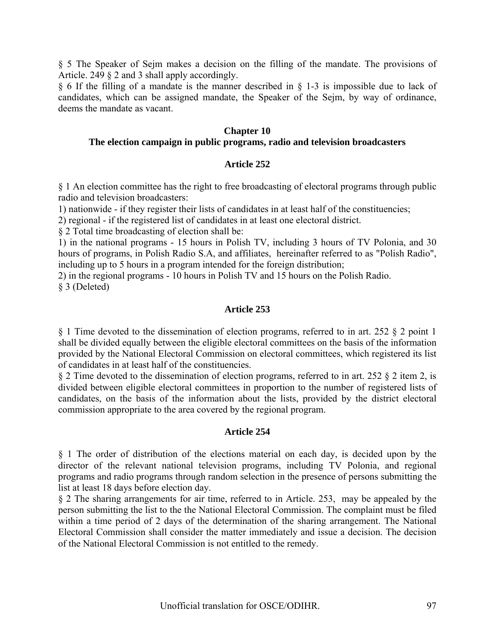§ 5 The Speaker of Sejm makes a decision on the filling of the mandate. The provisions of Article. 249 § 2 and 3 shall apply accordingly.

§ 6 If the filling of a mandate is the manner described in § 1-3 is impossible due to lack of candidates, which can be assigned mandate, the Speaker of the Sejm, by way of ordinance, deems the mandate as vacant.

#### **Chapter 10**

#### **The election campaign in public programs, radio and television broadcasters**

#### **Article 252**

§ 1 An election committee has the right to free broadcasting of electoral programs through public radio and television broadcasters:

1) nationwide - if they register their lists of candidates in at least half of the constituencies;

2) regional - if the registered list of candidates in at least one electoral district.

§ 2 Total time broadcasting of election shall be:

1) in the national programs - 15 hours in Polish TV, including 3 hours of TV Polonia, and 30 hours of programs, in Polish Radio S.A, and affiliates, hereinafter referred to as "Polish Radio", including up to 5 hours in a program intended for the foreign distribution;

2) in the regional programs - 10 hours in Polish TV and 15 hours on the Polish Radio. § 3 (Deleted)

#### **Article 253**

§ 1 Time devoted to the dissemination of election programs, referred to in art. 252 § 2 point 1 shall be divided equally between the eligible electoral committees on the basis of the information provided by the National Electoral Commission on electoral committees, which registered its list of candidates in at least half of the constituencies.

§ 2 Time devoted to the dissemination of election programs, referred to in art. 252 § 2 item 2, is divided between eligible electoral committees in proportion to the number of registered lists of candidates, on the basis of the information about the lists, provided by the district electoral commission appropriate to the area covered by the regional program.

#### **Article 254**

§ 1 The order of distribution of the elections material on each day, is decided upon by the director of the relevant national television programs, including TV Polonia, and regional programs and radio programs through random selection in the presence of persons submitting the list at least 18 days before election day.

§ 2 The sharing arrangements for air time, referred to in Article. 253, may be appealed by the person submitting the list to the the National Electoral Commission. The complaint must be filed within a time period of 2 days of the determination of the sharing arrangement. The National Electoral Commission shall consider the matter immediately and issue a decision. The decision of the National Electoral Commission is not entitled to the remedy.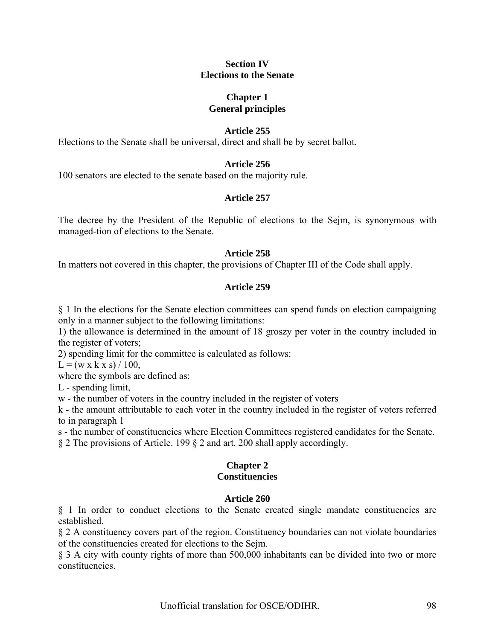#### **Section IV Elections to the Senate**

# **Chapter 1 General principles**

## **Article 255**

Elections to the Senate shall be universal, direct and shall be by secret ballot.

# **Article 256**

100 senators are elected to the senate based on the majority rule.

## **Article 257**

The decree by the President of the Republic of elections to the Sejm, is synonymous with managed-tion of elections to the Senate.

#### **Article 258**

In matters not covered in this chapter, the provisions of Chapter III of the Code shall apply.

#### **Article 259**

§ 1 In the elections for the Senate election committees can spend funds on election campaigning only in a manner subject to the following limitations:

1) the allowance is determined in the amount of 18 groszy per voter in the country included in the register of voters;

2) spending limit for the committee is calculated as follows:

 $L = (w \times k \times s) / 100$ ,

where the symbols are defined as:

L - spending limit,

w - the number of voters in the country included in the register of voters

k - the amount attributable to each voter in the country included in the register of voters referred to in paragraph 1

s - the number of constituencies where Election Committees registered candidates for the Senate. § 2 The provisions of Article. 199 § 2 and art. 200 shall apply accordingly.

### **Chapter 2 Constituencies**

## **Article 260**

§ 1 In order to conduct elections to the Senate created single mandate constituencies are established.

§ 2 A constituency covers part of the region. Constituency boundaries can not violate boundaries of the constituencies created for elections to the Sejm.

§ 3 A city with county rights of more than 500,000 inhabitants can be divided into two or more constituencies.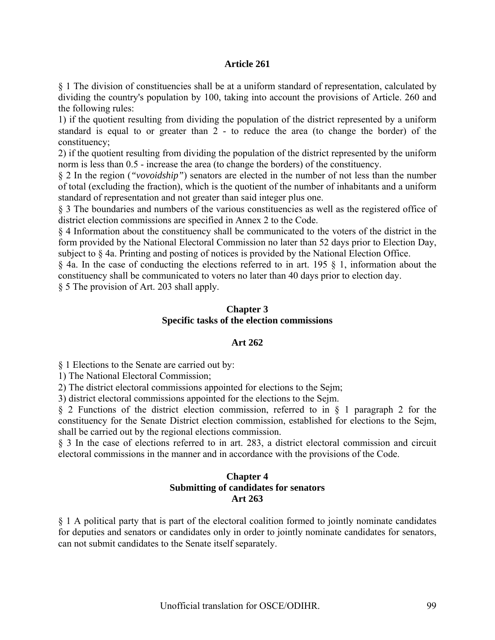§ 1 The division of constituencies shall be at a uniform standard of representation, calculated by dividing the country's population by 100, taking into account the provisions of Article. 260 and the following rules:

1) if the quotient resulting from dividing the population of the district represented by a uniform standard is equal to or greater than 2 - to reduce the area (to change the border) of the constituency;

2) if the quotient resulting from dividing the population of the district represented by the uniform norm is less than 0.5 - increase the area (to change the borders) of the constituency.

§ 2 In the region (*"vovoidship"*) senators are elected in the number of not less than the number of total (excluding the fraction), which is the quotient of the number of inhabitants and a uniform standard of representation and not greater than said integer plus one.

§ 3 The boundaries and numbers of the various constituencies as well as the registered office of district election commissions are specified in Annex 2 to the Code.

§ 4 Information about the constituency shall be communicated to the voters of the district in the form provided by the National Electoral Commission no later than 52 days prior to Election Day, subject to § 4a. Printing and posting of notices is provided by the National Election Office.

§ 4a. In the case of conducting the elections referred to in art. 195 § 1, information about the constituency shall be communicated to voters no later than 40 days prior to election day.

§ 5 The provision of Art. 203 shall apply.

#### **Chapter 3 Specific tasks of the election commissions**

# **Art 262**

§ 1 Elections to the Senate are carried out by:

1) The National Electoral Commission;

2) The district electoral commissions appointed for elections to the Sejm;

3) district electoral commissions appointed for the elections to the Sejm.

§ 2 Functions of the district election commission, referred to in § 1 paragraph 2 for the constituency for the Senate District election commission, established for elections to the Sejm, shall be carried out by the regional elections commission.

§ 3 In the case of elections referred to in art. 283, a district electoral commission and circuit electoral commissions in the manner and in accordance with the provisions of the Code.

## **Chapter 4 Submitting of candidates for senators Art 263**

§ 1 A political party that is part of the electoral coalition formed to jointly nominate candidates for deputies and senators or candidates only in order to jointly nominate candidates for senators, can not submit candidates to the Senate itself separately.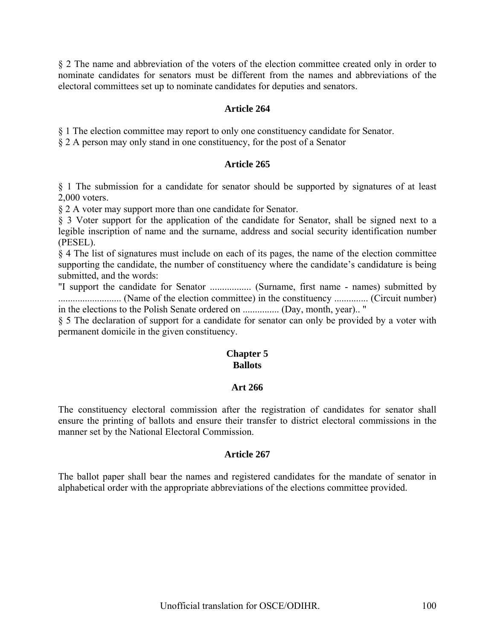§ 2 The name and abbreviation of the voters of the election committee created only in order to nominate candidates for senators must be different from the names and abbreviations of the electoral committees set up to nominate candidates for deputies and senators.

### **Article 264**

§ 1 The election committee may report to only one constituency candidate for Senator.

§ 2 A person may only stand in one constituency, for the post of a Senator

#### **Article 265**

§ 1 The submission for a candidate for senator should be supported by signatures of at least 2,000 voters.

§ 2 A voter may support more than one candidate for Senator.

§ 3 Voter support for the application of the candidate for Senator, shall be signed next to a legible inscription of name and the surname, address and social security identification number (PESEL).

§ 4 The list of signatures must include on each of its pages, the name of the election committee supporting the candidate, the number of constituency where the candidate's candidature is being submitted, and the words:

"I support the candidate for Senator ................. (Surname, first name - names) submitted by .......................... (Name of the election committee) in the constituency .............. (Circuit number) in the elections to the Polish Senate ordered on ............... (Day, month, year).. "

§ 5 The declaration of support for a candidate for senator can only be provided by a voter with permanent domicile in the given constituency.

# **Chapter 5 Ballots**

## **Art 266**

The constituency electoral commission after the registration of candidates for senator shall ensure the printing of ballots and ensure their transfer to district electoral commissions in the manner set by the National Electoral Commission.

#### **Article 267**

The ballot paper shall bear the names and registered candidates for the mandate of senator in alphabetical order with the appropriate abbreviations of the elections committee provided.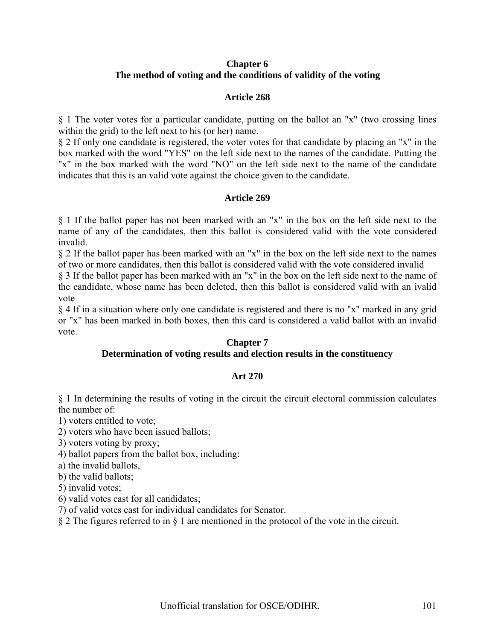## **Chapter 6 The method of voting and the conditions of validity of the voting**

#### **Article 268**

§ 1 The voter votes for a particular candidate, putting on the ballot an "x" (two crossing lines within the grid) to the left next to his (or her) name.

§ 2 If only one candidate is registered, the voter votes for that candidate by placing an "x" in the box marked with the word "YES" on the left side next to the names of the candidate. Putting the "x" in the box marked with the word "NO" on the left side next to the name of the candidate indicates that this is an valid vote against the choice given to the candidate.

#### **Article 269**

§ 1 If the ballot paper has not been marked with an "x" in the box on the left side next to the name of any of the candidates, then this ballot is considered valid with the vote considered invalid.

§ 2 If the ballot paper has been marked with an "x" in the box on the left side next to the names of two or more candidates, then this ballot is considered valid with the vote considered invalid

§ 3 If the ballot paper has been marked with an "x" in the box on the left side next to the name of the candidate, whose name has been deleted, then this ballot is considered valid with an ivalid vote

§ 4 If in a situation where only one candidate is registered and there is no "x" marked in any grid or "x" has been marked in both boxes, then this card is considered a valid ballot with an invalid vote.

#### **Chapter 7**

## **Determination of voting results and election results in the constituency**

# **Art 270**

§ 1 In determining the results of voting in the circuit the circuit electoral commission calculates the number of:

1) voters entitled to vote;

2) voters who have been issued ballots;

3) voters voting by proxy;

4) ballot papers from the ballot box, including:

a) the invalid ballots,

b) the valid ballots;

5) invalid votes;

6) valid votes cast for all candidates;

7) of valid votes cast for individual candidates for Senator.

§ 2 The figures referred to in § 1 are mentioned in the protocol of the vote in the circuit.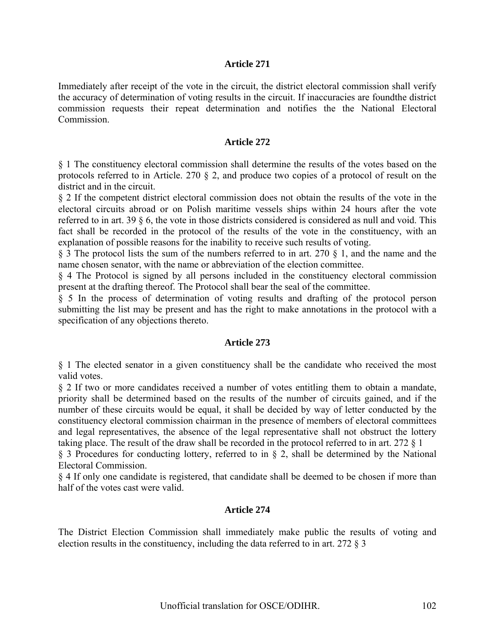Immediately after receipt of the vote in the circuit, the district electoral commission shall verify the accuracy of determination of voting results in the circuit. If inaccuracies are foundthe district commission requests their repeat determination and notifies the the National Electoral Commission.

#### **Article 272**

§ 1 The constituency electoral commission shall determine the results of the votes based on the protocols referred to in Article. 270 § 2, and produce two copies of a protocol of result on the district and in the circuit.

§ 2 If the competent district electoral commission does not obtain the results of the vote in the electoral circuits abroad or on Polish maritime vessels ships within 24 hours after the vote referred to in art. 39 § 6, the vote in those districts considered is considered as null and void. This fact shall be recorded in the protocol of the results of the vote in the constituency, with an explanation of possible reasons for the inability to receive such results of voting.

§ 3 The protocol lists the sum of the numbers referred to in art. 270 § 1, and the name and the name chosen senator, with the name or abbreviation of the election committee.

§ 4 The Protocol is signed by all persons included in the constituency electoral commission present at the drafting thereof. The Protocol shall bear the seal of the committee.

§ 5 In the process of determination of voting results and drafting of the protocol person submitting the list may be present and has the right to make annotations in the protocol with a specification of any objections thereto.

#### **Article 273**

§ 1 The elected senator in a given constituency shall be the candidate who received the most valid votes.

§ 2 If two or more candidates received a number of votes entitling them to obtain a mandate, priority shall be determined based on the results of the number of circuits gained, and if the number of these circuits would be equal, it shall be decided by way of letter conducted by the constituency electoral commission chairman in the presence of members of electoral committees and legal representatives, the absence of the legal representative shall not obstruct the lottery taking place. The result of the draw shall be recorded in the protocol referred to in art. 272 § 1

§ 3 Procedures for conducting lottery, referred to in § 2, shall be determined by the National Electoral Commission.

§ 4 If only one candidate is registered, that candidate shall be deemed to be chosen if more than half of the votes cast were valid.

#### **Article 274**

The District Election Commission shall immediately make public the results of voting and election results in the constituency, including the data referred to in art. 272 § 3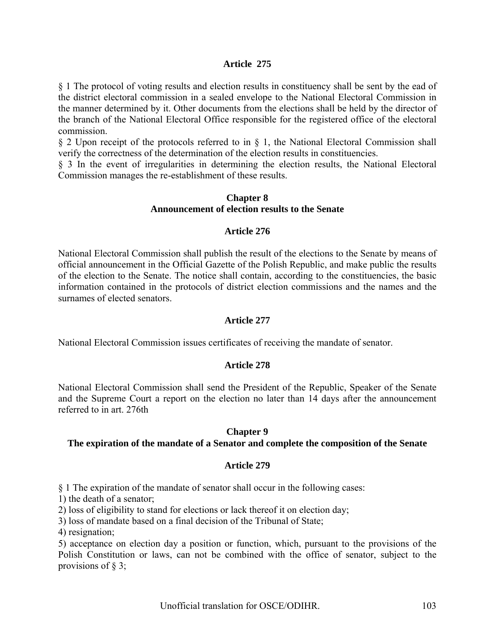§ 1 The protocol of voting results and election results in constituency shall be sent by the ead of the district electoral commission in a sealed envelope to the National Electoral Commission in the manner determined by it. Other documents from the elections shall be held by the director of the branch of the National Electoral Office responsible for the registered office of the electoral commission.

§ 2 Upon receipt of the protocols referred to in § 1, the National Electoral Commission shall verify the correctness of the determination of the election results in constituencies.

§ 3 In the event of irregularities in determining the election results, the National Electoral Commission manages the re-establishment of these results.

## **Chapter 8 Announcement of election results to the Senate**

# **Article 276**

National Electoral Commission shall publish the result of the elections to the Senate by means of official announcement in the Official Gazette of the Polish Republic, and make public the results of the election to the Senate. The notice shall contain, according to the constituencies, the basic information contained in the protocols of district election commissions and the names and the surnames of elected senators.

#### **Article 277**

National Electoral Commission issues certificates of receiving the mandate of senator.

#### **Article 278**

National Electoral Commission shall send the President of the Republic, Speaker of the Senate and the Supreme Court a report on the election no later than 14 days after the announcement referred to in art. 276th

#### **Chapter 9**

#### **The expiration of the mandate of a Senator and complete the composition of the Senate**

#### **Article 279**

§ 1 The expiration of the mandate of senator shall occur in the following cases:

1) the death of a senator;

2) loss of eligibility to stand for elections or lack thereof it on election day;

3) loss of mandate based on a final decision of the Tribunal of State;

4) resignation;

5) acceptance on election day a position or function, which, pursuant to the provisions of the Polish Constitution or laws, can not be combined with the office of senator, subject to the provisions of  $\S$  3;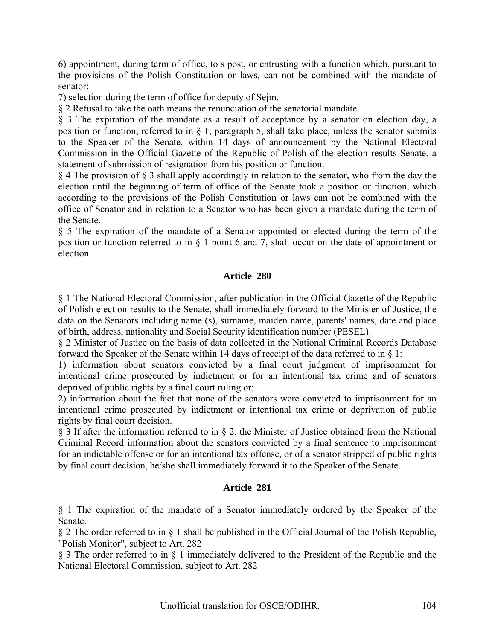6) appointment, during term of office, to s post, or entrusting with a function which, pursuant to the provisions of the Polish Constitution or laws, can not be combined with the mandate of senator;

7) selection during the term of office for deputy of Sejm.

§ 2 Refusal to take the oath means the renunciation of the senatorial mandate.

§ 3 The expiration of the mandate as a result of acceptance by a senator on election day, a position or function, referred to in § 1, paragraph 5, shall take place, unless the senator submits to the Speaker of the Senate, within 14 days of announcement by the National Electoral Commission in the Official Gazette of the Republic of Polish of the election results Senate, a statement of submission of resignation from his position or function.

§ 4 The provision of § 3 shall apply accordingly in relation to the senator, who from the day the election until the beginning of term of office of the Senate took a position or function, which according to the provisions of the Polish Constitution or laws can not be combined with the office of Senator and in relation to a Senator who has been given a mandate during the term of the Senate.

§ 5 The expiration of the mandate of a Senator appointed or elected during the term of the position or function referred to in § 1 point 6 and 7, shall occur on the date of appointment or election.

## **Article 280**

§ 1 The National Electoral Commission, after publication in the Official Gazette of the Republic of Polish election results to the Senate, shall immediately forward to the Minister of Justice, the data on the Senators including name (s), surname, maiden name, parents' names, date and place of birth, address, nationality and Social Security identification number (PESEL).

§ 2 Minister of Justice on the basis of data collected in the National Criminal Records Database forward the Speaker of the Senate within 14 days of receipt of the data referred to in § 1:

1) information about senators convicted by a final court judgment of imprisonment for intentional crime prosecuted by indictment or for an intentional tax crime and of senators deprived of public rights by a final court ruling or;

2) information about the fact that none of the senators were convicted to imprisonment for an intentional crime prosecuted by indictment or intentional tax crime or deprivation of public rights by final court decision.

§ 3 If after the information referred to in § 2, the Minister of Justice obtained from the National Criminal Record information about the senators convicted by a final sentence to imprisonment for an indictable offense or for an intentional tax offense, or of a senator stripped of public rights by final court decision, he/she shall immediately forward it to the Speaker of the Senate.

# **Article 281**

§ 1 The expiration of the mandate of a Senator immediately ordered by the Speaker of the Senate.

§ 2 The order referred to in § 1 shall be published in the Official Journal of the Polish Republic, "Polish Monitor", subject to Art. 282

§ 3 The order referred to in § 1 immediately delivered to the President of the Republic and the National Electoral Commission, subject to Art. 282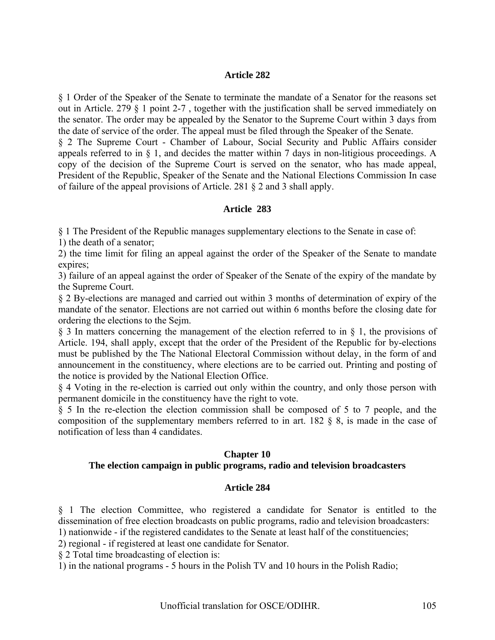§ 1 Order of the Speaker of the Senate to terminate the mandate of a Senator for the reasons set out in Article. 279 § 1 point 2-7 , together with the justification shall be served immediately on the senator. The order may be appealed by the Senator to the Supreme Court within 3 days from the date of service of the order. The appeal must be filed through the Speaker of the Senate.

§ 2 The Supreme Court - Chamber of Labour, Social Security and Public Affairs consider appeals referred to in § 1, and decides the matter within 7 days in non-litigious proceedings. A copy of the decision of the Supreme Court is served on the senator, who has made appeal, President of the Republic, Speaker of the Senate and the National Elections Commission In case of failure of the appeal provisions of Article. 281 § 2 and 3 shall apply.

# **Article 283**

§ 1 The President of the Republic manages supplementary elections to the Senate in case of:

1) the death of a senator;

2) the time limit for filing an appeal against the order of the Speaker of the Senate to mandate expires;

3) failure of an appeal against the order of Speaker of the Senate of the expiry of the mandate by the Supreme Court.

§ 2 By-elections are managed and carried out within 3 months of determination of expiry of the mandate of the senator. Elections are not carried out within 6 months before the closing date for ordering the elections to the Sejm.

§ 3 In matters concerning the management of the election referred to in § 1, the provisions of Article. 194, shall apply, except that the order of the President of the Republic for by-elections must be published by the The National Electoral Commission without delay, in the form of and announcement in the constituency, where elections are to be carried out. Printing and posting of the notice is provided by the National Election Office.

§ 4 Voting in the re-election is carried out only within the country, and only those person with permanent domicile in the constituency have the right to vote.

§ 5 In the re-election the election commission shall be composed of 5 to 7 people, and the composition of the supplementary members referred to in art. 182 § 8, is made in the case of notification of less than 4 candidates.

# **Chapter 10**

# **The election campaign in public programs, radio and television broadcasters**

# **Article 284**

§ 1 The election Committee, who registered a candidate for Senator is entitled to the dissemination of free election broadcasts on public programs, radio and television broadcasters: 1) nationwide - if the registered candidates to the Senate at least half of the constituencies;

2) regional - if registered at least one candidate for Senator.

§ 2 Total time broadcasting of election is:

1) in the national programs - 5 hours in the Polish TV and 10 hours in the Polish Radio;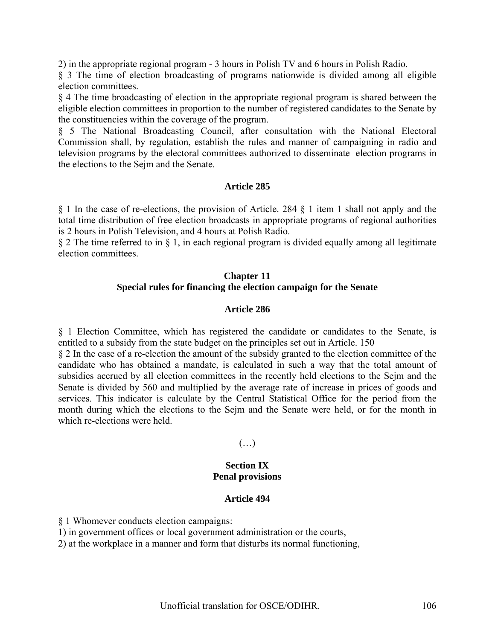2) in the appropriate regional program - 3 hours in Polish TV and 6 hours in Polish Radio.

§ 3 The time of election broadcasting of programs nationwide is divided among all eligible election committees.

§ 4 The time broadcasting of election in the appropriate regional program is shared between the eligible election committees in proportion to the number of registered candidates to the Senate by the constituencies within the coverage of the program.

§ 5 The National Broadcasting Council, after consultation with the National Electoral Commission shall, by regulation, establish the rules and manner of campaigning in radio and television programs by the electoral committees authorized to disseminate election programs in the elections to the Sejm and the Senate.

#### **Article 285**

§ 1 In the case of re-elections, the provision of Article. 284 § 1 item 1 shall not apply and the total time distribution of free election broadcasts in appropriate programs of regional authorities is 2 hours in Polish Television, and 4 hours at Polish Radio.

§ 2 The time referred to in § 1, in each regional program is divided equally among all legitimate election committees.

# **Chapter 11 Special rules for financing the election campaign for the Senate**

## **Article 286**

§ 1 Election Committee, which has registered the candidate or candidates to the Senate, is entitled to a subsidy from the state budget on the principles set out in Article. 150

§ 2 In the case of a re-election the amount of the subsidy granted to the election committee of the candidate who has obtained a mandate, is calculated in such a way that the total amount of subsidies accrued by all election committees in the recently held elections to the Sejm and the Senate is divided by 560 and multiplied by the average rate of increase in prices of goods and services. This indicator is calculate by the Central Statistical Office for the period from the month during which the elections to the Sejm and the Senate were held, or for the month in which re-elections were held.

# $(\ldots)$

#### **Section IX Penal provisions**

#### **Article 494**

§ 1 Whomever conducts election campaigns:

1) in government offices or local government administration or the courts,

2) at the workplace in a manner and form that disturbs its normal functioning,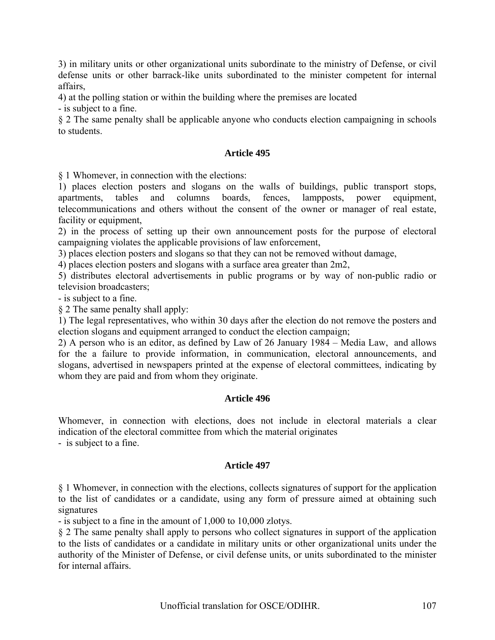3) in military units or other organizational units subordinate to the ministry of Defense, or civil defense units or other barrack-like units subordinated to the minister competent for internal affairs,

4) at the polling station or within the building where the premises are located

- is subject to a fine.

§ 2 The same penalty shall be applicable anyone who conducts election campaigning in schools to students.

## **Article 495**

§ 1 Whomever, in connection with the elections:

1) places election posters and slogans on the walls of buildings, public transport stops, apartments, tables and columns boards, fences, lampposts, power equipment, telecommunications and others without the consent of the owner or manager of real estate, facility or equipment,

2) in the process of setting up their own announcement posts for the purpose of electoral campaigning violates the applicable provisions of law enforcement,

3) places election posters and slogans so that they can not be removed without damage,

4) places election posters and slogans with a surface area greater than 2m2,

5) distributes electoral advertisements in public programs or by way of non-public radio or television broadcasters;

- is subject to a fine.

§ 2 The same penalty shall apply:

1) The legal representatives, who within 30 days after the election do not remove the posters and election slogans and equipment arranged to conduct the election campaign;

2) A person who is an editor, as defined by Law of 26 January 1984 – Media Law, and allows for the a failure to provide information, in communication, electoral announcements, and slogans, advertised in newspapers printed at the expense of electoral committees, indicating by whom they are paid and from whom they originate.

#### **Article 496**

Whomever, in connection with elections, does not include in electoral materials a clear indication of the electoral committee from which the material originates

- is subject to a fine.

# **Article 497**

§ 1 Whomever, in connection with the elections, collects signatures of support for the application to the list of candidates or a candidate, using any form of pressure aimed at obtaining such signatures

- is subject to a fine in the amount of 1,000 to 10,000 zlotys.

§ 2 The same penalty shall apply to persons who collect signatures in support of the application to the lists of candidates or a candidate in military units or other organizational units under the authority of the Minister of Defense, or civil defense units, or units subordinated to the minister for internal affairs.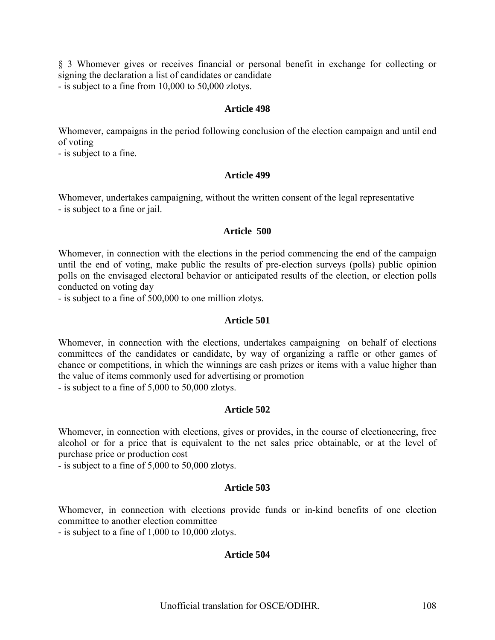§ 3 Whomever gives or receives financial or personal benefit in exchange for collecting or signing the declaration a list of candidates or candidate

- is subject to a fine from 10,000 to 50,000 zlotys.

#### **Article 498**

Whomever, campaigns in the period following conclusion of the election campaign and until end of voting

- is subject to a fine.

## **Article 499**

Whomever, undertakes campaigning, without the written consent of the legal representative - is subject to a fine or jail.

#### **Article 500**

Whomever, in connection with the elections in the period commencing the end of the campaign until the end of voting, make public the results of pre-election surveys (polls) public opinion polls on the envisaged electoral behavior or anticipated results of the election, or election polls conducted on voting day

- is subject to a fine of 500,000 to one million zlotys.

#### **Article 501**

Whomever, in connection with the elections, undertakes campaigning on behalf of elections committees of the candidates or candidate, by way of organizing a raffle or other games of chance or competitions, in which the winnings are cash prizes or items with a value higher than the value of items commonly used for advertising or promotion

- is subject to a fine of 5,000 to 50,000 zlotys.

# **Article 502**

Whomever, in connection with elections, gives or provides, in the course of electioneering, free alcohol or for a price that is equivalent to the net sales price obtainable, or at the level of purchase price or production cost

- is subject to a fine of 5,000 to 50,000 zlotys.

#### **Article 503**

Whomever, in connection with elections provide funds or in-kind benefits of one election committee to another election committee

- is subject to a fine of 1,000 to 10,000 zlotys.

# **Article 504**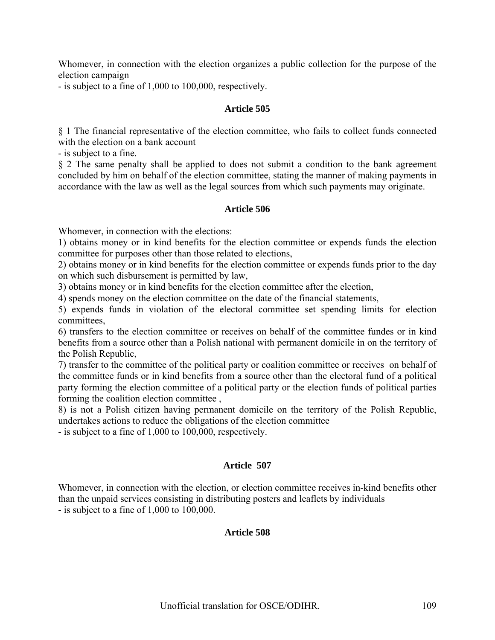Whomever, in connection with the election organizes a public collection for the purpose of the election campaign

- is subject to a fine of 1,000 to 100,000, respectively.

#### **Article 505**

§ 1 The financial representative of the election committee, who fails to collect funds connected with the election on a bank account

- is subject to a fine.

§ 2 The same penalty shall be applied to does not submit a condition to the bank agreement concluded by him on behalf of the election committee, stating the manner of making payments in accordance with the law as well as the legal sources from which such payments may originate.

#### **Article 506**

Whomever, in connection with the elections:

1) obtains money or in kind benefits for the election committee or expends funds the election committee for purposes other than those related to elections,

2) obtains money or in kind benefits for the election committee or expends funds prior to the day on which such disbursement is permitted by law,

3) obtains money or in kind benefits for the election committee after the election,

4) spends money on the election committee on the date of the financial statements,

5) expends funds in violation of the electoral committee set spending limits for election committees,

6) transfers to the election committee or receives on behalf of the committee fundes or in kind benefits from a source other than a Polish national with permanent domicile in on the territory of the Polish Republic,

7) transfer to the committee of the political party or coalition committee or receives on behalf of the committee funds or in kind benefits from a source other than the electoral fund of a political party forming the election committee of a political party or the election funds of political parties forming the coalition election committee ,

8) is not a Polish citizen having permanent domicile on the territory of the Polish Republic, undertakes actions to reduce the obligations of the election committee

- is subject to a fine of 1,000 to 100,000, respectively.

#### **Article 507**

Whomever, in connection with the election, or election committee receives in-kind benefits other than the unpaid services consisting in distributing posters and leaflets by individuals - is subject to a fine of 1,000 to 100,000.

#### **Article 508**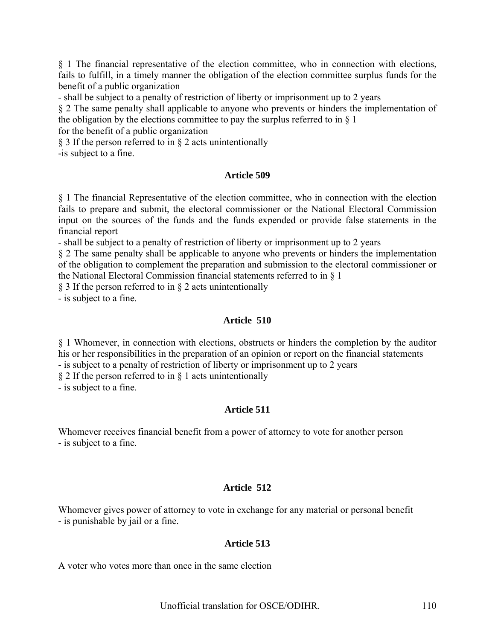§ 1 The financial representative of the election committee, who in connection with elections, fails to fulfill, in a timely manner the obligation of the election committee surplus funds for the benefit of a public organization

- shall be subject to a penalty of restriction of liberty or imprisonment up to 2 years

§ 2 The same penalty shall applicable to anyone who prevents or hinders the implementation of the obligation by the elections committee to pay the surplus referred to in § 1

for the benefit of a public organization

§ 3 If the person referred to in § 2 acts unintentionally -is subject to a fine.

## **Article 509**

§ 1 The financial Representative of the election committee, who in connection with the election fails to prepare and submit, the electoral commissioner or the National Electoral Commission input on the sources of the funds and the funds expended or provide false statements in the financial report

- shall be subject to a penalty of restriction of liberty or imprisonment up to 2 years

§ 2 The same penalty shall be applicable to anyone who prevents or hinders the implementation of the obligation to complement the preparation and submission to the electoral commissioner or the National Electoral Commission financial statements referred to in § 1

§ 3 If the person referred to in § 2 acts unintentionally

- is subject to a fine.

## **Article 510**

§ 1 Whomever, in connection with elections, obstructs or hinders the completion by the auditor his or her responsibilities in the preparation of an opinion or report on the financial statements

- is subject to a penalty of restriction of liberty or imprisonment up to 2 years

§ 2 If the person referred to in § 1 acts unintentionally

- is subject to a fine.

## **Article 511**

Whomever receives financial benefit from a power of attorney to vote for another person - is subject to a fine.

## **Article 512**

Whomever gives power of attorney to vote in exchange for any material or personal benefit - is punishable by jail or a fine.

## **Article 513**

A voter who votes more than once in the same election